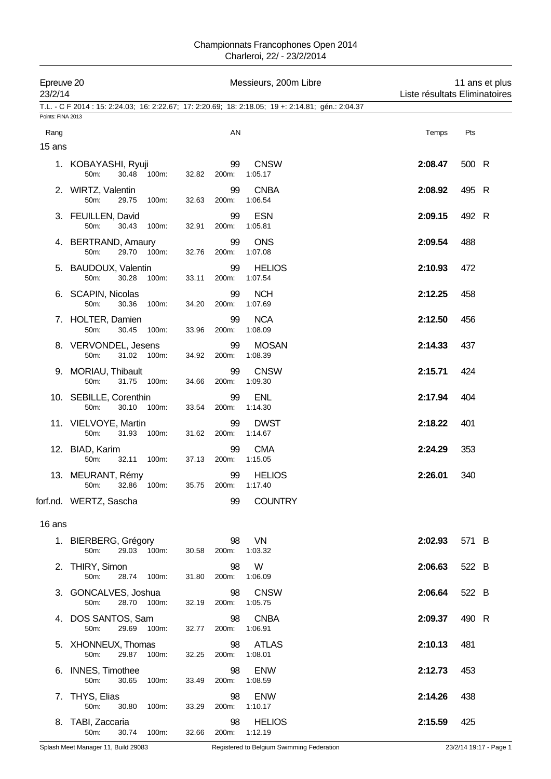| Epreuve 20<br>23/2/14 |                                                |                      | Messieurs, 200m Libre                                                                              | 11 ans et plus<br>Liste résultats Eliminatoires |                        |  |
|-----------------------|------------------------------------------------|----------------------|----------------------------------------------------------------------------------------------------|-------------------------------------------------|------------------------|--|
| Points: FINA 2013     |                                                |                      | T.L. - C F 2014 : 15: 2:24.03; 16: 2:22.67; 17: 2:20.69; 18: 2:18.05; 19 +: 2:14.81; gén.: 2:04.37 |                                                 |                        |  |
| Rang                  |                                                | AN                   |                                                                                                    | Temps                                           | Pts                    |  |
| 15 ans                |                                                |                      |                                                                                                    |                                                 |                        |  |
|                       | 1. KOBAYASHI, Ryuji<br>50m:<br>30.48 100m:     | 99<br>32.82<br>200m: | <b>CNSW</b><br>1:05.17                                                                             | 2:08.47                                         | 500 R                  |  |
|                       | 2. WIRTZ, Valentin<br>50m:<br>29.75<br>100m:   | 99<br>32.63<br>200m: | <b>CNBA</b><br>1:06.54                                                                             | 2:08.92                                         | 495 R                  |  |
|                       | 3. FEUILLEN, David<br>50m:<br>30.43<br>100m:   | 99<br>200m:<br>32.91 | <b>ESN</b><br>1:05.81                                                                              | 2:09.15                                         | 492 R                  |  |
|                       | 4. BERTRAND, Amaury<br>29.70 100m:<br>50m:     | 99<br>32.76<br>200m: | <b>ONS</b><br>1:07.08                                                                              | 2:09.54                                         | 488                    |  |
|                       | 5. BAUDOUX, Valentin<br>50m:<br>30.28<br>100m: | 99<br>33.11<br>200m: | <b>HELIOS</b><br>1:07.54                                                                           | 2:10.93                                         | 472                    |  |
|                       | 6. SCAPIN, Nicolas<br>50m:<br>30.36<br>100m:   | 99<br>200m:<br>34.20 | <b>NCH</b><br>1:07.69                                                                              | 2:12.25                                         | 458                    |  |
|                       | 7. HOLTER, Damien<br>50m:<br>30.45 100m:       | 99<br>33.96<br>200m: | <b>NCA</b><br>1:08.09                                                                              | 2:12.50                                         | 456                    |  |
|                       | 8. VERVONDEL, Jesens<br>31.02 100m:<br>50m:    | 99<br>34.92<br>200m: | <b>MOSAN</b><br>1:08.39                                                                            | 2:14.33                                         | 437                    |  |
|                       | 9. MORIAU, Thibault<br>50m:<br>31.75 100m:     | 99<br>200m:<br>34.66 | <b>CNSW</b><br>1:09.30                                                                             | 2:15.71                                         | 424                    |  |
|                       | 10. SEBILLE, Corenthin<br>50m:<br>30.10 100m:  | 99<br>33.54<br>200m: | <b>ENL</b><br>1:14.30                                                                              | 2:17.94                                         | 404                    |  |
|                       | 11. VIELVOYE, Martin<br>50m:<br>31.93<br>100m: | 99<br>31.62<br>200m: | <b>DWST</b><br>1:14.67                                                                             | 2:18.22                                         | 401                    |  |
|                       | 12. BIAD, Karim<br>50m:<br>32.11<br>100m:      | 99<br>37.13<br>200m: | <b>CMA</b><br>1:15.05                                                                              | 2:24.29                                         | 353                    |  |
|                       | 13. MEURANT, Rémy<br>50m:<br>32.86<br>100m:    | 99<br>35.75<br>200m: | <b>HELIOS</b><br>1:17.40                                                                           | 2:26.01                                         | 340                    |  |
|                       | forf.nd. WERTZ, Sascha                         | 99                   | <b>COUNTRY</b>                                                                                     |                                                 |                        |  |
| 16 ans                |                                                |                      |                                                                                                    |                                                 |                        |  |
|                       | 1. BIERBERG, Grégory<br>29.03<br>50m:<br>100m: | 98<br>30.58<br>200m: | VN<br>1:03.32                                                                                      | 2:02.93                                         | 571 B                  |  |
|                       | 2. THIRY, Simon<br>50m:<br>28.74<br>100m:      | 98<br>200m:<br>31.80 | W<br>1:06.09                                                                                       | 2:06.63                                         | 522 B                  |  |
|                       | 3. GONCALVES, Joshua<br>50m:<br>28.70<br>100m: | 98<br>32.19<br>200m: | <b>CNSW</b><br>1:05.75                                                                             | 2:06.64                                         | 522 B                  |  |
|                       | 4. DOS SANTOS, Sam<br>50m:<br>29.69<br>100m:   | 98<br>32.77<br>200m: | <b>CNBA</b><br>1:06.91                                                                             | 2:09.37                                         | 490 R                  |  |
|                       | 5. XHONNEUX, Thomas<br>50m:<br>29.87<br>100m:  | 98<br>32.25<br>200m: | <b>ATLAS</b><br>1:08.01                                                                            | 2:10.13                                         | 481                    |  |
|                       | 6. INNES, Timothee<br>50m:<br>30.65<br>100m:   | 98<br>33.49<br>200m: | <b>ENW</b><br>1:08.59                                                                              | 2:12.73                                         | 453                    |  |
|                       | 7. THYS, Elias<br>50m:<br>30.80<br>100m:       | 98<br>33.29<br>200m: | <b>ENW</b><br>1:10.17                                                                              | 2:14.26                                         | 438                    |  |
|                       | 8. TABI, Zaccaria<br>50m:<br>30.74<br>100m:    | 98<br>32.66<br>200m: | <b>HELIOS</b><br>1:12.19                                                                           | 2:15.59                                         | 425                    |  |
|                       | Splash Meet Manager 11, Build 29083            |                      | Registered to Belgium Swimming Federation                                                          |                                                 | 23/2/14 19:17 - Page 1 |  |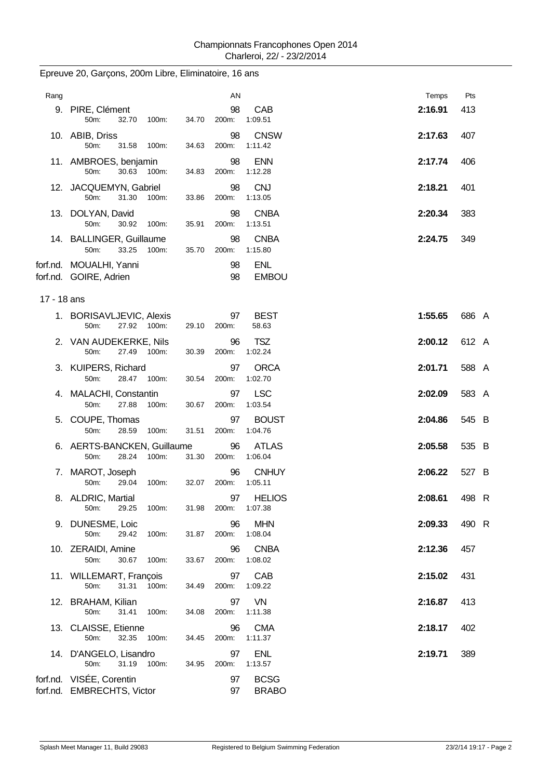| Rang        |                                                        | ΑN                           | Temps                              | Pts   |
|-------------|--------------------------------------------------------|------------------------------|------------------------------------|-------|
|             | 9. PIRE, Clément<br>50m:<br>32.70<br>100m:             | 98<br>34.70<br>200m:         | CAB<br>2:16.91<br>1:09.51          | 413   |
|             | 10. ABIB, Driss<br>50m:<br>31.58<br>100m:              | 98<br>34.63<br>200m:         | <b>CNSW</b><br>2:17.63<br>1:11.42  | 407   |
|             | 11. AMBROES, benjamin<br>50m:<br>30.63 100m:           | 98<br>34.83<br>200m:         | <b>ENN</b><br>2:17.74<br>1:12.28   | 406   |
|             | 12. JACQUEMYN, Gabriel<br>50m:<br>31.30<br>100m:       | 98<br>33.86<br>200m:         | <b>CNJ</b><br>2:18.21<br>1:13.05   | 401   |
|             | 13. DOLYAN, David<br>50m:<br>30.92<br>100m:            | 98<br>35.91<br>200m:         | <b>CNBA</b><br>2:20.34<br>1:13.51  | 383   |
|             | 14. BALLINGER, Guillaume<br>33.25 100m:<br>50m:        | 98<br>35.70<br>200m:         | <b>CNBA</b><br>2:24.75<br>1:15.80  | 349   |
|             | forf.nd. MOUALHI, Yanni<br>forf.nd. GOIRE, Adrien      | 98<br>98                     | <b>ENL</b><br><b>EMBOU</b>         |       |
| 17 - 18 ans |                                                        |                              |                                    |       |
|             | 1. BORISAVLJEVIC, Alexis<br>27.92 100m:<br>50m:        | 97<br>200m:<br>29.10         | <b>BEST</b><br>1:55.65<br>58.63    | 686 A |
|             | 2. VAN AUDEKERKE, Nils<br>50m:<br>27.49 100m:          | 96<br>30.39<br>200m:         | <b>TSZ</b><br>2:00.12<br>1:02.24   | 612 A |
|             | 3. KUIPERS, Richard<br>28.47 100m:<br>50m:             | 97<br>30.54<br>200m:         | <b>ORCA</b><br>2:01.71<br>1:02.70  | 588 A |
|             | 4. MALACHI, Constantin<br>50m:<br>27.88<br>100m:       | 97<br>30.67<br>200m:         | <b>LSC</b><br>2:02.09<br>1:03.54   | 583 A |
|             | 5. COUPE, Thomas<br>50m:<br>28.59<br>100m:             | 97<br>31.51<br>200m:         | <b>BOUST</b><br>2:04.86<br>1:04.76 | 545 B |
|             | 6. AERTS-BANCKEN, Guillaume<br>50m:<br>28.24<br>100m:  | 96<br>31.30<br>200m:         | <b>ATLAS</b><br>2:05.58<br>1:06.04 | 535 B |
|             | 7. MAROT, Joseph<br>50m:<br>29.04<br>100m:             | 96<br>32.07<br>200m:         | <b>CNHUY</b><br>2:06.22<br>1:05.11 | 527 B |
|             | 8. ALDRIC, Martial<br>50m:<br>29.25<br>100m:           | 97<br>31.98<br>200m: 1:07.38 | 2:08.61<br><b>HELIOS</b>           | 498 R |
|             | 9. DUNESME, Loic<br>29.42<br>100m:<br>50m:             | 96<br>31.87<br>200m:         | <b>MHN</b><br>2:09.33<br>1:08.04   | 490 R |
|             | 10. ZERAIDI, Amine<br>50m:<br>30.67<br>100m:           | 96<br>33.67<br>200m:         | 2:12.36<br><b>CNBA</b><br>1:08.02  | 457   |
|             | 11. WILLEMART, François<br>50m:<br>31.31<br>100m:      | 97<br>200m:<br>34.49         | CAB<br>2:15.02<br>1:09.22          | 431   |
|             | 12. BRAHAM, Kilian<br>31.41<br>100m:<br>50m:           | 97<br>34.08<br>200m:         | VN<br>2:16.87<br>1:11.38           | 413   |
|             | 13. CLAISSE, Etienne<br>50m:<br>32.35<br>100m:         | 96<br>34.45<br>200m:         | <b>CMA</b><br>2:18.17<br>1:11.37   | 402   |
|             | 14. D'ANGELO, Lisandro<br>50m:<br>31.19<br>100m:       | 97<br>34.95<br>200m:         | <b>ENL</b><br>2:19.71<br>1:13.57   | 389   |
|             | forf.nd. VISÉE, Corentin<br>forf.nd. EMBRECHTS, Victor | 97<br>97                     | <b>BCSG</b><br><b>BRABO</b>        |       |

# Epreuve 20, Garçons, 200m Libre, Eliminatoire, 16 ans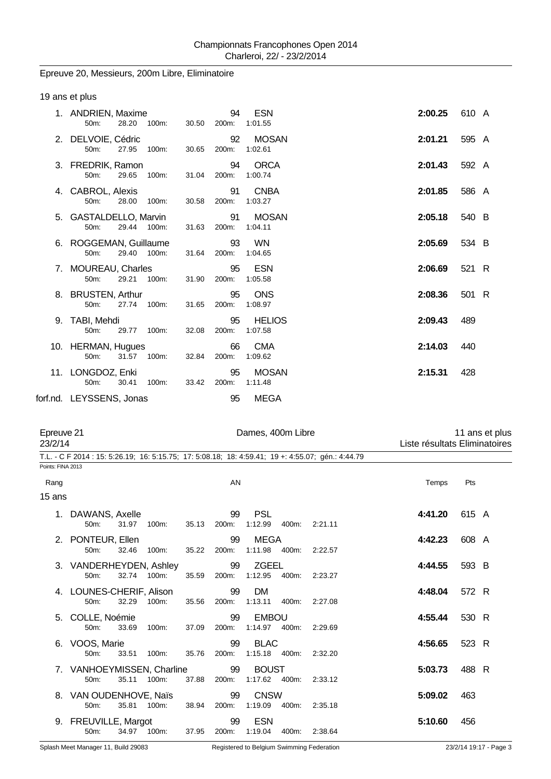## Epreuve 20, Messieurs, 200m Libre, Eliminatoire

| 19 ans et plus |
|----------------|
|----------------|

|    | 1. ANDRIEN, Maxime<br>28.20 100m:<br>$50m$ :             | 30.50       | 94<br>200m: | <b>ESN</b><br>1:01.55    | 2:00.25 | 610 A |
|----|----------------------------------------------------------|-------------|-------------|--------------------------|---------|-------|
|    | 2. DELVOIE, Cédric<br>27.95<br>100m:<br>50m:             | 30.65       | 92<br>200m: | <b>MOSAN</b><br>1:02.61  | 2:01.21 | 595 A |
|    | 3. FREDRIK, Ramon<br>50 <sub>m</sub> :<br>29.65 100m.    | 31.04 200m: | 94          | <b>ORCA</b><br>1:00.74   | 2:01.43 | 592 A |
|    | 4. CABROL, Alexis<br>28.00<br>100m:<br>50 <sub>m</sub> : | 30.58       | 91<br>200m: | <b>CNBA</b><br>1:03.27   | 2:01.85 | 586 A |
|    | 5. GASTALDELLO, Marvin<br>29.44 100m:<br>50m:            | 31.63       | 91<br>200m: | <b>MOSAN</b><br>1:04.11  | 2:05.18 | 540 B |
|    | 6. ROGGEMAN, Guillaume<br>29.40 100m:<br>50m:            | 31.64       | 93<br>200m: | WN<br>1:04.65            | 2:05.69 | 534 B |
|    | 7. MOUREAU, Charles<br>$50m$ :<br>29.21 100m.            | 31.90       | 95<br>200m: | ESN<br>1:05.58           | 2:06.69 | 521 R |
|    | 8. BRUSTEN, Arthur<br>27.74 100m.<br>50 <sub>m</sub> :   | 31.65       | 95<br>200m: | <b>ONS</b><br>1:08.97    | 2:08.36 | 501 R |
| 9. | TABI, Mehdi<br>29.77 100m:<br>$50m$ :                    | 32.08       | 95<br>200m: | <b>HELIOS</b><br>1:07.58 | 2:09.43 | 489   |
|    | 10. HERMAN, Hugues<br>50m:<br>31.57 100m:                | 32.84       | 66<br>200m: | <b>CMA</b><br>1:09.62    | 2:14.03 | 440   |
|    | 11. LONGDOZ, Enki<br>30.41<br>100m:<br>50m:              | 33.42       | 95<br>200m: | <b>MOSAN</b><br>1:11.48  | 2:15.31 | 428   |
|    | forf.nd. LEYSSENS, Jonas                                 |             | 95          | MEGA                     |         |       |

|                   | Epreuve 21<br>23/2/14               |             |             |       |             | Dames, 400m Libre             |       | 11 ans et plus<br>Liste résultats Eliminatoires                                                    |         |       |  |
|-------------------|-------------------------------------|-------------|-------------|-------|-------------|-------------------------------|-------|----------------------------------------------------------------------------------------------------|---------|-------|--|
|                   |                                     |             |             |       |             |                               |       | T.L. - C F 2014 : 15: 5:26.19; 16: 5:15.75; 17: 5:08.18; 18: 4:59.41; 19 +: 4:55.07; gén.: 4:44.79 |         |       |  |
| Points: FINA 2013 |                                     |             |             |       |             |                               |       |                                                                                                    |         |       |  |
| Rang              |                                     |             |             |       | AN          |                               |       |                                                                                                    | Temps   | Pts   |  |
| 15 ans            |                                     |             |             |       |             |                               |       |                                                                                                    |         |       |  |
|                   | DAWANS, Axelle<br>50m:              | 31.97       | 100m:       | 35.13 | 99<br>200m: | <b>PSL</b><br>1:12.99         | 400m: | 2:21.11                                                                                            | 4:41.20 | 615 A |  |
|                   | 2. PONTEUR, Ellen<br>50m:           | 32.46       | 100m:       | 35.22 | 99<br>200m: | MEGA<br>1:11.98 400m:         |       | 2:22.57                                                                                            | 4:42.23 | 608 A |  |
|                   | 3. VANDERHEYDEN, Ashley<br>50m:     | 32.74 100m: |             | 35.59 | 99<br>200m: | <b>ZGEEL</b><br>1:12.95       | 400m: | 2:23.27                                                                                            | 4:44.55 | 593 B |  |
|                   | 4. LOUNES-CHERIF, Alison<br>50m:    | 32.29       | 100m:       | 35.56 | 99<br>200m: | <b>DM</b><br>1:13.11          | 400m: | 2:27.08                                                                                            | 4:48.04 | 572 R |  |
|                   | 5. COLLE, Noémie<br>50m:            | 33.69       | 100m:       | 37.09 | 99<br>200m: | <b>EMBOU</b><br>1:14.97 400m: |       | 2:29.69                                                                                            | 4:55.44 | 530 R |  |
|                   | 6. VOOS, Marie<br>50 <sub>m</sub> : | 33.51       | 100m:       | 35.76 | 99<br>200m: | <b>BLAC</b><br>1:15.18 400m:  |       | 2:32.20                                                                                            | 4:56.65 | 523 R |  |
|                   | 7. VANHOEYMISSEN, Charline<br>50m:  | 35.11       | 100m:       | 37.88 | 99<br>200m: | <b>BOUST</b><br>1:17.62 400m: |       | 2:33.12                                                                                            | 5:03.73 | 488 R |  |
|                   | 8. VAN OUDENHOVE, Naïs<br>50m:      |             | 35.81 100m. | 38.94 | 99<br>200m: | <b>CNSW</b><br>1:19.09        | 400m: | 2:35.18                                                                                            | 5:09.02 | 463   |  |
|                   | 9. FREUVILLE, Margot<br>50m:        |             | 34.97 100m: | 37.95 | 99<br>200m: | <b>ESN</b><br>1:19.04         | 400m: | 2:38.64                                                                                            | 5:10.60 | 456   |  |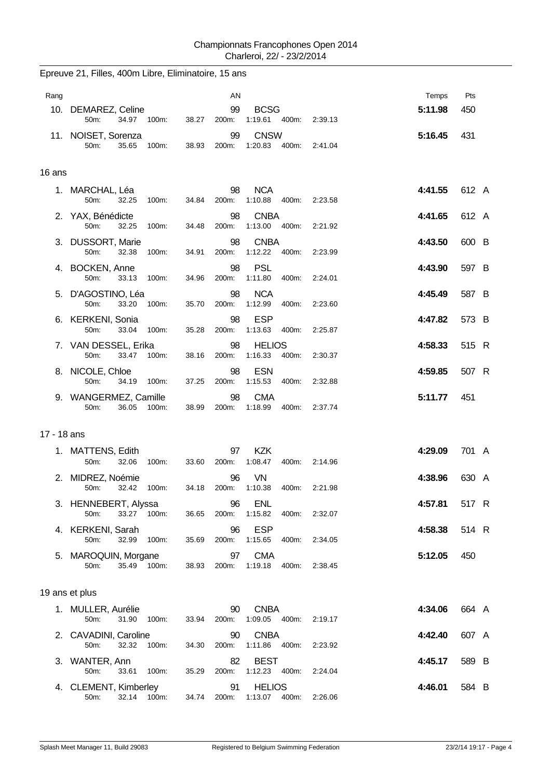|             | Epreuve 21, Filles, 400m Libre, Eliminatoire, 15 ans |             |             |                                   |         |         |       |
|-------------|------------------------------------------------------|-------------|-------------|-----------------------------------|---------|---------|-------|
| Rang        |                                                      |             | AN          |                                   |         | Temps   | Pts   |
|             | 10. DEMAREZ, Celine<br>50m:<br>34.97 100m:           | 38.27       | 99<br>200m: | <b>BCSG</b><br>1:19.61 400m:      | 2:39.13 | 5:11.98 | 450   |
|             | 11. NOISET, Sorenza<br>50m:<br>35.65<br>100m:        | 38.93       | 99<br>200m: | <b>CNSW</b><br>1:20.83 400m:      | 2:41.04 | 5:16.45 | 431   |
| 16 ans      |                                                      |             |             |                                   |         |         |       |
|             | 1. MARCHAL, Léa<br>50m:<br>32.25<br>100m:            | 34.84       | 98<br>200m: | <b>NCA</b><br>1:10.88<br>400m:    | 2:23.58 | 4:41.55 | 612 A |
|             | 2. YAX, Bénédicte<br>50m:<br>32.25<br>100m:          | 34.48       | 98<br>200m: | <b>CNBA</b><br>1:13.00<br>400m:   | 2:21.92 | 4:41.65 | 612 A |
|             | 3. DUSSORT, Marie<br>50m:<br>32.38<br>100m:          | 34.91       | 98<br>200m: | <b>CNBA</b><br>1:12.22<br>400m:   | 2:23.99 | 4:43.50 | 600 B |
|             | 4. BOCKEN, Anne<br>50m:<br>100m:<br>33.13            | 34.96       | 98<br>200m: | <b>PSL</b><br>1:11.80<br>400m:    | 2:24.01 | 4:43.90 | 597 B |
|             | 5. D'AGOSTINO, Léa<br>50m:<br>33.20<br>100m:         | 35.70       | 98<br>200m: | <b>NCA</b><br>1:12.99<br>400m:    | 2:23.60 | 4:45.49 | 587 B |
|             | 6. KERKENI, Sonia<br>50m:<br>33.04<br>100m:          | 35.28       | 98<br>200m: | <b>ESP</b><br>1:13.63<br>400m:    | 2:25.87 | 4:47.82 | 573 B |
|             | 7. VAN DESSEL, Erika<br>50m:<br>33.47<br>100m:       | 38.16       | 98<br>200m: | <b>HELIOS</b><br>1:16.33<br>400m: | 2:30.37 | 4:58.33 | 515 R |
|             | 8. NICOLE, Chloe<br>50m:<br>34.19<br>100m:           | 37.25       | 98<br>200m: | <b>ESN</b><br>1:15.53<br>400m:    | 2.32.88 | 4:59.85 | 507 R |
|             | 9. WANGERMEZ, Camille<br>50m:<br>36.05<br>100m:      | 38.99       | 98<br>200m: | <b>CMA</b><br>1:18.99<br>400m:    | 2:37.74 | 5:11.77 | 451   |
| 17 - 18 ans |                                                      |             |             |                                   |         |         |       |
|             | 1. MATTENS, Edith<br>50m:<br>32.06<br>100m:          | 33.60       | 97<br>200m: | <b>KZK</b><br>1:08.47<br>400m:    | 2:14.96 | 4:29.09 | 701 A |
|             | 2. MIDREZ, Noémie<br>50m:<br>32.42 100m:             | 34.18 200m: | 96          | <b>VN</b><br>1:10.38<br>400m:     | 2:21.98 | 4:38.96 | 630 A |
|             | 3. HENNEBERT, Alyssa<br>33.27 100m:<br>50m:          | 36.65       | 96<br>200m: | <b>ENL</b><br>1:15.82<br>400m:    | 2:32.07 | 4:57.81 | 517 R |
|             | 4. KERKENI, Sarah<br>50m:<br>32.99<br>100m:          | 35.69       | 96<br>200m: | <b>ESP</b><br>1:15.65<br>400m:    | 2:34.05 | 4:58.38 | 514 R |
|             | 5. MAROQUIN, Morgane<br>35.49 100m:<br>50m:          | 38.93       | 97<br>200m: | <b>CMA</b><br>1:19.18<br>400m:    | 2:38.45 | 5:12.05 | 450   |
|             | 19 ans et plus                                       |             |             |                                   |         |         |       |
|             | 1. MULLER, Aurélie<br>50m:<br>31.90<br>100m:         | 33.94       | 90<br>200m: | <b>CNBA</b><br>1:09.05  400m:     | 2:19.17 | 4:34.06 | 664 A |
|             | 2. CAVADINI, Caroline<br>50m:<br>32.32<br>100m:      | 34.30       | 90<br>200m: | <b>CNBA</b><br>1:11.86  400m:     | 2:23.92 | 4:42.40 | 607 A |
|             | 3. WANTER, Ann<br>50m:<br>33.61 100m:                | 35.29       | 82<br>200m: | <b>BEST</b><br>1:12.23  400m:     | 2:24.04 | 4:45.17 | 589 B |
|             | 4. CLEMENT, Kimberley<br>32.14<br>50m:<br>100m:      | 34.74       | 91<br>200m: | <b>HELIOS</b><br>1:13.07 400m:    | 2:26.06 | 4:46.01 | 584 B |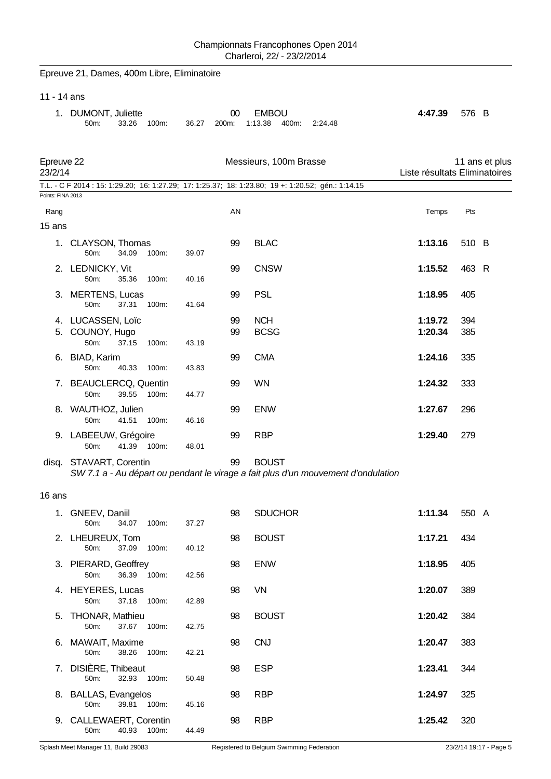|                       | Epreuve 21, Dames, 400m Libre, Eliminatoire                                                                  |       |             |                                  |         |                               |            |                |
|-----------------------|--------------------------------------------------------------------------------------------------------------|-------|-------------|----------------------------------|---------|-------------------------------|------------|----------------|
| 11 - 14 ans           |                                                                                                              |       |             |                                  |         |                               |            |                |
|                       | 1. DUMONT, Juliette<br>33.26<br>100m:<br>50m:                                                                | 36.27 | 00<br>200m: | <b>EMBOU</b><br>1:13.38<br>400m: | 2:24.48 | 4:47.39                       | 576 B      |                |
| Epreuve 22<br>23/2/14 |                                                                                                              |       |             | Messieurs, 100m Brasse           |         | Liste résultats Eliminatoires |            | 11 ans et plus |
| Points: FINA 2013     | T.L. - C F 2014 : 15: 1:29.20; 16: 1:27.29; 17: 1:25.37; 18: 1:23.80; 19 +: 1:20.52; gén.: 1:14.15           |       |             |                                  |         |                               |            |                |
| Rang                  |                                                                                                              |       | AN          |                                  |         | Temps                         | Pts        |                |
| 15 ans                |                                                                                                              |       |             |                                  |         |                               |            |                |
|                       | 1. CLAYSON, Thomas<br>34.09<br>100m:<br>50m:                                                                 | 39.07 | 99          | <b>BLAC</b>                      |         | 1:13.16                       | 510 B      |                |
|                       | 2. LEDNICKY, Vit<br>50m:<br>35.36<br>100m:                                                                   | 40.16 | 99          | <b>CNSW</b>                      |         | 1:15.52                       | 463 R      |                |
|                       | 3. MERTENS, Lucas<br>50m:<br>37.31<br>100m:                                                                  | 41.64 | 99          | <b>PSL</b>                       |         | 1:18.95                       | 405        |                |
| 5.                    | 4. LUCASSEN, Loïc<br>COUNOY, Hugo<br>37.15<br>50m:<br>100m:                                                  | 43.19 | 99<br>99    | <b>NCH</b><br><b>BCSG</b>        |         | 1:19.72<br>1:20.34            | 394<br>385 |                |
| 6.                    | <b>BIAD, Karim</b><br>40.33<br>50m:<br>100m:                                                                 | 43.83 | 99          | <b>CMA</b>                       |         | 1:24.16                       | 335        |                |
|                       | 7. BEAUCLERCQ, Quentin<br>39.55<br>50m:<br>100m:                                                             | 44.77 | 99          | <b>WN</b>                        |         | 1:24.32                       | 333        |                |
|                       | 8. WAUTHOZ, Julien<br>41.51<br>50m:<br>100m:                                                                 | 46.16 | 99          | <b>ENW</b>                       |         | 1:27.67                       | 296        |                |
|                       | 9. LABEEUW, Grégoire<br>41.39<br>100m:<br>50m:                                                               | 48.01 | 99          | <b>RBP</b>                       |         | 1:29.40                       | 279        |                |
|                       | disq. STAVART, Corentin<br>SW 7.1 a - Au départ ou pendant le virage a fait plus d'un mouvement d'ondulation |       | 99          | <b>BOUST</b>                     |         |                               |            |                |
| 16 ans                |                                                                                                              |       |             |                                  |         |                               |            |                |
|                       |                                                                                                              |       |             |                                  |         |                               |            |                |
|                       | 1. GNEEV, Daniil<br>50m:<br>34.07 100m:                                                                      | 37.27 | 98          | <b>SDUCHOR</b>                   |         | 1:11.34                       | 550 A      |                |
|                       | 2. LHEUREUX, Tom<br>37.09<br>50m:<br>100m:                                                                   | 40.12 | 98          | <b>BOUST</b>                     |         | 1:17.21                       | 434        |                |
|                       | 3. PIERARD, Geoffrey<br>36.39 100m:<br>50m:                                                                  | 42.56 | 98          | <b>ENW</b>                       |         | 1:18.95                       | 405        |                |
|                       | 4. HEYERES, Lucas<br>50m:<br>37.18 100m:                                                                     | 42.89 | 98          | VN                               |         | 1:20.07                       | 389        |                |
|                       | 5. THONAR, Mathieu<br>50m:<br>37.67 100m:                                                                    | 42.75 | 98          | <b>BOUST</b>                     |         | 1:20.42                       | 384        |                |
|                       | 6. MAWAIT, Maxime<br>50m:<br>38.26 100m:                                                                     | 42.21 | 98          | <b>CNJ</b>                       |         | 1:20.47                       | 383        |                |
|                       | 7. DISIÈRE, Thibeaut<br>32.93 100m:<br>50m:                                                                  | 50.48 | 98          | <b>ESP</b>                       |         | 1:23.41                       | 344        |                |
|                       | 8. BALLAS, Evangelos<br>50m:<br>39.81 100m:                                                                  | 45.16 | 98          | <b>RBP</b>                       |         | 1:24.97                       | 325        |                |
|                       | 9. CALLEWAERT, Corentin<br>40.93 100m:<br>50m:                                                               | 44.49 | 98          | <b>RBP</b>                       |         | 1:25.42                       | 320        |                |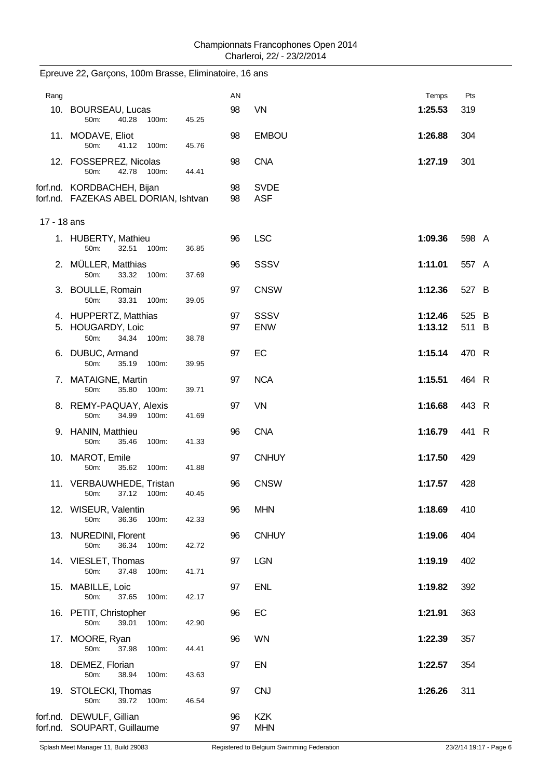| Rang        |                                                                      |       | AN       |                           | Temps              | Pts            |
|-------------|----------------------------------------------------------------------|-------|----------|---------------------------|--------------------|----------------|
|             | 10. BOURSEAU, Lucas<br>50m:<br>40.28<br>100m:                        | 45.25 | 98       | <b>VN</b>                 | 1:25.53            | 319            |
|             | 11. MODAVE, Eliot<br>50m:<br>41.12 100m:                             | 45.76 | 98       | <b>EMBOU</b>              | 1:26.88            | 304            |
|             | 12. FOSSEPREZ, Nicolas<br>42.78<br>50 <sub>m</sub> :<br>100m:        | 44.41 | 98       | <b>CNA</b>                | 1:27.19            | 301            |
|             | forf.nd. KORDBACHEH, Bijan<br>forf.nd. FAZEKAS ABEL DORIAN, Ishtvan  |       | 98<br>98 | <b>SVDE</b><br><b>ASF</b> |                    |                |
| 17 - 18 ans |                                                                      |       |          |                           |                    |                |
|             | 1. HUBERTY, Mathieu<br>32.51 100m:<br>50m:                           | 36.85 | 96       | <b>LSC</b>                | 1:09.36            | 598 A          |
|             | 2. MÜLLER, Matthias<br>50m:<br>33.32<br>100m:                        | 37.69 | 96       | <b>SSSV</b>               | 1:11.01            | 557 A          |
|             | 3. BOULLE, Romain<br>50m:<br>33.31<br>100m:                          | 39.05 | 97       | <b>CNSW</b>               | 1:12.36            | 527 B          |
|             | 4. HUPPERTZ, Matthias<br>5. HOUGARDY, Loic<br>50m:<br>34.34<br>100m: | 38.78 | 97<br>97 | <b>SSSV</b><br><b>ENW</b> | 1:12.46<br>1:13.12 | 525 B<br>511 B |
|             | 6. DUBUC, Armand<br>50m:<br>35.19<br>100m:                           | 39.95 | 97       | EC                        | 1:15.14            | 470 R          |
|             | 7. MATAIGNE, Martin<br>50m:<br>35.80<br>100m:                        | 39.71 | 97       | <b>NCA</b>                | 1:15.51            | 464 R          |
|             | 8. REMY-PAQUAY, Alexis<br>50m:<br>34.99<br>100m:                     | 41.69 | 97       | <b>VN</b>                 | 1:16.68            | 443 R          |
|             | 9. HANIN, Matthieu<br>50m:<br>35.46<br>100m:                         | 41.33 | 96       | <b>CNA</b>                | 1:16.79            | 441 R          |
|             | 10. MAROT, Emile<br>50m:<br>35.62<br>100m:                           | 41.88 | 97       | <b>CNHUY</b>              | 1:17.50            | 429            |
|             | 11. VERBAUWHEDE, Tristan<br>50m:<br>37.12 100m:                      | 40.45 | 96       | <b>CNSW</b>               | 1:17.57            | 428            |
|             | 12. WISEUR, Valentin<br>50m:<br>36.36 100m:                          | 42.33 | 96       | <b>MHN</b>                | 1:18.69            | 410            |
|             | 13. NUREDINI, Florent<br>36.34 100m:<br>50m:                         | 42.72 | 96       | <b>CNHUY</b>              | 1:19.06            | 404            |
|             | 14. VIESLET, Thomas<br>50m:<br>37.48<br>100m:                        | 41.71 | 97       | <b>LGN</b>                | 1:19.19            | 402            |
|             | 15. MABILLE, Loic<br>50m:<br>37.65<br>100m:                          | 42.17 | 97       | <b>ENL</b>                | 1:19.82            | 392            |
|             | 16. PETIT, Christopher<br>100m:<br>50m:<br>39.01                     | 42.90 | 96       | EC                        | 1:21.91            | 363            |
|             | 17. MOORE, Ryan<br>50m:<br>37.98<br>100m:                            | 44.41 | 96       | <b>WN</b>                 | 1:22.39            | 357            |
|             | 18. DEMEZ, Florian<br>50m:<br>38.94<br>100m:                         | 43.63 | 97       | EN                        | 1:22.57            | 354            |
|             | 19. STOLECKI, Thomas<br>39.72<br>50m:<br>100m:                       | 46.54 | 97       | <b>CNJ</b>                | 1:26.26            | 311            |
|             | forf.nd. DEWULF, Gillian<br>forf.nd. SOUPART, Guillaume              |       | 96<br>97 | <b>KZK</b><br><b>MHN</b>  |                    |                |

# Epreuve 22, Garçons, 100m Brasse, Eliminatoire, 16 ans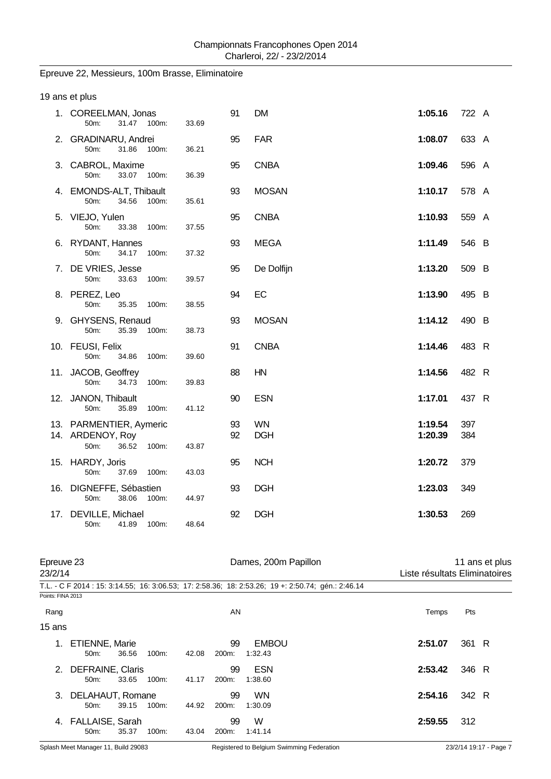## Epreuve 22, Messieurs, 100m Brasse, Eliminatoire

| 19 ans et plus                                                        |       |          |                         |                    |            |
|-----------------------------------------------------------------------|-------|----------|-------------------------|--------------------|------------|
| 1. COREELMAN, Jonas<br>31.47 100m:<br>50m:                            | 33.69 | 91       | <b>DM</b>               | 1:05.16            | 722 A      |
| 2. GRADINARU, Andrei<br>31.86<br>100m:<br>50m:                        | 36.21 | 95       | <b>FAR</b>              | 1:08.07            | 633 A      |
| 3. CABROL, Maxime<br>33.07 100m:<br>50m:                              | 36.39 | 95       | <b>CNBA</b>             | 1:09.46            | 596 A      |
| 4. EMONDS-ALT, Thibault<br>50m:<br>34.56<br>100m:                     | 35.61 | 93       | <b>MOSAN</b>            | 1:10.17            | 578 A      |
| 5. VIEJO, Yulen<br>50m:<br>33.38<br>100m:                             | 37.55 | 95       | <b>CNBA</b>             | 1:10.93            | 559 A      |
| 6. RYDANT, Hannes<br>50m:<br>34.17 100m:                              | 37.32 | 93       | <b>MEGA</b>             | 1:11.49            | 546 B      |
| 7. DE VRIES, Jesse<br>50m:<br>33.63<br>100m:                          | 39.57 | 95       | De Dolfijn              | 1:13.20            | 509 B      |
| 8. PEREZ, Leo<br>50m:<br>35.35<br>100m:                               | 38.55 | 94       | EC                      | 1:13.90            | 495 B      |
| 9. GHYSENS, Renaud<br>35.39<br>50m:<br>100m:                          | 38.73 | 93       | <b>MOSAN</b>            | 1:14.12            | 490 B      |
| 10. FEUSI, Felix<br>50m:<br>34.86<br>100m:                            | 39.60 | 91       | <b>CNBA</b>             | 1:14.46            | 483 R      |
| 11. JACOB, Geoffrey<br>50m:<br>34.73<br>100m:                         | 39.83 | 88       | HN                      | 1:14.56            | 482 R      |
| 12. JANON, Thibault<br>50m:<br>35.89<br>100m:                         | 41.12 | 90       | <b>ESN</b>              | 1:17.01            | 437 R      |
| 13. PARMENTIER, Aymeric<br>14. ARDENOY, Roy<br>36.52<br>50m:<br>100m: | 43.87 | 93<br>92 | <b>WN</b><br><b>DGH</b> | 1:19.54<br>1:20.39 | 397<br>384 |
| 15. HARDY, Joris<br>50m:<br>37.69<br>100m:                            | 43.03 | 95       | <b>NCH</b>              | 1:20.72            | 379        |
| 16. DIGNEFFE, Sébastien<br>50m:<br>38.06<br>100m:                     | 44.97 | 93       | <b>DGH</b>              | 1:23.03            | 349        |
| 17. DEVILLE, Michael<br>50m:<br>41.89<br>100m:                        | 48.64 | 92       | <b>DGH</b>              | 1:30.53            | 269        |
|                                                                       |       |          |                         |                    |            |

| 23/2/14           | Epreuve 23                              |       |          |       |             | Dames, 200m Papillon                                                                               |         | 11 ans et plus<br>Liste résultats Eliminatoires |  |  |
|-------------------|-----------------------------------------|-------|----------|-------|-------------|----------------------------------------------------------------------------------------------------|---------|-------------------------------------------------|--|--|
|                   |                                         |       |          |       |             | T.L. - C F 2014 : 15: 3:14.55; 16: 3:06.53; 17: 2:58.36; 18: 2:53.26; 19 +: 2:50.74; gén.: 2:46.14 |         |                                                 |  |  |
| Points: FINA 2013 |                                         |       |          |       |             |                                                                                                    |         |                                                 |  |  |
| Rang              |                                         |       |          |       | AN          |                                                                                                    | Temps   | Pts                                             |  |  |
| 15 ans            |                                         |       |          |       |             |                                                                                                    |         |                                                 |  |  |
| 1.                | <b>ETIENNE, Marie</b><br>$50m$ :        | 36.56 | 100m:    | 42.08 | 99<br>200m: | <b>EMBOU</b><br>1:32.43                                                                            | 2:51.07 | 361 R                                           |  |  |
| $2_{-}$           | DEFRAINE, Claris<br>$50m$ :             | 33.65 | 100m:    | 41.17 | 99<br>200m: | <b>ESN</b><br>1:38.60                                                                              | 2:53.42 | 346 R                                           |  |  |
| 3.                | DELAHAUT, Romane<br>50 <sub>m</sub> :   | 39.15 | $100m$ : | 44.92 | 99<br>200m: | <b>WN</b><br>1:30.09                                                                               | 2:54.16 | 342 R                                           |  |  |
|                   | 4. FALLAISE, Sarah<br>50 <sub>m</sub> : | 35.37 | 100m:    | 43.04 | 99<br>200m: | W<br>1:41.14                                                                                       | 2:59.55 | 312                                             |  |  |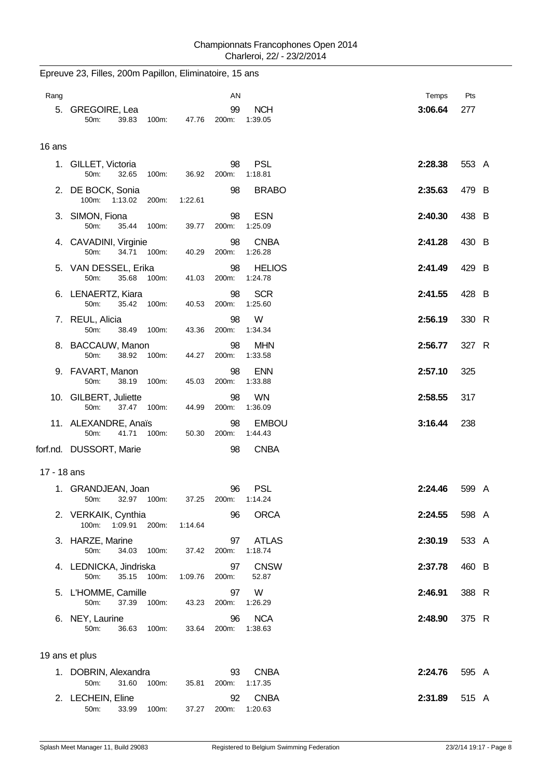Epreuve 23, Filles, 200m Papillon, Eliminatoire, 15 ans

| Rang        |                                            |             |         | AN                |                          | Temps   | Pts   |  |
|-------------|--------------------------------------------|-------------|---------|-------------------|--------------------------|---------|-------|--|
|             | 5. GREGOIRE, Lea<br>50m:<br>39.83          | 100m:       | 47.76   | 99<br>200m:       | <b>NCH</b><br>1:39.05    | 3:06.64 | 277   |  |
|             |                                            |             |         |                   |                          |         |       |  |
| 16 ans      |                                            |             |         |                   |                          |         |       |  |
|             | 1. GILLET, Victoria<br>32.65<br>50m:       | 100m:       | 36.92   | 98<br>200m:       | <b>PSL</b><br>1:18.81    | 2:28.38 | 553 A |  |
|             | 2. DE BOCK, Sonia<br>100m:<br>1:13.02      | 200m:       | 1:22.61 | 98                | <b>BRABO</b>             | 2:35.63 | 479 B |  |
|             | 3. SIMON, Fiona<br>50m:<br>35.44           | 100m:       | 39.77   | 98<br>200m:       | <b>ESN</b><br>1:25.09    | 2:40.30 | 438 B |  |
|             | 4. CAVADINI, Virginie<br>50m:              | 34.71 100m: | 40.29   | 98<br>200m:       | <b>CNBA</b><br>1:26.28   | 2:41.28 | 430 B |  |
|             | 5. VAN DESSEL, Erika<br>35.68<br>50m:      | 100m:       | 41.03   | 98<br>200m:       | <b>HELIOS</b><br>1:24.78 | 2:41.49 | 429 B |  |
|             | 6. LENAERTZ, Kiara<br>50m:<br>35.42        | 100m:       | 40.53   | 98<br>200m:       | <b>SCR</b><br>1:25.60    | 2:41.55 | 428 B |  |
|             | 7. REUL, Alicia<br>50m:<br>38.49           | 100m:       | 43.36   | 98<br>200m:       | W<br>1:34.34             | 2:56.19 | 330 R |  |
|             | 8. BACCAUW, Manon<br>50m:<br>38.92         | 100m:       | 44.27   | 98<br>200m:       | <b>MHN</b><br>1:33.58    | 2:56.77 | 327 R |  |
|             | 9. FAVART, Manon<br>50m:<br>38.19          | 100m:       | 45.03   | 98<br>200m:       | <b>ENN</b><br>1:33.88    | 2:57.10 | 325   |  |
|             | 10. GILBERT, Juliette<br>37.47<br>50m:     | 100m:       | 44.99   | 98<br>200m:       | <b>WN</b><br>1:36.09     | 2:58.55 | 317   |  |
|             | 11. ALEXANDRE, Anaïs<br>50m:<br>41.71      | 100m:       | 50.30   | 98<br>200m:       | <b>EMBOU</b><br>1:44.43  | 3:16.44 | 238   |  |
|             | forf.nd. DUSSORT, Marie                    |             |         | 98                | <b>CNBA</b>              |         |       |  |
| 17 - 18 ans |                                            |             |         |                   |                          |         |       |  |
|             | 1. GRANDJEAN, Joan<br>50m:                 | 32.97 100m: |         | 96<br>37.25 200m: | <b>PSL</b><br>1:14.24    | 2:24.46 | 599 A |  |
|             | 2. VERKAIK, Cynthia<br>100m: 1:09.91 200m: |             | 1:14.64 | 96                | <b>ORCA</b>              | 2:24.55 | 598 A |  |
|             | 3. HARZE, Marine<br>50m:                   | 34.03 100m: | 37.42   | 97<br>200m:       | <b>ATLAS</b><br>1:18.74  | 2:30.19 | 533 A |  |
|             | 4. LEDNICKA, Jindriska<br>50m:<br>35.15    | 100m:       | 1:09.76 | 97<br>200m:       | <b>CNSW</b><br>52.87     | 2:37.78 | 460 B |  |
|             | 5. L'HOMME, Camille<br>50m:                | 37.39 100m: | 43.23   | 97<br>200m:       | W<br>1:26.29             | 2:46.91 | 388 R |  |
|             | 6. NEY, Laurine<br>50m:                    | 36.63 100m: | 33.64   | 96<br>200m:       | <b>NCA</b><br>1:38.63    | 2:48.90 | 375 R |  |
|             | 19 ans et plus                             |             |         |                   |                          |         |       |  |
|             | 1. DOBRIN, Alexandra<br>31.60<br>50m:      | 100m:       | 35.81   | 93<br>200m:       | <b>CNBA</b><br>1:17.35   | 2:24.76 | 595 A |  |
|             | 2. LECHEIN, Eline                          |             |         | 92                | <b>CNBA</b>              | 2:31.89 | 515 A |  |

50m: 33.99 100m: 37.27 200m: 1:20.63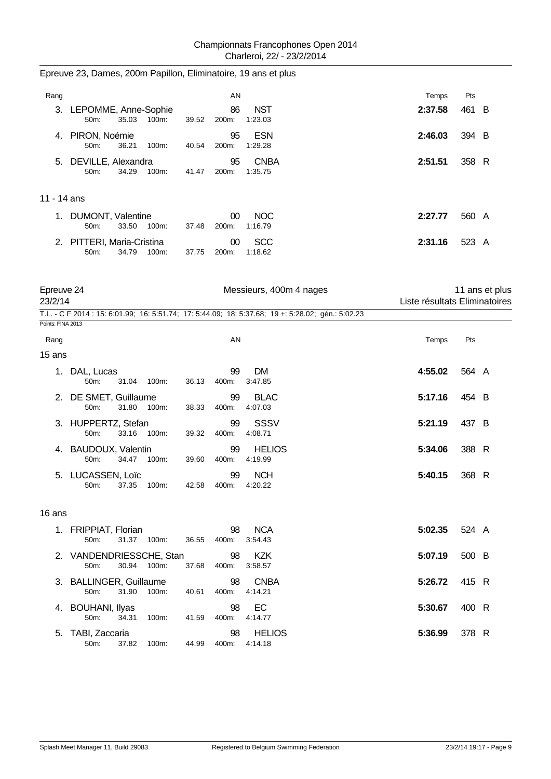Epreuve 23, Dames, 200m Papillon, Eliminatoire, 19 ans et plus

| Rang                  |                                                      |       | AN              |                                                                                                    | Temps                         | Pts   |                |
|-----------------------|------------------------------------------------------|-------|-----------------|----------------------------------------------------------------------------------------------------|-------------------------------|-------|----------------|
|                       | 3. LEPOMME, Anne-Sophie<br>35.03<br>100m:<br>50m:    | 39.52 | 86<br>200m:     | <b>NST</b><br>1:23.03                                                                              | 2:37.58                       | 461 B |                |
|                       | 4. PIRON, Noémie<br>50m:<br>36.21<br>100m:           | 40.54 | 95<br>200m:     | <b>ESN</b><br>1:29.28                                                                              | 2:46.03                       | 394 B |                |
| 5.                    | DEVILLE, Alexandra<br>50m:<br>34.29<br>100m:         | 41.47 | 95<br>200m:     | <b>CNBA</b><br>1:35.75                                                                             | 2:51.51                       | 358 R |                |
| 11 - 14 ans           |                                                      |       |                 |                                                                                                    |                               |       |                |
|                       | 1. DUMONT, Valentine<br>33.50<br>50m:<br>100m:       | 37.48 | $00\,$<br>200m: | <b>NOC</b><br>1:16.79                                                                              | 2:27.77                       | 560 A |                |
|                       | 2. PITTERI, Maria-Cristina<br>50m:<br>34.79<br>100m: | 37.75 | $00\,$<br>200m: | <b>SCC</b><br>1:18.62                                                                              | 2:31.16                       | 523 A |                |
| Epreuve 24<br>23/2/14 |                                                      |       |                 | Messieurs, 400m 4 nages                                                                            | Liste résultats Eliminatoires |       | 11 ans et plus |
| Points: FINA 2013     |                                                      |       |                 | T.L. - C F 2014 : 15: 6:01.99; 16: 5:51.74; 17: 5:44.09; 18: 5:37.68; 19 +: 5:28.02; gén.: 5:02.23 |                               |       |                |
| Rang                  |                                                      |       | AN              |                                                                                                    | Temps                         | Pts   |                |
| 15 ans                |                                                      |       |                 |                                                                                                    |                               |       |                |
|                       | 1. DAL, Lucas<br>50m:<br>31.04<br>100m:              | 36.13 | 99<br>400m:     | <b>DM</b><br>3:47.85                                                                               | 4:55.02                       | 564 A |                |
| 2.                    | DE SMET, Guillaume<br>50m:<br>31.80<br>100m:         | 38.33 | 99<br>400m:     | <b>BLAC</b><br>4:07.03                                                                             | 5:17.16                       | 454 B |                |
|                       | 3. HUPPERTZ, Stefan<br>50m:<br>33.16<br>100m:        | 39.32 | 99<br>400m:     | <b>SSSV</b><br>4:08.71                                                                             | 5:21.19                       | 437 B |                |
|                       | 4. BAUDOUX, Valentin<br>100m:<br>50m:<br>34.47       | 39.60 | 99<br>400m:     | <b>HELIOS</b><br>4:19.99                                                                           | 5:34.06                       | 388 R |                |
| 5.                    | LUCASSEN, Loïc<br>50m:<br>37.35<br>100m:             | 42.58 | 99<br>400m:     | <b>NCH</b><br>4:20.22                                                                              | 5:40.15                       | 368 R |                |
| 16 ans                |                                                      |       |                 |                                                                                                    |                               |       |                |
|                       | 1. FRIPPIAT, Florian<br>31.37 100m:<br>50m:          | 36.55 | 98<br>400m:     | <b>NCA</b><br>3:54.43                                                                              | 5:02.35                       | 524 A |                |
|                       | 2. VANDENDRIESSCHE, Stan<br>50m:<br>30.94 100m:      | 37.68 | 98<br>400m:     | <b>KZK</b><br>3:58.57                                                                              | 5:07.19                       | 500 B |                |
|                       | 3. BALLINGER, Guillaume<br>31.90<br>100m:<br>50m:    | 40.61 | 98<br>400m:     | <b>CNBA</b><br>4:14.21                                                                             | 5:26.72                       | 415 R |                |
|                       | 4. BOUHANI, Ilyas<br>50m:<br>34.31<br>100m:          | 41.59 | 98<br>400m:     | EC<br>4:14.77                                                                                      | 5:30.67                       | 400 R |                |
|                       | 5. TABI, Zaccaria<br>50m:<br>37.82<br>100m:          | 44.99 | 98<br>400m:     | <b>HELIOS</b><br>4:14.18                                                                           | 5:36.99                       | 378 R |                |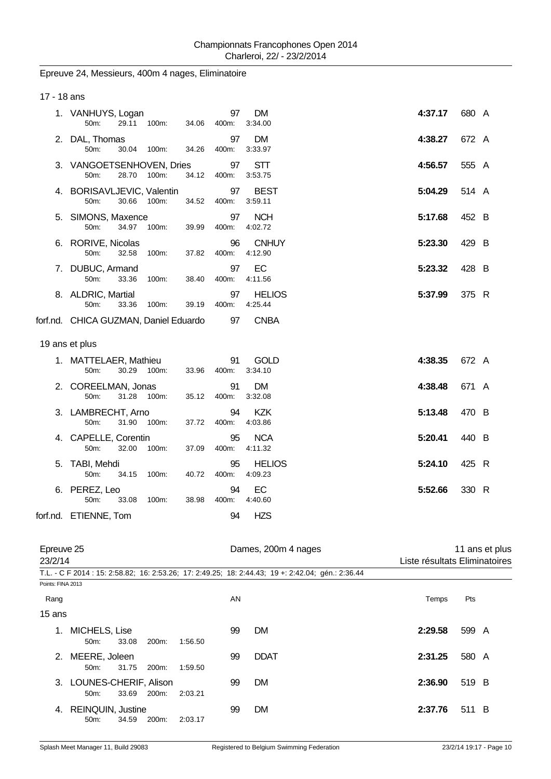# Epreuve 24, Messieurs, 400m 4 nages, Eliminatoire

| 17 - 18 ans           |                                        |                      |             |                          |                               |                |  |
|-----------------------|----------------------------------------|----------------------|-------------|--------------------------|-------------------------------|----------------|--|
|                       | 1. VANHUYS, Logan<br>50m:              | 29.11 100m:<br>34.06 | 97<br>400m: | DM<br>3:34.00            | 4:37.17                       | 680 A          |  |
|                       | 2. DAL, Thomas<br>50m:                 | 30.04 100m:<br>34.26 | 97<br>400m: | DM<br>3:33.97            | 4:38.27                       | 672 A          |  |
|                       | 3. VANGOETSENHOVEN, Dries<br>50m:      | 28.70 100m:<br>34.12 | 97<br>400m: | STT<br>3:53.75           | 4:56.57                       | 555 A          |  |
|                       | 4. BORISAVLJEVIC, Valentin<br>50m:     | 30.66 100m:<br>34.52 | 97<br>400m: | <b>BEST</b><br>3:59.11   | 5:04.29                       | 514 A          |  |
|                       | 5. SIMONS, Maxence<br>34.97<br>50m:    | 100m:<br>39.99       | 97<br>400m: | <b>NCH</b><br>4:02.72    | 5:17.68                       | 452 B          |  |
|                       | 6. RORIVE, Nicolas<br>50m:<br>32.58    | 100m:<br>37.82       | 96<br>400m: | <b>CNHUY</b><br>4:12.90  | 5:23.30                       | 429 B          |  |
|                       | 7. DUBUC, Armand<br>50m:<br>33.36      | 100m:<br>38.40       | 97<br>400m: | EC<br>4:11.56            | 5:23.32                       | 428 B          |  |
|                       | 8. ALDRIC, Martial<br>50m:<br>33.36    | 100m:<br>39.19       | 97<br>400m: | <b>HELIOS</b><br>4:25.44 | 5:37.99                       | 375 R          |  |
|                       | forf.nd. CHICA GUZMAN, Daniel Eduardo  |                      | 97          | <b>CNBA</b>              |                               |                |  |
|                       | 19 ans et plus                         |                      |             |                          |                               |                |  |
|                       | 1. MATTELAER, Mathieu<br>30.29<br>50m: | 100m:<br>33.96       | 91<br>400m: | GOLD<br>3:34.10          | 4:38.35                       | 672 A          |  |
|                       | 2. COREELMAN, Jonas<br>31.28<br>50m:   | 100m:<br>35.12       | 91<br>400m: | DM.<br>3:32.08           | 4:38.48                       | 671 A          |  |
|                       | 3. LAMBRECHT, Arno<br>31.90<br>50m:    | 100m:<br>37.72       | 94<br>400m: | KZK<br>4:03.86           | 5:13.48                       | 470 B          |  |
|                       | 4. CAPELLE, Corentin<br>50m:<br>32.00  | 100m:<br>37.09       | 95<br>400m: | <b>NCA</b><br>4:11.32    | 5:20.41                       | 440 B          |  |
|                       | 5. TABI, Mehdi<br>50m:<br>34.15        | 40.72<br>100m:       | 95<br>400m: | <b>HELIOS</b><br>4:09.23 | 5:24.10                       | 425 R          |  |
|                       | 6. PEREZ, Leo<br>50m:<br>33.08         | 38.98<br>100m:       | 94<br>400m: | EC<br>4:40.60            | 5:52.66                       | 330 R          |  |
|                       | forf.nd. ETIENNE, Tom                  |                      | 94          | <b>HZS</b>               |                               |                |  |
| Epreuve 25<br>23/2/14 |                                        |                      |             | Dames, 200m 4 nages      | Liste résultats Eliminatoires | 11 ans et plus |  |

|                   |                                             |       |       |         |    | T.L. - C F 2014 : 15: 2:58.82;  16: 2:53.26;  17: 2:49.25;  18: 2:44.43;  19 +: 2:42.04;  gén.: 2:36.44 |         |       |  |
|-------------------|---------------------------------------------|-------|-------|---------|----|---------------------------------------------------------------------------------------------------------|---------|-------|--|
| Points: FINA 2013 |                                             |       |       |         |    |                                                                                                         |         |       |  |
| Rang              |                                             |       |       |         | AN |                                                                                                         | Temps   | Pts   |  |
| 15 ans            |                                             |       |       |         |    |                                                                                                         |         |       |  |
| 1.                | MICHELS, Lise<br>50 <sub>m</sub>            | 33.08 | 200m: | 1:56.50 | 99 | <b>DM</b>                                                                                               | 2:29.58 | 599 A |  |
| 2.                | MEERE, Joleen<br>50 <sub>m</sub>            | 31.75 | 200m: | 1:59.50 | 99 | <b>DDAT</b>                                                                                             | 2:31.25 | 580 A |  |
|                   | 3. LOUNES-CHERIF, Alison<br>$50m$ :         | 33.69 | 200m: | 2:03.21 | 99 | <b>DM</b>                                                                                               | 2:36.90 | 519 B |  |
| 4.                | <b>REINQUIN, Justine</b><br>50 <sub>m</sub> | 34.59 | 200m: | 2:03.17 | 99 | <b>DM</b>                                                                                               | 2:37.76 | 511 B |  |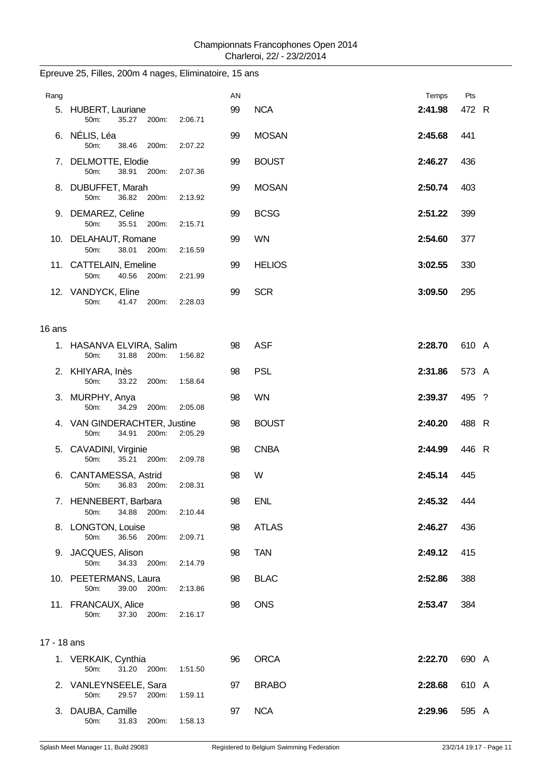| Rang        |                                                                   | AN |               | Temps   | Pts   |
|-------------|-------------------------------------------------------------------|----|---------------|---------|-------|
|             | 5. HUBERT, Lauriane<br>50m:<br>35.27 200m:<br>2:06.71             | 99 | <b>NCA</b>    | 2:41.98 | 472 R |
|             | 6. NÉLIS, Léa<br>50m:<br>38.46<br>200m:<br>2:07.22                | 99 | <b>MOSAN</b>  | 2:45.68 | 441   |
|             | 7. DELMOTTE, Elodie<br>50m:<br>38.91 200m:<br>2:07.36             | 99 | <b>BOUST</b>  | 2:46.27 | 436   |
|             | 8. DUBUFFET, Marah<br>50m:<br>36.82 200m:<br>2:13.92              | 99 | <b>MOSAN</b>  | 2:50.74 | 403   |
|             | 9. DEMAREZ, Celine<br>35.51<br>50m:<br>200m:<br>2:15.71           | 99 | <b>BCSG</b>   | 2:51.22 | 399   |
|             | 10. DELAHAUT, Romane<br>50m:<br>38.01<br>200m:<br>2:16.59         | 99 | <b>WN</b>     | 2:54.60 | 377   |
|             | 11. CATTELAIN, Emeline<br>40.56<br>200m:<br>50m:<br>2:21.99       | 99 | <b>HELIOS</b> | 3:02.55 | 330   |
|             | 12. VANDYCK, Eline<br>50m:<br>41.47<br>200m:<br>2:28.03           | 99 | <b>SCR</b>    | 3:09.50 | 295   |
| 16 ans      |                                                                   |    |               |         |       |
|             | 1. HASANVA ELVIRA, Salim<br>31.88<br>50m:<br>200m:<br>1:56.82     | 98 | <b>ASF</b>    | 2:28.70 | 610 A |
|             | 2. KHIYARA, Inès<br>50m:<br>1:58.64<br>33.22<br>200m:             | 98 | <b>PSL</b>    | 2:31.86 | 573 A |
|             | 3. MURPHY, Anya<br>50m:<br>34.29<br>200m:<br>2:05.08              | 98 | <b>WN</b>     | 2:39.37 | 495 ? |
|             | 4. VAN GINDERACHTER, Justine<br>50m:<br>34.91<br>200m:<br>2:05.29 | 98 | <b>BOUST</b>  | 2:40.20 | 488 R |
|             | 5. CAVADINI, Virginie<br>35.21 200m:<br>50m:<br>2:09.78           | 98 | <b>CNBA</b>   | 2:44.99 | 446 R |
|             | 6. CANTAMESSA, Astrid<br>36.83<br>200m:<br>50m:<br>2:08.31        | 98 | W             | 2:45.14 | 445   |
|             | 7. HENNEBERT, Barbara<br>50m:<br>34.88 200m:<br>2:10.44           | 98 | <b>ENL</b>    | 2:45.32 | 444   |
|             | 8. LONGTON, Louise<br>50m:<br>36.56<br>200m:<br>2:09.71           | 98 | <b>ATLAS</b>  | 2:46.27 | 436   |
|             | 9. JACQUES, Alison<br>34.33 200m:<br>50m:<br>2:14.79              | 98 | <b>TAN</b>    | 2:49.12 | 415   |
|             | 10. PEETERMANS, Laura<br>50m:<br>39.00 200m:<br>2:13.86           | 98 | <b>BLAC</b>   | 2:52.86 | 388   |
|             | 11. FRANCAUX, Alice<br>200m:<br>50m:<br>37.30<br>2:16.17          | 98 | <b>ONS</b>    | 2:53.47 | 384   |
| 17 - 18 ans |                                                                   |    |               |         |       |
|             | 1. VERKAIK, Cynthia<br>31.20 200m:<br>50m:<br>1:51.50             | 96 | <b>ORCA</b>   | 2:22.70 | 690 A |
|             | 2. VANLEYNSEELE, Sara<br>50m:<br>29.57<br>1:59.11<br>200m:        | 97 | <b>BRABO</b>  | 2:28.68 | 610 A |
|             | 3. DAUBA, Camille<br>50m:<br>31.83<br>200m:<br>1:58.13            | 97 | <b>NCA</b>    | 2:29.96 | 595 A |

# Epreuve 25, Filles, 200m 4 nages, Eliminatoire, 15 ans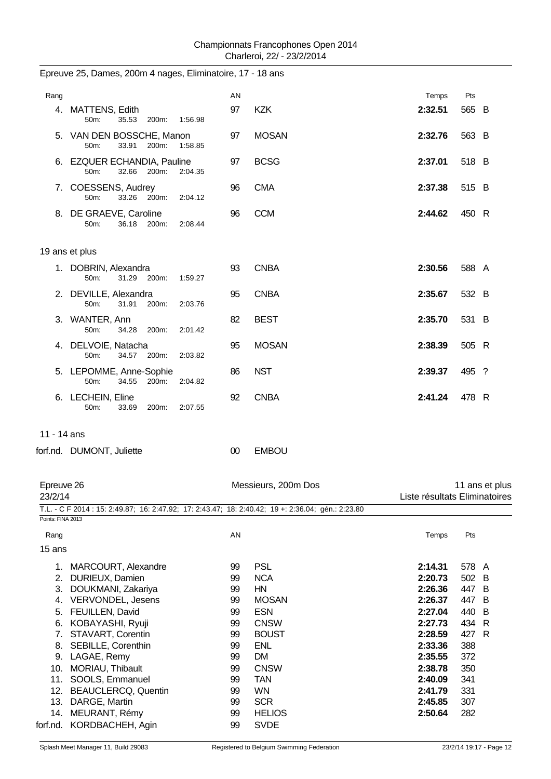|                       | Epreuve 25, Dames, 200m 4 nages, Eliminatoire, 17 - 18 ans                                         |          |                            |                               |                |                |
|-----------------------|----------------------------------------------------------------------------------------------------|----------|----------------------------|-------------------------------|----------------|----------------|
| Rang                  |                                                                                                    | AN       |                            | Temps                         | Pts            |                |
|                       | 4. MATTENS, Edith<br>35.53<br>50m:<br>200m:<br>1:56.98                                             | 97       | <b>KZK</b>                 | 2:32.51                       | 565 B          |                |
|                       | 5. VAN DEN BOSSCHE, Manon<br>50 <sub>m</sub> :<br>33.91<br>200m:<br>1:58.85                        | 97       | <b>MOSAN</b>               | 2:32.76                       | 563 B          |                |
|                       | 6. EZQUER ECHANDIA, Pauline<br>50m:<br>32.66<br>200m:<br>2:04.35                                   | 97       | <b>BCSG</b>                | 2:37.01                       | 518 B          |                |
|                       | 7. COESSENS, Audrey<br>33.26 200m:<br>50m:<br>2:04.12                                              | 96       | <b>CMA</b>                 | 2:37.38                       | 515 B          |                |
|                       | 8. DE GRAEVE, Caroline<br>36.18<br>200m:<br>50m:<br>2:08.44                                        | 96       | <b>CCM</b>                 | 2:44.62                       | 450 R          |                |
|                       | 19 ans et plus                                                                                     |          |                            |                               |                |                |
|                       | 1. DOBRIN, Alexandra<br>31.29<br>200m:<br>50m:<br>1:59.27                                          | 93       | <b>CNBA</b>                | 2:30.56                       | 588 A          |                |
|                       | 2. DEVILLE, Alexandra<br>50m:<br>31.91<br>200m:<br>2:03.76                                         | 95       | <b>CNBA</b>                | 2:35.67                       | 532 B          |                |
|                       | 3. WANTER, Ann<br>50m:<br>34.28<br>200m:<br>2:01.42                                                | 82       | <b>BEST</b>                | 2:35.70                       | 531 B          |                |
|                       | 4. DELVOIE, Natacha<br>50m:<br>34.57<br>200m:<br>2:03.82                                           | 95       | <b>MOSAN</b>               | 2:38.39                       | 505 R          |                |
|                       | 5. LEPOMME, Anne-Sophie<br>50m:<br>34.55<br>200m:<br>2:04.82                                       | 86       | <b>NST</b>                 | 2:39.37                       | 495 ?          |                |
|                       | 6. LECHEIN, Eline<br>33.69<br>200m:<br>2:07.55<br>50m:                                             | 92       | <b>CNBA</b>                | 2:41.24                       | 478 R          |                |
| 11 - 14 ans           |                                                                                                    |          |                            |                               |                |                |
|                       | forf.nd. DUMONT, Juliette                                                                          | $00\,$   | <b>EMBOU</b>               |                               |                |                |
| Epreuve 26<br>23/2/14 |                                                                                                    |          | Messieurs, 200m Dos        | Liste résultats Eliminatoires |                | 11 ans et plus |
| Points: FINA 2013     | T.L. - C F 2014 : 15: 2:49.87; 16: 2:47.92; 17: 2:43.47; 18: 2:40.42; 19 +: 2:36.04; gén.: 2:23.80 |          |                            |                               |                |                |
| Rang                  |                                                                                                    | AN       |                            | Temps                         | Pts            |                |
| 15 ans                |                                                                                                    |          |                            |                               |                |                |
|                       | 1. MARCOURT, Alexandre<br>2. DURIEUX, Damien                                                       | 99<br>99 | <b>PSL</b><br><b>NCA</b>   | 2:14.31<br>2:20.73            | 578 A<br>502 B |                |
| 3.                    | DOUKMANI, Zakariya                                                                                 | 99       | HN                         | 2:26.36                       | 447 B          |                |
|                       | 4. VERVONDEL, Jesens                                                                               | 99       | <b>MOSAN</b>               | 2:26.37                       | 447 B          |                |
|                       | 5. FEUILLEN, David                                                                                 | 99       | <b>ESN</b>                 | 2:27.04                       | 440 B          |                |
|                       | 6. KOBAYASHI, Ryuji                                                                                | 99       | <b>CNSW</b>                | 2:27.73                       | 434 R          |                |
| 7.<br>8.              | STAVART, Corentin<br>SEBILLE, Corenthin                                                            | 99<br>99 | <b>BOUST</b><br><b>ENL</b> | 2:28.59<br>2:33.36            | 427 R<br>388   |                |
|                       | 9. LAGAE, Remy                                                                                     | 99       | <b>DM</b>                  | 2:35.55                       | 372            |                |
|                       | 10. MORIAU, Thibault                                                                               | 99       | <b>CNSW</b>                | 2:38.78                       | 350            |                |
| 11.                   | SOOLS, Emmanuel                                                                                    | 99       | <b>TAN</b>                 | 2:40.09                       | 341            |                |
|                       | 12. BEAUCLERCQ, Quentin                                                                            | 99       | <b>WN</b>                  | 2:41.79                       | 331            |                |
|                       | 13. DARGE, Martin                                                                                  | 99       | <b>SCR</b>                 | 2:45.85                       | 307            |                |
|                       | 14. MEURANT, Rémy                                                                                  | 99       | <b>HELIOS</b>              | 2:50.64                       | 282            |                |
|                       | forf.nd. KORDBACHEH, Agin                                                                          | 99       | <b>SVDE</b>                |                               |                |                |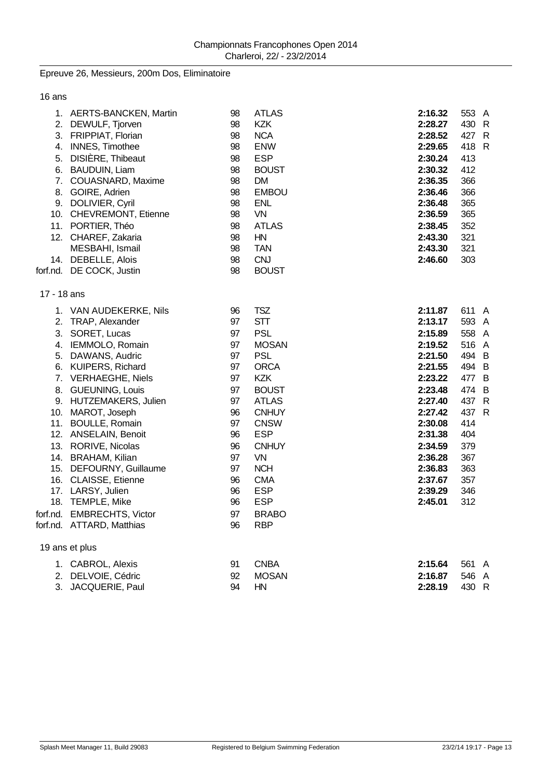## Epreuve 26, Messieurs, 200m Dos, Eliminatoire

16 ans

|             | 1. AERTS-BANCKEN, Martin   | 98 | <b>ATLAS</b> | 2:16.32 | 553 A |  |
|-------------|----------------------------|----|--------------|---------|-------|--|
|             | 2. DEWULF, Tjorven         | 98 | <b>KZK</b>   | 2:28.27 | 430 R |  |
|             | 3. FRIPPIAT, Florian       | 98 | <b>NCA</b>   | 2:28.52 | 427 R |  |
|             | 4. INNES, Timothee         | 98 | <b>ENW</b>   | 2:29.65 | 418 R |  |
|             | 5. DISIÈRE, Thibeaut       | 98 | <b>ESP</b>   | 2:30.24 | 413   |  |
|             | 6. BAUDUIN, Liam           | 98 | <b>BOUST</b> | 2:30.32 | 412   |  |
|             | 7. COUASNARD, Maxime       | 98 | DM.          | 2:36.35 | 366   |  |
|             | 8. GOIRE, Adrien           | 98 | <b>EMBOU</b> | 2:36.46 | 366   |  |
|             | 9. DOLIVIER, Cyril         | 98 | <b>ENL</b>   | 2:36.48 | 365   |  |
|             | 10. CHEVREMONT, Etienne    | 98 | VN           | 2:36.59 | 365   |  |
|             | 11. PORTIER, Théo          | 98 | <b>ATLAS</b> | 2:38.45 | 352   |  |
|             | 12. CHAREF, Zakaria        | 98 | <b>HN</b>    | 2:43.30 | 321   |  |
|             | MESBAHI, Ismail            | 98 | <b>TAN</b>   | 2:43.30 | 321   |  |
|             | 14. DEBELLE, Alois         | 98 | <b>CNJ</b>   | 2:46.60 | 303   |  |
|             | forf.nd. DE COCK, Justin   | 98 | <b>BOUST</b> |         |       |  |
| 17 - 18 ans |                            |    |              |         |       |  |
|             | 1. VAN AUDEKERKE, Nils     | 96 | <b>TSZ</b>   | 2:11.87 | 611 A |  |
|             | 2. TRAP, Alexander         | 97 | <b>STT</b>   | 2:13.17 | 593 A |  |
|             | 3. SORET, Lucas            | 97 | <b>PSL</b>   | 2:15.89 | 558 A |  |
|             | 4. IEMMOLO, Romain         | 97 | <b>MOSAN</b> | 2:19.52 | 516 A |  |
|             | 5. DAWANS, Audric          | 97 | <b>PSL</b>   | 2:21.50 | 494 B |  |
|             | 6. KUIPERS, Richard        | 97 | <b>ORCA</b>  | 2:21.55 | 494 B |  |
|             | 7. VERHAEGHE, Niels        | 97 | <b>KZK</b>   | 2:23.22 | 477 B |  |
|             | 8. GUEUNING, Louis         | 97 | <b>BOUST</b> | 2:23.48 | 474 B |  |
|             | 9. HUTZEMAKERS, Julien     | 97 | <b>ATLAS</b> | 2:27.40 | 437 R |  |
|             | 10. MAROT, Joseph          | 96 | <b>CNHUY</b> | 2:27.42 | 437 R |  |
|             | 11. BOULLE, Romain         | 97 | <b>CNSW</b>  | 2:30.08 | 414   |  |
|             | 12. ANSELAIN, Benoit       | 96 | <b>ESP</b>   | 2:31.38 | 404   |  |
|             | 13. RORIVE, Nicolas        | 96 | <b>CNHUY</b> | 2:34.59 | 379   |  |
|             | 14. BRAHAM, Kilian         | 97 | VN           | 2:36.28 | 367   |  |
|             | 15. DEFOURNY, Guillaume    | 97 | <b>NCH</b>   | 2:36.83 | 363   |  |
|             | 16. CLAISSE, Etienne       | 96 | <b>CMA</b>   | 2:37.67 | 357   |  |
|             | 17. LARSY, Julien          | 96 | <b>ESP</b>   | 2:39.29 | 346   |  |
|             | 18. TEMPLE, Mike           | 96 | <b>ESP</b>   | 2:45.01 | 312   |  |
|             | forf.nd. EMBRECHTS, Victor | 97 | <b>BRABO</b> |         |       |  |
|             | forf.nd. ATTARD, Matthias  | 96 | <b>RBP</b>   |         |       |  |
|             | 19 ans et plus             |    |              |         |       |  |
|             | 1. CABROL, Alexis          | 91 | <b>CNBA</b>  | 2:15.64 | 561 A |  |
|             | 2. DELVOIE, Cédric         | 92 | <b>MOSAN</b> | 2:16.87 | 546 A |  |
|             | 3. JACQUERIE, Paul         | 94 | HN           | 2:28.19 | 430 R |  |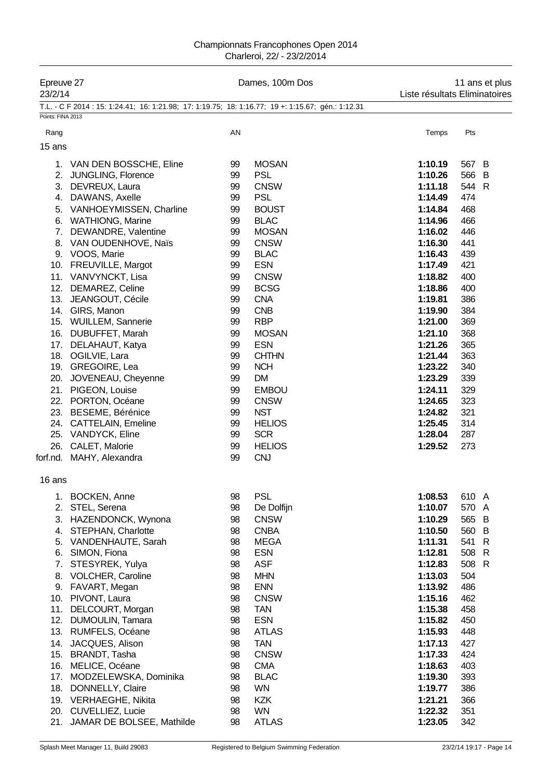| Epreuve 27<br>23/2/14 |                                                                                                    | Dames, 100m Dos | 11 ans et plus<br>Liste résultats Eliminatoires |                    |                       |  |  |
|-----------------------|----------------------------------------------------------------------------------------------------|-----------------|-------------------------------------------------|--------------------|-----------------------|--|--|
| Points: FINA 2013     | T.L. - C F 2014 : 15: 1:24.41; 16: 1:21.98; 17: 1:19.75; 18: 1:16.77; 19 +: 1:15.67; gén.: 1:12.31 |                 |                                                 |                    |                       |  |  |
| Rang                  |                                                                                                    | AN              |                                                 | Temps              | Pts                   |  |  |
| 15 ans                |                                                                                                    |                 |                                                 |                    |                       |  |  |
|                       |                                                                                                    |                 |                                                 |                    |                       |  |  |
|                       | 1. VAN DEN BOSSCHE, Eline                                                                          | 99              | <b>MOSAN</b>                                    | 1:10.19            | 567 B                 |  |  |
|                       | 2. JUNGLING, Florence                                                                              | 99              | <b>PSL</b>                                      | 1:10.26            | 566 B                 |  |  |
|                       | 3. DEVREUX, Laura                                                                                  | 99              | <b>CNSW</b>                                     | 1:11.18            | 544 R                 |  |  |
|                       | 4. DAWANS, Axelle                                                                                  | 99              | <b>PSL</b>                                      | 1:14.49            | 474                   |  |  |
|                       | 5. VANHOEYMISSEN, Charline                                                                         | 99              | <b>BOUST</b>                                    | 1:14.84            | 468                   |  |  |
|                       | 6. WATHIONG, Marine                                                                                | 99              | <b>BLAC</b>                                     | 1:14.96            | 466                   |  |  |
|                       | 7. DEWANDRE, Valentine<br>8. VAN OUDENHOVE, Naïs                                                   | 99<br>99        | <b>MOSAN</b><br><b>CNSW</b>                     | 1:16.02<br>1:16.30 | 446<br>441            |  |  |
|                       | 9. VOOS, Marie                                                                                     | 99              | <b>BLAC</b>                                     | 1:16.43            | 439                   |  |  |
|                       | 10. FREUVILLE, Margot                                                                              | 99              | <b>ESN</b>                                      | 1:17.49            | 421                   |  |  |
|                       | 11. VANVYNCKT, Lisa                                                                                | 99              | <b>CNSW</b>                                     | 1:18.82            | 400                   |  |  |
|                       | 12. DEMAREZ, Celine                                                                                | 99              | <b>BCSG</b>                                     | 1:18.86            | 400                   |  |  |
|                       | 13. JEANGOUT, Cécile                                                                               | 99              | <b>CNA</b>                                      | 1:19.81            | 386                   |  |  |
|                       | 14. GIRS, Manon                                                                                    | 99              | <b>CNB</b>                                      | 1:19.90            | 384                   |  |  |
|                       | 15. WUILLEM, Sannerie                                                                              | 99              | <b>RBP</b>                                      | 1:21.00            | 369                   |  |  |
|                       | 16. DUBUFFET, Marah                                                                                | 99              | <b>MOSAN</b>                                    | 1:21.10            | 368                   |  |  |
|                       | 17. DELAHAUT, Katya                                                                                | 99              | <b>ESN</b>                                      | 1:21.26            | 365                   |  |  |
|                       | 18. OGILVIE, Lara                                                                                  | 99              | <b>CHTHN</b>                                    | 1:21.44            | 363                   |  |  |
|                       | 19. GREGOIRE, Lea                                                                                  | 99              | <b>NCH</b>                                      | 1:23.22            | 340                   |  |  |
|                       | 20. JOVENEAU, Cheyenne                                                                             | 99              | <b>DM</b>                                       | 1:23.29            | 339                   |  |  |
|                       | 21. PIGEON, Louise                                                                                 | 99              | <b>EMBOU</b>                                    | 1:24.11            | 329                   |  |  |
|                       | 22. PORTON, Océane                                                                                 | 99              | <b>CNSW</b>                                     | 1:24.65            | 323                   |  |  |
|                       | 23. BESEME, Bérénice                                                                               | 99              | <b>NST</b>                                      | 1:24.82            | 321                   |  |  |
|                       | 24. CATTELAIN, Emeline                                                                             | 99              | <b>HELIOS</b>                                   | 1:25.45            | 314                   |  |  |
|                       | 25. VANDYCK, Eline                                                                                 | 99              | <b>SCR</b>                                      | 1:28.04            | 287                   |  |  |
|                       | 26. CALET, Malorie                                                                                 | 99              | <b>HELIOS</b>                                   | 1:29.52            | 273                   |  |  |
|                       | forf.nd. MAHY, Alexandra                                                                           | 99              | <b>CNJ</b>                                      |                    |                       |  |  |
| 16 ans                |                                                                                                    |                 |                                                 |                    |                       |  |  |
| 1.                    | <b>BOCKEN, Anne</b>                                                                                | 98              | <b>PSL</b>                                      | 1:08.53            | 610 A                 |  |  |
|                       | 2. STEL, Serena                                                                                    | 98              | De Dolfijn                                      | 1:10.07            | 570<br>A              |  |  |
|                       | 3. HAZENDONCK, Wynona                                                                              | 98              | <b>CNSW</b>                                     | 1:10.29            | 565 B                 |  |  |
| 4.                    | STEPHAN, Charlotte                                                                                 | 98              | <b>CNBA</b>                                     | 1:10.50            | 560<br>$\overline{B}$ |  |  |
|                       | 5. VANDENHAUTE, Sarah                                                                              | 98              | <b>MEGA</b>                                     | 1:11.31            | 541<br>$\mathsf{R}$   |  |  |
| 6.                    | SIMON, Fiona                                                                                       | 98              | <b>ESN</b>                                      | 1:12.81            | 508 R                 |  |  |
| 7.                    | STESYREK, Yulya                                                                                    | 98              | <b>ASF</b>                                      | 1:12.83            | 508<br>R              |  |  |
|                       | 8. VOLCHER, Caroline                                                                               | 98              | <b>MHN</b>                                      | 1:13.03            | 504                   |  |  |
|                       | 9. FAVART, Megan                                                                                   | 98              | <b>ENN</b>                                      | 1:13.92            | 486                   |  |  |
|                       | 10. PIVONT, Laura                                                                                  | 98              | <b>CNSW</b>                                     | 1:15.16            | 462                   |  |  |
|                       | 11. DELCOURT, Morgan                                                                               | 98<br>98        | <b>TAN</b><br><b>ESN</b>                        | 1:15.38            | 458                   |  |  |
|                       | 12. DUMOULIN, Tamara<br>13. RUMFELS, Océane                                                        | 98              | <b>ATLAS</b>                                    | 1:15.82<br>1:15.93 | 450<br>448            |  |  |
| 14.                   | JACQUES, Alison                                                                                    | 98              | <b>TAN</b>                                      | 1:17.13            | 427                   |  |  |
|                       | 15. BRANDT, Tasha                                                                                  | 98              | <b>CNSW</b>                                     | 1:17.33            | 424                   |  |  |
|                       | 16. MELICE, Océane                                                                                 | 98              | <b>CMA</b>                                      | 1:18.63            | 403                   |  |  |
| 17.                   | MODZELEWSKA, Dominika                                                                              | 98              | <b>BLAC</b>                                     | 1:19.30            | 393                   |  |  |
| 18.                   | DONNELLY, Claire                                                                                   | 98              | WN                                              | 1:19.77            | 386                   |  |  |
|                       | 19. VERHAEGHE, Nikita                                                                              | 98              | <b>KZK</b>                                      | 1:21.21            | 366                   |  |  |
|                       | 20. CUVELLIEZ, Lucie                                                                               | 98              | <b>WN</b>                                       | 1:22.32            | 351                   |  |  |
| 21.                   | JAMAR DE BOLSEE, Mathilde                                                                          | 98              | <b>ATLAS</b>                                    | 1:23.05            | 342                   |  |  |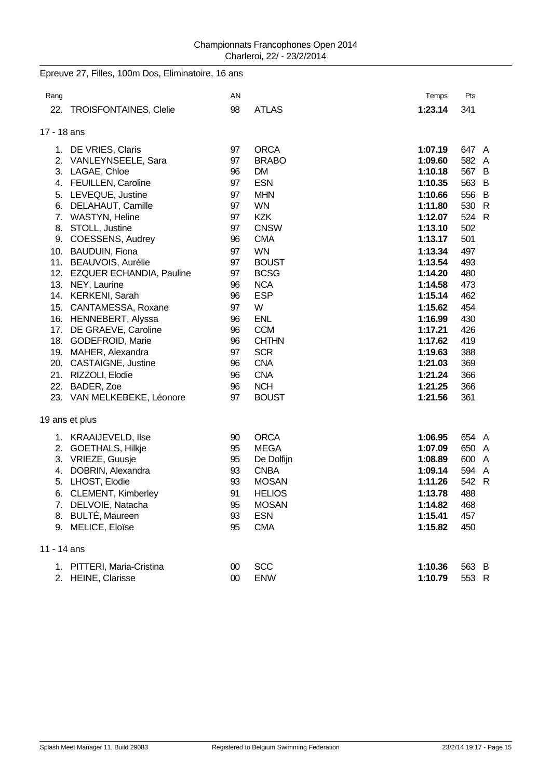|             | Epreuve 27, Filles, 100m Dos, Eliminatoire, 16 ans |          |                            |                    |            |
|-------------|----------------------------------------------------|----------|----------------------------|--------------------|------------|
| Rang        |                                                    | AN       |                            | Temps              | Pts        |
| 22.         | <b>TROISFONTAINES, Clelie</b>                      | 98       | <b>ATLAS</b>               | 1:23.14            | 341        |
| 17 - 18 ans |                                                    |          |                            |                    |            |
|             | 1. DE VRIES, Claris                                | 97       | <b>ORCA</b>                | 1:07.19            | 647 A      |
|             | 2. VANLEYNSEELE, Sara                              | 97       | <b>BRABO</b>               | 1:09.60            | 582 A      |
|             | 3. LAGAE, Chloe                                    | 96       | <b>DM</b>                  | 1:10.18            | 567 B      |
|             | 4. FEUILLEN, Caroline                              | 97       | <b>ESN</b>                 | 1:10.35            | 563 B      |
|             | 5. LEVEQUE, Justine                                | 97       | <b>MHN</b>                 | 1:10.66            | 556 B      |
|             | 6. DELAHAUT, Camille                               | 97       | <b>WN</b>                  | 1:11.80            | 530 R      |
|             | 7. WASTYN, Heline                                  | 97       | <b>KZK</b>                 | 1:12.07            | 524 R      |
|             | 8. STOLL, Justine                                  | 97       | <b>CNSW</b>                | 1:13.10            | 502        |
|             | 9. COESSENS, Audrey                                | 96       | <b>CMA</b>                 | 1:13.17            | 501        |
|             | 10. BAUDUIN, Fiona                                 | 97       | <b>WN</b>                  | 1:13.34            | 497        |
|             | 11. BEAUVOIS, Aurélie                              | 97       | <b>BOUST</b>               | 1:13.54            | 493        |
|             | 12. EZQUER ECHANDIA, Pauline                       | 97       | <b>BCSG</b>                | 1:14.20            | 480        |
|             | 13. NEY, Laurine                                   | 96       | <b>NCA</b>                 | 1:14.58            | 473        |
|             | 14. KERKENI, Sarah                                 | 96       | <b>ESP</b>                 | 1:15.14            | 462        |
|             | 15. CANTAMESSA, Roxane                             | 97       | W                          | 1:15.62            | 454        |
|             | 16. HENNEBERT, Alyssa                              | 96       | <b>ENL</b>                 | 1:16.99            | 430        |
|             | 17. DE GRAEVE, Caroline<br>18. GODEFROID, Marie    | 96<br>96 | <b>CCM</b><br><b>CHTHN</b> | 1:17.21<br>1:17.62 | 426<br>419 |
|             | 19. MAHER, Alexandra                               | 97       | <b>SCR</b>                 | 1:19.63            | 388        |
|             | 20. CASTAIGNE, Justine                             | 96       | <b>CNA</b>                 | 1:21.03            | 369        |
|             | 21. RIZZOLI, Elodie                                | 96       | <b>CNA</b>                 | 1:21.24            | 366        |
|             | 22. BADER, Zoe                                     | 96       | <b>NCH</b>                 | 1:21.25            | 366        |
|             | 23. VAN MELKEBEKE, Léonore                         | 97       | <b>BOUST</b>               | 1:21.56            | 361        |
|             |                                                    |          |                            |                    |            |
|             | 19 ans et plus                                     |          |                            |                    |            |
|             | 1. KRAAIJEVELD, Ilse                               | 90       | <b>ORCA</b>                | 1:06.95            | 654 A      |
|             | 2. GOETHALS, Hilkje                                | 95       | <b>MEGA</b>                | 1:07.09            | 650 A      |
|             | 3. VRIEZE, Guusje                                  | 95       | De Dolfijn                 | 1:08.89            | 600 A      |
|             | 4. DOBRIN, Alexandra                               | 93       | <b>CNBA</b>                | 1:09.14            | 594 A      |
| 5.          | LHOST, Elodie                                      | 93       | <b>MOSAN</b>               | 1:11.26            | 542 R      |
|             | 6. CLEMENT, Kimberley                              | 91       | <b>HELIOS</b>              | 1:13.78            | 488        |
| 7.          | DELVOIE, Natacha                                   | 95       | <b>MOSAN</b>               | 1:14.82            | 468        |
| 8.          | <b>BULTÉ, Maureen</b>                              | 93       | <b>ESN</b>                 | 1:15.41            | 457        |
| 9.          | MELICE, Eloïse                                     | 95       | <b>CMA</b>                 | 1:15.82            | 450        |
| 11 - 14 ans |                                                    |          |                            |                    |            |
|             | 1. PITTERI, Maria-Cristina                         | $00\,$   | <b>SCC</b>                 | 1:10.36            | 563 B      |
| 2.          | HEINE, Clarisse                                    | $00\,$   | ENW                        | 1:10.79            | 553 R      |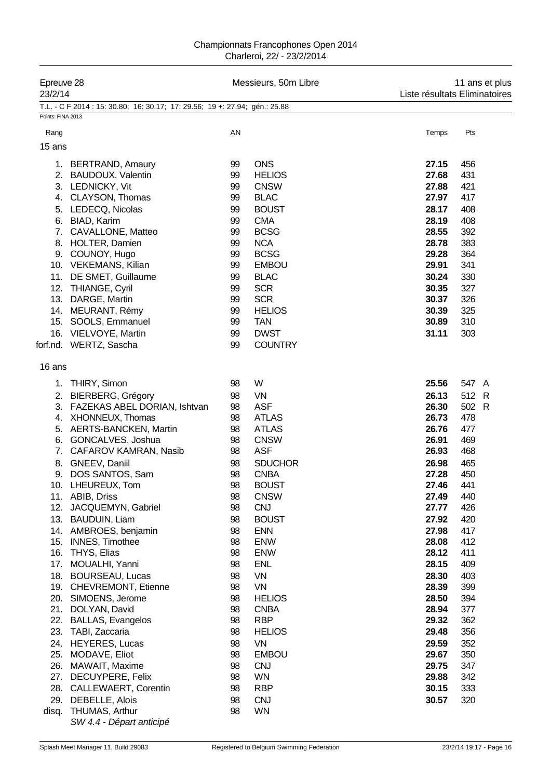| Epreuve 28<br>23/2/14                                     |                                                                                                                                                                                                                                                                                                                                                                                                                                                                                                                                                                                                                                                           |                                                                                                                                                                      | Messieurs, 50m Libre                                                                                                                                                                                                                                                                                                                                                               |                                                                                                                                                                                                                                                          | 11 ans et plus<br>Liste résultats Eliminatoires                                                                                                                                                        |  |  |
|-----------------------------------------------------------|-----------------------------------------------------------------------------------------------------------------------------------------------------------------------------------------------------------------------------------------------------------------------------------------------------------------------------------------------------------------------------------------------------------------------------------------------------------------------------------------------------------------------------------------------------------------------------------------------------------------------------------------------------------|----------------------------------------------------------------------------------------------------------------------------------------------------------------------|------------------------------------------------------------------------------------------------------------------------------------------------------------------------------------------------------------------------------------------------------------------------------------------------------------------------------------------------------------------------------------|----------------------------------------------------------------------------------------------------------------------------------------------------------------------------------------------------------------------------------------------------------|--------------------------------------------------------------------------------------------------------------------------------------------------------------------------------------------------------|--|--|
| Points: FINA 2013                                         | T.L. - C F 2014 : 15: 30.80; 16: 30.17; 17: 29.56; 19 +: 27.94; gén.: 25.88                                                                                                                                                                                                                                                                                                                                                                                                                                                                                                                                                                               |                                                                                                                                                                      |                                                                                                                                                                                                                                                                                                                                                                                    |                                                                                                                                                                                                                                                          |                                                                                                                                                                                                        |  |  |
| Rang                                                      |                                                                                                                                                                                                                                                                                                                                                                                                                                                                                                                                                                                                                                                           | AN                                                                                                                                                                   |                                                                                                                                                                                                                                                                                                                                                                                    | Temps                                                                                                                                                                                                                                                    | Pts                                                                                                                                                                                                    |  |  |
| 15 ans                                                    |                                                                                                                                                                                                                                                                                                                                                                                                                                                                                                                                                                                                                                                           |                                                                                                                                                                      |                                                                                                                                                                                                                                                                                                                                                                                    |                                                                                                                                                                                                                                                          |                                                                                                                                                                                                        |  |  |
| 7.                                                        | 1. BERTRAND, Amaury<br>2. BAUDOUX, Valentin<br>3. LEDNICKY, Vit<br>4. CLAYSON, Thomas<br>5. LEDECQ, Nicolas<br>6. BIAD, Karim<br>CAVALLONE, Matteo<br>8. HOLTER, Damien<br>9. COUNOY, Hugo<br>10. VEKEMANS, Kilian<br>11. DE SMET, Guillaume<br>12. THIANGE, Cyril<br>13. DARGE, Martin<br>14. MEURANT, Rémy<br>15. SOOLS, Emmanuel<br>16. VIELVOYE, Martin                                                                                                                                                                                                                                                                                               | 99<br>99<br>99<br>99<br>99<br>99<br>99<br>99<br>99<br>99<br>99<br>99<br>99<br>99<br>99<br>99                                                                         | <b>ONS</b><br><b>HELIOS</b><br><b>CNSW</b><br><b>BLAC</b><br><b>BOUST</b><br><b>CMA</b><br><b>BCSG</b><br><b>NCA</b><br><b>BCSG</b><br><b>EMBOU</b><br><b>BLAC</b><br><b>SCR</b><br><b>SCR</b><br><b>HELIOS</b><br><b>TAN</b><br><b>DWST</b>                                                                                                                                       | 27.15<br>27.68<br>27.88<br>27.97<br>28.17<br>28.19<br>28.55<br>28.78<br>29.28<br>29.91<br>30.24<br>30.35<br>30.37<br>30.39<br>30.89                                                                                                                      | 456<br>431<br>421<br>417<br>408<br>408<br>392<br>383<br>364<br>341<br>330<br>327<br>326<br>325<br>310<br>303                                                                                           |  |  |
|                                                           | forf.nd. WERTZ, Sascha                                                                                                                                                                                                                                                                                                                                                                                                                                                                                                                                                                                                                                    | 99                                                                                                                                                                   | <b>COUNTRY</b>                                                                                                                                                                                                                                                                                                                                                                     | 31.11                                                                                                                                                                                                                                                    |                                                                                                                                                                                                        |  |  |
| 16 ans                                                    |                                                                                                                                                                                                                                                                                                                                                                                                                                                                                                                                                                                                                                                           |                                                                                                                                                                      |                                                                                                                                                                                                                                                                                                                                                                                    |                                                                                                                                                                                                                                                          |                                                                                                                                                                                                        |  |  |
| 1.<br>7.<br>17.<br>18.<br>21.<br>23.<br>24.<br>25.<br>26. | THIRY, Simon<br>2. BIERBERG, Grégory<br>3. FAZEKAS ABEL DORIAN, Ishtvan<br>4. XHONNEUX, Thomas<br>5. AERTS-BANCKEN, Martin<br>6. GONCALVES, Joshua<br>CAFAROV KAMRAN, Nasib<br>8. GNEEV, Daniil<br>9. DOS SANTOS, Sam<br>10. LHEUREUX, Tom<br>11. ABIB, Driss<br>12. JACQUEMYN, Gabriel<br>13. BAUDUIN, Liam<br>14. AMBROES, benjamin<br>15. INNES, Timothee<br>16. THYS, Elias<br>MOUALHI, Yanni<br><b>BOURSEAU, Lucas</b><br>19. CHEVREMONT, Etienne<br>20. SIMOENS, Jerome<br>DOLYAN, David<br>22. BALLAS, Evangelos<br>TABI, Zaccaria<br><b>HEYERES, Lucas</b><br>MODAVE, Eliot<br>MAWAIT, Maxime<br>27. DECUYPERE, Felix<br>28. CALLEWAERT, Corentin | 98<br>98<br>98<br>98<br>98<br>98<br>98<br>98<br>98<br>98<br>98<br>98<br>98<br>98<br>98<br>98<br>98<br>98<br>98<br>98<br>98<br>98<br>98<br>98<br>98<br>98<br>98<br>98 | W<br>VN<br><b>ASF</b><br><b>ATLAS</b><br><b>ATLAS</b><br><b>CNSW</b><br><b>ASF</b><br><b>SDUCHOR</b><br><b>CNBA</b><br><b>BOUST</b><br><b>CNSW</b><br><b>CNJ</b><br><b>BOUST</b><br><b>ENN</b><br><b>ENW</b><br><b>ENW</b><br><b>ENL</b><br>VN<br>VN<br><b>HELIOS</b><br><b>CNBA</b><br><b>RBP</b><br><b>HELIOS</b><br>VN<br><b>EMBOU</b><br><b>CNJ</b><br><b>WN</b><br><b>RBP</b> | 25.56<br>26.13<br>26.30<br>26.73<br>26.76<br>26.91<br>26.93<br>26.98<br>27.28<br>27.46<br>27.49<br>27.77<br>27.92<br>27.98<br>28.08<br>28.12<br>28.15<br>28.30<br>28.39<br>28.50<br>28.94<br>29.32<br>29.48<br>29.59<br>29.67<br>29.75<br>29.88<br>30.15 | 547 A<br>512 R<br>502 R<br>478<br>477<br>469<br>468<br>465<br>450<br>441<br>440<br>426<br>420<br>417<br>412<br>411<br>409<br>403<br>399<br>394<br>377<br>362<br>356<br>352<br>350<br>347<br>342<br>333 |  |  |
|                                                           | 29. DEBELLE, Alois<br>disq. THUMAS, Arthur<br>SW 4.4 - Départ anticipé                                                                                                                                                                                                                                                                                                                                                                                                                                                                                                                                                                                    | 98<br>98                                                                                                                                                             | <b>CNJ</b><br><b>WN</b>                                                                                                                                                                                                                                                                                                                                                            | 30.57                                                                                                                                                                                                                                                    | 320                                                                                                                                                                                                    |  |  |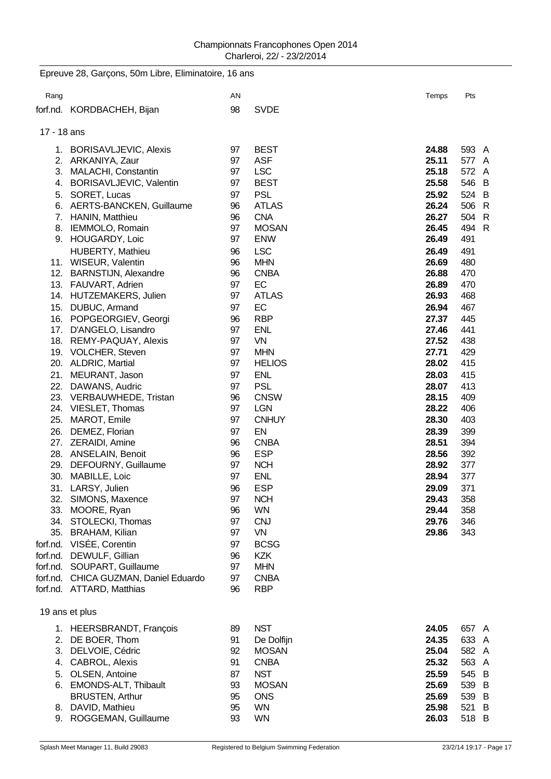|             | Epreuve 28, Garçons, 50m Libre, Eliminatoire, 16 ans |          |                          |                |            |
|-------------|------------------------------------------------------|----------|--------------------------|----------------|------------|
| Rang        |                                                      | AN       |                          | Temps          | Pts        |
|             | forf.nd. KORDBACHEH, Bijan                           | 98       | <b>SVDE</b>              |                |            |
| 17 - 18 ans |                                                      |          |                          |                |            |
|             | 1. BORISAVLJEVIC, Alexis                             | 97       | <b>BEST</b>              | 24.88          | 593 A      |
|             | 2. ARKANIYA, Zaur                                    | 97       | <b>ASF</b>               | 25.11          | 577 A      |
|             | 3. MALACHI, Constantin                               | 97       | <b>LSC</b>               | 25.18          | 572 A      |
|             | 4. BORISAVLJEVIC, Valentin                           | 97       | <b>BEST</b>              | 25.58          | 546 B      |
|             | 5. SORET, Lucas                                      | 97       | <b>PSL</b>               | 25.92          | 524 B      |
|             | 6. AERTS-BANCKEN, Guillaume                          | 96       | <b>ATLAS</b>             | 26.24          | 506 R      |
|             | 7. HANIN, Matthieu                                   | 96       | <b>CNA</b>               | 26.27          | 504 R      |
|             | 8. IEMMOLO, Romain                                   | 97       | <b>MOSAN</b>             | 26.45          | 494 R      |
|             | 9. HOUGARDY, Loic                                    | 97       | <b>ENW</b>               | 26.49          | 491        |
|             | HUBERTY, Mathieu                                     | 96       | <b>LSC</b>               | 26.49          | 491        |
|             | 11. WISEUR, Valentin                                 | 96       | <b>MHN</b>               | 26.69          | 480        |
|             | 12. BARNSTIJN, Alexandre                             | 96       | <b>CNBA</b>              | 26.88          | 470        |
|             | 13. FAUVART, Adrien                                  | 97       | EC                       | 26.89          | 470        |
|             | 14. HUTZEMAKERS, Julien                              | 97       | <b>ATLAS</b>             | 26.93          | 468        |
| 15.         | DUBUC, Armand                                        | 97       | EC                       | 26.94          | 467        |
|             | 16. POPGEORGIEV, Georgi                              | 96       | <b>RBP</b>               | 27.37          | 445        |
| 17.         | D'ANGELO, Lisandro                                   | 97       | <b>ENL</b>               | 27.46          | 441        |
|             | 18. REMY-PAQUAY, Alexis                              | 97       | <b>VN</b>                | 27.52          | 438        |
|             | 19. VOLCHER, Steven                                  | 97       | <b>MHN</b>               | 27.71          | 429        |
|             | 20. ALDRIC, Martial                                  | 97       | <b>HELIOS</b>            | 28.02          | 415        |
| 21.         | MEURANT, Jason                                       | 97       | <b>ENL</b>               | 28.03          | 415        |
| 22.         | DAWANS, Audric                                       | 97       | <b>PSL</b>               | 28.07          | 413        |
|             | 23. VERBAUWHEDE, Tristan                             | 96       | <b>CNSW</b>              | 28.15          | 409        |
|             | 24. VIESLET, Thomas                                  | 97       | <b>LGN</b>               | 28.22          | 406        |
| 25.         | MAROT, Emile                                         | 97       | <b>CNHUY</b>             | 28.30          | 403        |
| 26.         | DEMEZ, Florian                                       | 97       | EN                       | 28.39          | 399        |
|             | 27. ZERAIDI, Amine                                   | 96       | <b>CNBA</b>              | 28.51          | 394        |
|             | 28. ANSELAIN, Benoit                                 | 96       | <b>ESP</b>               | 28.56          | 392        |
|             | 29. DEFOURNY, Guillaume<br>30. MABILLE, Loic         | 97       | <b>NCH</b><br><b>ENL</b> | 28.92          | 377        |
|             |                                                      | 97       |                          | 28.94          | 377        |
|             | 31. LARSY, Julien                                    | 96       | <b>ESP</b>               | 29.09<br>29.43 | 371        |
|             | 32. SIMONS, Maxence                                  | 97<br>96 | <b>NCH</b><br><b>WN</b>  | 29.44          | 358        |
|             | 33. MOORE, Ryan<br>34. STOLECKI, Thomas              | 97       | <b>CNJ</b>               | 29.76          | 358<br>346 |
|             | 35. BRAHAM, Kilian                                   | 97       | VN                       | 29.86          | 343        |
|             | forf.nd. VISÉE, Corentin                             | 97       | <b>BCSG</b>              |                |            |
|             | forf.nd. DEWULF, Gillian                             | 96       | <b>KZK</b>               |                |            |
|             | forf.nd. SOUPART, Guillaume                          | 97       | <b>MHN</b>               |                |            |
|             | forf.nd. CHICA GUZMAN, Daniel Eduardo                | 97       | <b>CNBA</b>              |                |            |
|             | forf.nd. ATTARD, Matthias                            | 96       | <b>RBP</b>               |                |            |
|             |                                                      |          |                          |                |            |
|             | 19 ans et plus                                       |          |                          |                |            |
|             | 1. HEERSBRANDT, François                             | 89       | <b>NST</b>               | 24.05          | 657 A      |
|             | 2. DE BOER, Thom                                     | 91       | De Dolfijn               | 24.35          | 633 A      |
|             | 3. DELVOIE, Cédric                                   | 92       | <b>MOSAN</b>             | 25.04          | 582 A      |
|             | 4. CABROL, Alexis                                    | 91       | <b>CNBA</b>              | 25.32          | 563 A      |
| 5.          | OLSEN, Antoine                                       | 87       | <b>NST</b>               | 25.59          | 545 B      |
|             | 6. EMONDS-ALT, Thibault                              | 93       | <b>MOSAN</b>             | 25.69          | 539 B      |
|             | <b>BRUSTEN, Arthur</b>                               | 95       | <b>ONS</b>               | 25.69          | 539 B      |
|             | 8. DAVID, Mathieu                                    | 95       | <b>WN</b>                | 25.98          | 521 B      |
|             | 9. ROGGEMAN, Guillaume                               | 93       | <b>WN</b>                | 26.03          | 518 B      |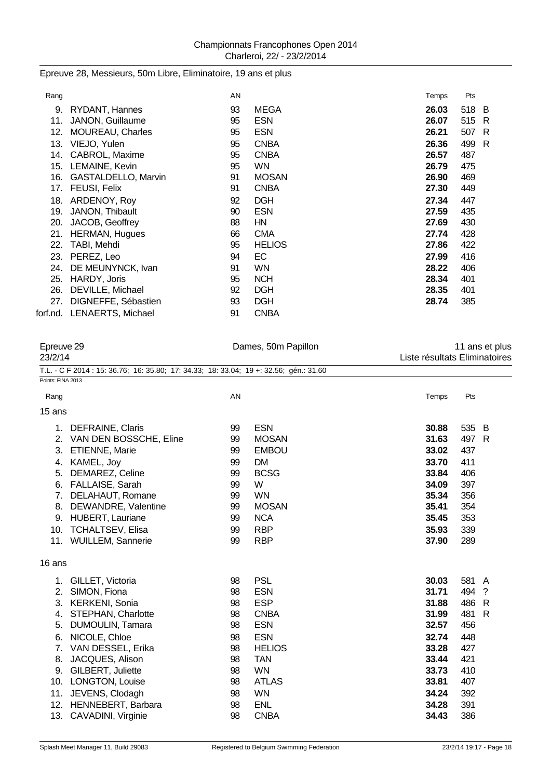## Epreuve 28, Messieurs, 50m Libre, Eliminatoire, 19 ans et plus

| Rang |                            | AN |               | Temps | Pts |     |
|------|----------------------------|----|---------------|-------|-----|-----|
| 9.   | RYDANT, Hannes             | 93 | <b>MEGA</b>   | 26.03 | 518 | - B |
| 11.  | JANON, Guillaume           | 95 | <b>ESN</b>    | 26.07 | 515 | R   |
| 12.  | <b>MOUREAU, Charles</b>    | 95 | <b>ESN</b>    | 26.21 | 507 | R   |
| 13.  | VIEJO, Yulen               | 95 | <b>CNBA</b>   | 26.36 | 499 | R   |
| 14.  | CABROL, Maxime             | 95 | <b>CNBA</b>   | 26.57 | 487 |     |
| 15.  | LEMAINE, Kevin             | 95 | <b>WN</b>     | 26.79 | 475 |     |
| 16.  | GASTALDELLO, Marvin        | 91 | <b>MOSAN</b>  | 26.90 | 469 |     |
| 17.  | FEUSI, Felix               | 91 | <b>CNBA</b>   | 27.30 | 449 |     |
| 18.  | ARDENOY, Roy               | 92 | <b>DGH</b>    | 27.34 | 447 |     |
| 19.  | JANON, Thibault            | 90 | <b>ESN</b>    | 27.59 | 435 |     |
| 20.  | JACOB, Geoffrey            | 88 | HN            | 27.69 | 430 |     |
| 21.  | <b>HERMAN, Hugues</b>      | 66 | <b>CMA</b>    | 27.74 | 428 |     |
| 22.  | TABI, Mehdi                | 95 | <b>HELIOS</b> | 27.86 | 422 |     |
| 23.  | PEREZ, Leo                 | 94 | EC.           | 27.99 | 416 |     |
| 24.  | DE MEUNYNCK, Ivan          | 91 | WN            | 28.22 | 406 |     |
| 25.  | HARDY, Joris               | 95 | <b>NCH</b>    | 28.34 | 401 |     |
| 26.  | DEVILLE, Michael           | 92 | <b>DGH</b>    | 28.35 | 401 |     |
| 27.  | DIGNEFFE, Sébastien        | 93 | <b>DGH</b>    | 28.74 | 385 |     |
|      | forf.nd. LENAERTS, Michael | 91 | <b>CNBA</b>   |       |     |     |
|      |                            |    |               |       |     |     |

| Epreuve 29        |                                                                                        |    | Dames, 50m Papillon |       | 11 ans et plus                |   |  |  |
|-------------------|----------------------------------------------------------------------------------------|----|---------------------|-------|-------------------------------|---|--|--|
|                   | 23/2/14                                                                                |    |                     |       | Liste résultats Eliminatoires |   |  |  |
|                   | T.L. - C F 2014 : 15: 36.76; 16: 35.80; 17: 34.33; 18: 33.04; 19 +: 32.56; gén.: 31.60 |    |                     |       |                               |   |  |  |
| Points: FINA 2013 |                                                                                        |    |                     |       |                               |   |  |  |
| Rang              |                                                                                        | AN |                     | Temps | Pts                           |   |  |  |
| 15 ans            |                                                                                        |    |                     |       |                               |   |  |  |
| 1.                | DEFRAINE, Claris                                                                       | 99 | <b>ESN</b>          | 30.88 | 535 B                         |   |  |  |
| 2.                | VAN DEN BOSSCHE, Eline                                                                 | 99 | <b>MOSAN</b>        | 31.63 | 497 R                         |   |  |  |
| 3.                | <b>ETIENNE, Marie</b>                                                                  | 99 | <b>EMBOU</b>        | 33.02 | 437                           |   |  |  |
| 4.                | KAMEL, Joy                                                                             | 99 | <b>DM</b>           | 33.70 | 411                           |   |  |  |
| 5.                | DEMAREZ, Celine                                                                        | 99 | <b>BCSG</b>         | 33.84 | 406                           |   |  |  |
| 6.                | FALLAISE, Sarah                                                                        | 99 | W                   | 34.09 | 397                           |   |  |  |
| 7.                | DELAHAUT, Romane                                                                       | 99 | <b>WN</b>           | 35.34 | 356                           |   |  |  |
| 8.                | DEWANDRE, Valentine                                                                    | 99 | <b>MOSAN</b>        | 35.41 | 354                           |   |  |  |
| 9.                | <b>HUBERT, Lauriane</b>                                                                | 99 | <b>NCA</b>          | 35.45 | 353                           |   |  |  |
|                   | 10. TCHALTSEV, Elisa                                                                   | 99 | <b>RBP</b>          | 35.93 | 339                           |   |  |  |
|                   | 11. WUILLEM, Sannerie                                                                  | 99 | <b>RBP</b>          | 37.90 | 289                           |   |  |  |
| 16 ans            |                                                                                        |    |                     |       |                               |   |  |  |
|                   | 1. GILLET, Victoria                                                                    | 98 | <b>PSL</b>          | 30.03 | 581                           | A |  |  |
| 2.                | SIMON, Fiona                                                                           | 98 | <b>ESN</b>          | 31.71 | 494 ?                         |   |  |  |
| 3.                | <b>KERKENI, Sonia</b>                                                                  | 98 | <b>ESP</b>          | 31.88 | 486 R                         |   |  |  |
| 4.                | <b>STEPHAN, Charlotte</b>                                                              | 98 | <b>CNBA</b>         | 31.99 | 481                           | R |  |  |
| 5.                | DUMOULIN, Tamara                                                                       | 98 | <b>ESN</b>          | 32.57 | 456                           |   |  |  |
| 6.                | NICOLE, Chloe                                                                          | 98 | <b>ESN</b>          | 32.74 | 448                           |   |  |  |
| 7.                | VAN DESSEL, Erika                                                                      | 98 | <b>HELIOS</b>       | 33.28 | 427                           |   |  |  |
| 8.                | JACQUES, Alison                                                                        | 98 | <b>TAN</b>          | 33.44 | 421                           |   |  |  |
| 9.                | GILBERT, Juliette                                                                      | 98 | <b>WN</b>           | 33.73 | 410                           |   |  |  |
|                   | 10. LONGTON, Louise                                                                    | 98 | <b>ATLAS</b>        | 33.81 | 407                           |   |  |  |
|                   | 11. JEVENS, Clodagh                                                                    | 98 | <b>WN</b>           | 34.24 | 392                           |   |  |  |
| 12.               | HENNEBERT, Barbara                                                                     | 98 | <b>ENL</b>          | 34.28 | 391                           |   |  |  |
| 13.               | CAVADINI, Virginie                                                                     | 98 | <b>CNBA</b>         | 34.43 | 386                           |   |  |  |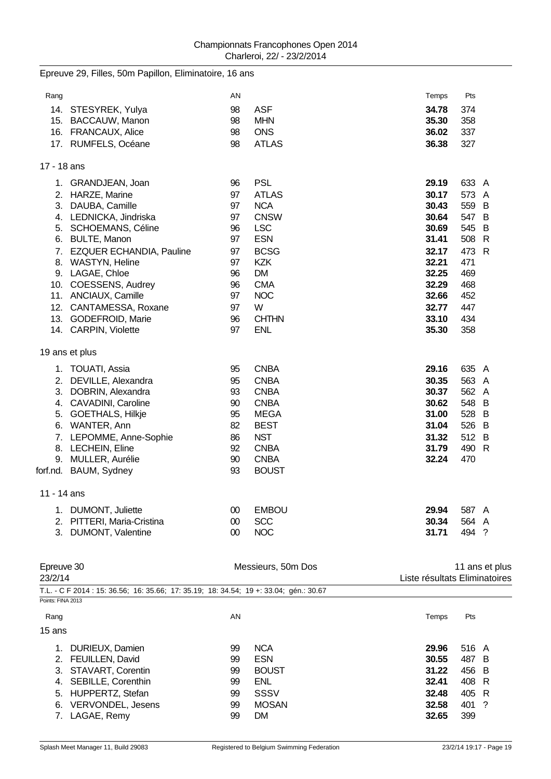|             | Epreuve 29, Filles, 50m Papillon, Eliminatoire, 16 ans |        |                    |       |       |                |
|-------------|--------------------------------------------------------|--------|--------------------|-------|-------|----------------|
| Rang        |                                                        | AN     |                    | Temps | Pts   |                |
|             | 14. STESYREK, Yulya                                    | 98     | <b>ASF</b>         | 34.78 | 374   |                |
|             | 15. BACCAUW, Manon                                     | 98     | <b>MHN</b>         | 35.30 | 358   |                |
|             | 16. FRANCAUX, Alice                                    | 98     | <b>ONS</b>         | 36.02 | 337   |                |
|             | 17. RUMFELS, Océane                                    | 98     | <b>ATLAS</b>       | 36.38 | 327   |                |
| 17 - 18 ans |                                                        |        |                    |       |       |                |
|             | 1. GRANDJEAN, Joan                                     | 96     | <b>PSL</b>         | 29.19 | 633 A |                |
|             | 2. HARZE, Marine                                       | 97     | <b>ATLAS</b>       | 30.17 | 573 A |                |
|             | 3. DAUBA, Camille                                      | 97     | <b>NCA</b>         | 30.43 | 559 B |                |
|             | 4. LEDNICKA, Jindriska                                 | 97     | <b>CNSW</b>        | 30.64 | 547 B |                |
|             | 5. SCHOEMANS, Céline                                   | 96     | <b>LSC</b>         | 30.69 | 545 B |                |
|             | 6. BULTE, Manon                                        | 97     | <b>ESN</b>         | 31.41 | 508 R |                |
|             | 7. EZQUER ECHANDIA, Pauline                            | 97     | <b>BCSG</b>        | 32.17 | 473 R |                |
|             | 8. WASTYN, Heline                                      | 97     | <b>KZK</b>         | 32.21 | 471   |                |
|             | 9. LAGAE, Chloe                                        | 96     | <b>DM</b>          | 32.25 | 469   |                |
|             | 10. COESSENS, Audrey                                   | 96     | <b>CMA</b>         | 32.29 | 468   |                |
|             | 11. ANCIAUX, Camille                                   | 97     | <b>NOC</b>         | 32.66 | 452   |                |
|             | 12. CANTAMESSA, Roxane                                 | 97     | W                  | 32.77 | 447   |                |
|             | 13. GODEFROID, Marie                                   | 96     | <b>CHTHN</b>       | 33.10 | 434   |                |
|             | 14. CARPIN, Violette                                   | 97     | <b>ENL</b>         | 35.30 | 358   |                |
|             | 19 ans et plus                                         |        |                    |       |       |                |
|             | 1. TOUATI, Assia                                       | 95     | <b>CNBA</b>        | 29.16 | 635 A |                |
|             | 2. DEVILLE, Alexandra                                  | 95     | <b>CNBA</b>        | 30.35 | 563 A |                |
|             | 3. DOBRIN, Alexandra                                   | 93     | <b>CNBA</b>        | 30.37 | 562 A |                |
|             | 4. CAVADINI, Caroline                                  | 90     | <b>CNBA</b>        | 30.62 | 548   | B              |
|             | 5. GOETHALS, Hilkje                                    | 95     | <b>MEGA</b>        | 31.00 | 528   | B              |
|             | 6. WANTER, Ann                                         | 82     | <b>BEST</b>        | 31.04 | 526   | B              |
|             | 7. LEPOMME, Anne-Sophie                                | 86     | <b>NST</b>         | 31.32 | 512 B |                |
|             | 8. LECHEIN, Eline                                      | 92     | <b>CNBA</b>        | 31.79 | 490 R |                |
|             | 9. MULLER, Aurélie                                     | 90     | <b>CNBA</b>        | 32.24 | 470   |                |
| forf.nd.    | BAUM, Sydney                                           | 93     | <b>BOUST</b>       |       |       |                |
| 11 - 14 ans |                                                        |        |                    |       |       |                |
|             | 1. DUMONT, Juliette                                    | 00     | <b>EMBOU</b>       | 29.94 | 587 A |                |
|             | 2. PITTERI, Maria-Cristina                             | $00\,$ | <b>SCC</b>         | 30.34 | 564 A |                |
|             | 3. DUMONT, Valentine                                   | $00\,$ | <b>NOC</b>         | 31.71 | 494 ? |                |
|             |                                                        |        |                    |       |       |                |
| Epreuve 30  |                                                        |        | Messieurs, 50m Dos |       |       | 11 ans et plus |

| 23/2/14                                                                                |    | Liste résultats Eliminatoires |       |            |  |  |  |  |
|----------------------------------------------------------------------------------------|----|-------------------------------|-------|------------|--|--|--|--|
| T.L. - C F 2014 : 15: 36.56; 16: 35.66; 17: 35.19; 18: 34.54; 19 +: 33.04; qén.: 30.67 |    |                               |       |            |  |  |  |  |
| Points: FINA 2013                                                                      |    |                               |       |            |  |  |  |  |
| Rang                                                                                   | AN |                               | Temps | Pts        |  |  |  |  |
| 15 ans                                                                                 |    |                               |       |            |  |  |  |  |
| DURIEUX, Damien                                                                        | 99 | <b>NCA</b>                    | 29.96 | 516 A      |  |  |  |  |
| <b>FEUILLEN, David</b><br>2.                                                           | 99 | <b>ESN</b>                    | 30.55 | 487 B      |  |  |  |  |
| STAVART, Corentin<br>3.                                                                | 99 | <b>BOUST</b>                  | 31.22 | 456 B      |  |  |  |  |
| SEBILLE, Corenthin<br>4.                                                               | 99 | ENL                           | 32.41 | 408 R      |  |  |  |  |
| HUPPERTZ, Stefan<br>5.                                                                 | 99 | SSSV                          | 32.48 | 405 R      |  |  |  |  |
| VERVONDEL, Jesens<br>6.                                                                | 99 | <b>MOSAN</b>                  | 32.58 | 401<br>- ? |  |  |  |  |
| LAGAE, Remy                                                                            | 99 | <b>DM</b>                     | 32.65 | 399        |  |  |  |  |
|                                                                                        |    |                               |       |            |  |  |  |  |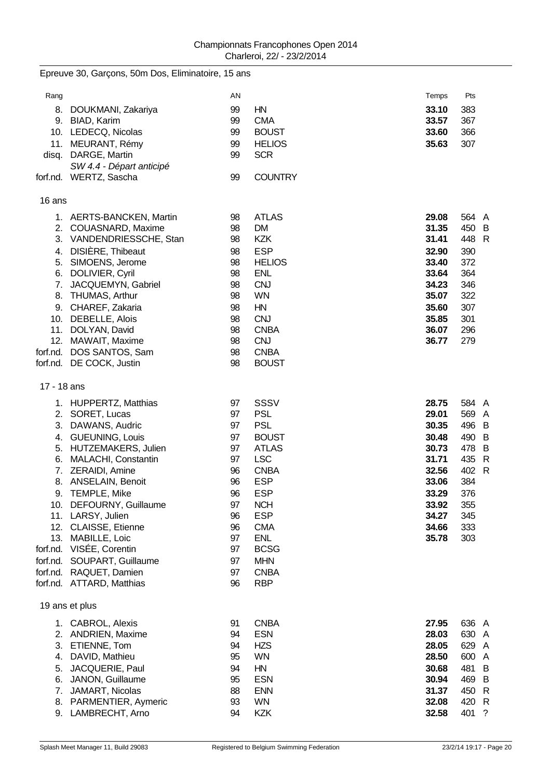|             | Epreuve 30, Garçons, 50m Dos, Eliminatoire, 15 ans |          |                               |                |                |
|-------------|----------------------------------------------------|----------|-------------------------------|----------------|----------------|
| Rang        |                                                    | AN       |                               | Temps          | Pts            |
| 8.          | DOUKMANI, Zakariya<br>9. BIAD, Karim               | 99<br>99 | HN<br><b>CMA</b>              | 33.10<br>33.57 | 383<br>367     |
|             | 10. LEDECQ, Nicolas<br>11. MEURANT, Rémy           | 99<br>99 | <b>BOUST</b><br><b>HELIOS</b> | 33.60<br>35.63 | 366<br>307     |
| disq.       | DARGE, Martin                                      | 99       | <b>SCR</b>                    |                |                |
|             | SW 4.4 - Départ anticipé                           |          |                               |                |                |
|             | forf.nd. WERTZ, Sascha                             | 99       | <b>COUNTRY</b>                |                |                |
| 16 ans      |                                                    |          |                               |                |                |
|             | 1. AERTS-BANCKEN, Martin                           | 98       | <b>ATLAS</b>                  | 29.08          | 564 A          |
|             | 2. COUASNARD, Maxime                               | 98       | <b>DM</b>                     | 31.35          | 450 B          |
|             | 3. VANDENDRIESSCHE, Stan                           | 98       | <b>KZK</b>                    | 31.41          | 448 R          |
|             | 4. DISIÈRE, Thibeaut                               | 98       | <b>ESP</b>                    | 32.90          | 390<br>372     |
|             | 5. SIMOENS, Jerome<br>6. DOLIVIER, Cyril           | 98<br>98 | <b>HELIOS</b><br><b>ENL</b>   | 33.40<br>33.64 | 364            |
|             | 7. JACQUEMYN, Gabriel                              | 98       | <b>CNJ</b>                    | 34.23          | 346            |
|             | 8. THUMAS, Arthur                                  | 98       | <b>WN</b>                     | 35.07          | 322            |
|             | 9. CHAREF, Zakaria                                 | 98       | HN                            | 35.60          | 307            |
|             | 10. DEBELLE, Alois                                 | 98       | <b>CNJ</b>                    | 35.85          | 301            |
| 11.         | DOLYAN, David                                      | 98       | <b>CNBA</b>                   | 36.07          | 296            |
| 12.         | MAWAIT, Maxime                                     | 98       | <b>CNJ</b>                    | 36.77          | 279            |
| forf.nd.    | DOS SANTOS, Sam                                    | 98       | <b>CNBA</b>                   |                |                |
|             | forf.nd. DE COCK, Justin                           | 98       | <b>BOUST</b>                  |                |                |
| 17 - 18 ans |                                                    |          |                               |                |                |
|             | 1. HUPPERTZ, Matthias                              | 97       | SSSV                          | 28.75          | 584 A          |
| 2.          | SORET, Lucas                                       | 97       | <b>PSL</b>                    | 29.01          | 569 A          |
| 3.          | DAWANS, Audric                                     | 97       | <b>PSL</b>                    | 30.35          | 496 B          |
|             | 4. GUEUNING, Louis                                 | 97       | <b>BOUST</b>                  | 30.48          | 490 B          |
|             | 5. HUTZEMAKERS, Julien                             | 97       | <b>ATLAS</b>                  | 30.73          | 478 B          |
| 7.          | 6. MALACHI, Constantin<br>ZERAIDI, Amine           | 97<br>96 | <b>LSC</b><br><b>CNBA</b>     | 31.71<br>32.56 | 435 R<br>402 R |
| 8.          | ANSELAIN, Benoit                                   | 96       | <b>ESP</b>                    | 33.06          | 384            |
|             | 9. TEMPLE, Mike                                    | 96       | <b>ESP</b>                    | 33.29          | 376            |
|             | 10. DEFOURNY, Guillaume                            | 97       | <b>NCH</b>                    | 33.92          | 355            |
|             | 11. LARSY, Julien                                  | 96       | <b>ESP</b>                    | 34.27          | 345            |
|             | 12. CLAISSE, Etienne                               | 96       | <b>CMA</b>                    | 34.66          | 333            |
|             | 13. MABILLE, Loic                                  | 97       | <b>ENL</b>                    | 35.78          | 303            |
|             | forf.nd. VISÉE, Corentin                           | 97       | <b>BCSG</b>                   |                |                |
|             | forf.nd. SOUPART, Guillaume                        | 97       | <b>MHN</b>                    |                |                |
|             | forf.nd. RAQUET, Damien                            | 97       | <b>CNBA</b>                   |                |                |
|             | forf.nd. ATTARD, Matthias                          | 96       | <b>RBP</b>                    |                |                |
|             | 19 ans et plus                                     |          |                               |                |                |
|             | 1. CABROL, Alexis                                  | 91       | <b>CNBA</b>                   | 27.95          | 636 A          |
|             | 2. ANDRIEN, Maxime                                 | 94       | <b>ESN</b>                    | 28.03          | 630 A          |
|             | 3. ETIENNE, Tom                                    | 94       | <b>HZS</b>                    | 28.05          | 629 A          |
| 4.          | DAVID, Mathieu                                     | 95       | <b>WN</b>                     | 28.50          | 600 A          |
| 5.          | JACQUERIE, Paul                                    | 94       | HN                            | 30.68          | 481 B          |
| 6.          | JANON, Guillaume                                   | 95       | <b>ESN</b>                    | 30.94          | 469 B          |
| 7.          | JAMART, Nicolas<br>8. PARMENTIER, Aymeric          | 88<br>93 | <b>ENN</b><br><b>WN</b>       | 31.37<br>32.08 | 450 R<br>420 R |
|             | 9. LAMBRECHT, Arno                                 | 94       | <b>KZK</b>                    | 32.58          | 401 ?          |
|             |                                                    |          |                               |                |                |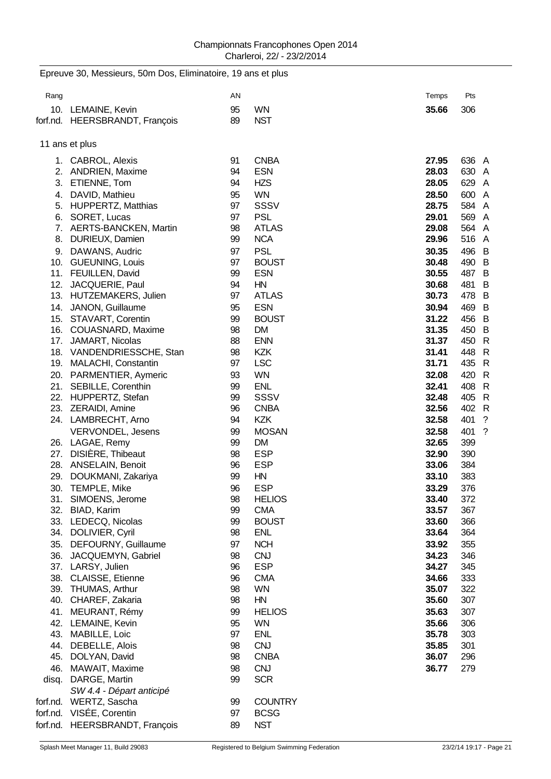Epreuve 30, Messieurs, 50m Dos, Eliminatoire, 19 ans et plus

## Rang and the control of the control of the control of the control of the control of the control of the control of the control of the control of the control of the control of the control of the control of the control of the 10. LEMAINE, Kevin 95 WN **35.66** 306 forf.nd. HEERSBRANDT, François 89 NST 11 ans et plus 1. CABROL, Alexis 91 CNBA **27.95** 636 A 2. ANDRIEN, Maxime 94 ESN **28.03** 630 A 3. ETIENNE, Tom 94 HZS **28.05** 629 A 4. DAVID, Mathieu 95 WN **28.50** 600 A 5. HUPPERTZ, Matthias 97 SSSV **28.75** 584 A 6. SORET, Lucas 97 PSL **29.01** 569 A 7. AERTS-BANCKEN, Martin 98 ATLAS **29.08** 564 A 8. DURIEUX, Damien 99 NCA **29.96** 516 A 9. DAWANS, Audric 97 PSL **30.35** 496 B 10. GUEUNING, Louis 97 BOUST **30.48** 490 B 11. FEUILLEN, David 99 ESN **30.55** 487 B 12. JACQUERIE, Paul 94 HN **30.68** 481 B 13. HUTZEMAKERS, Julien 97 ATLAS **30.73** 478 B 14. JANON, Guillaume 95 ESN **30.94** 469 B 15. STAVART, Corentin 99 BOUST **31.22** 456 B 16. COUASNARD, Maxime 98 DM **31.35** 450 B 17. JAMART, Nicolas 88 ENN **31.37** 450 R 18. VANDENDRIESSCHE, Stan 98 KZK **31.41** 448 R 19. MALACHI, Constantin 97 LSC **31.71** 435 R 20. PARMENTIER, Aymeric 93 WN **32.08** 420 R 21. SEBILLE, Corenthin 99 ENL **32.41** 408 R 22. HUPPERTZ, Stefan 99 SSSV **32.48** 405 R 23. ZERAIDI, Amine 96 CNBA **32.56** 402 R 24. LAMBRECHT, Arno 94 KZK **32.58** 401 ? VERVONDEL, Jesens 99 MOSAN **32.58** 401 ? 26. LAGAE, Remy 99 DM **32.65** 399 27. DISIÈRE, Thibeaut 98 ESP **32.90** 390 28. ANSELAIN, Benoit 96 ESP **33.06** 384 29. DOUKMANI, Zakariya 99 HN **33.10** 383 30. TEMPLE, Mike 96 ESP **33.29** 376 31. SIMOENS, Jerome 98 HELIOS **33.40** 372 32. BIAD, Karim 99 CMA **33.57** 367 33. LEDECQ, Nicolas 99 BOUST **33.60** 366 34. DOLIVIER, Cyril 98 ENL **33.64** 364 35. DEFOURNY, Guillaume 97 NCH **33.92** 355 36. JACQUEMYN, Gabriel 98 CNJ **34.23** 346 37. LARSY, Julien 96 ESP **34.27** 345 38. CLAISSE, Etienne 96 CMA **34.66** 333 39. THUMAS, Arthur 98 WN **35.07** 322 40. CHAREF, Zakaria 98 HN **35.60** 307 41. MEURANT, Rémy 99 HELIOS **35.63** 307 42. LEMAINE, Kevin 95 WN **35.66** 306 43. MABILLE, Loic 97 ENL **35.78** 303 44. DEBELLE, Alois 98 CNJ **35.85** 301 45. DOLYAN, David 98 CNBA **36.07** 296 46. MAWAIT, Maxime 98 CNJ **36.77** 279 disg. DARGE, Martin 199 SCR *SW 4.4 - Départ anticipé* forf.nd. WERTZ, Sascha 99 COUNTRY forf.nd. VISÉE, Corentin 97 BCSG forf.nd. HEERSBRANDT, François 89 NST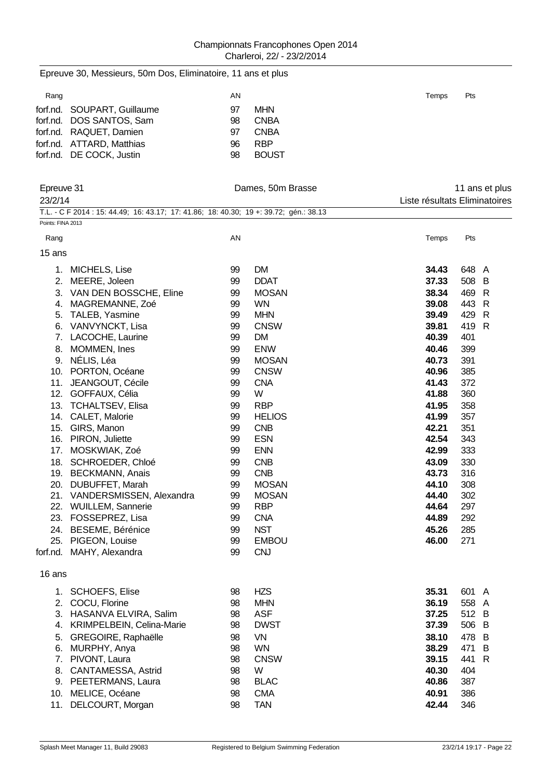| Epreuve 30, Messieurs, 50m Dos, Eliminatoire, 11 ans et plus                                                |          |                              |                |                                                 |
|-------------------------------------------------------------------------------------------------------------|----------|------------------------------|----------------|-------------------------------------------------|
| Rang                                                                                                        | AN       |                              | Temps          | Pts                                             |
| forf.nd. SOUPART, Guillaume<br>forf.nd. DOS SANTOS, Sam                                                     | 97<br>98 | <b>MHN</b><br><b>CNBA</b>    |                |                                                 |
| forf.nd. RAQUET, Damien                                                                                     | 97       | <b>CNBA</b>                  |                |                                                 |
| forf.nd. ATTARD, Matthias                                                                                   | 96       | <b>RBP</b>                   |                |                                                 |
| forf.nd. DE COCK, Justin                                                                                    | 98       | <b>BOUST</b>                 |                |                                                 |
| Epreuve 31<br>23/2/14                                                                                       |          | Dames, 50m Brasse            |                | 11 ans et plus<br>Liste résultats Eliminatoires |
| T.L. - C F 2014 : 15: 44.49; 16: 43.17; 17: 41.86; 18: 40.30; 19 +: 39.72; gén.: 38.13<br>Points: FINA 2013 |          |                              |                |                                                 |
| Rang                                                                                                        | AN       |                              | Temps          | Pts                                             |
| 15 ans                                                                                                      |          |                              |                |                                                 |
| 1. MICHELS, Lise                                                                                            | 99       | <b>DM</b>                    | 34.43          | 648 A                                           |
| MEERE, Joleen<br>2.                                                                                         | 99       | <b>DDAT</b>                  | 37.33          | 508 B                                           |
| 3. VAN DEN BOSSCHE, Eline                                                                                   | 99       | <b>MOSAN</b>                 | 38.34          | 469 R                                           |
| 4. MAGREMANNE, Zoé                                                                                          | 99       | <b>WN</b>                    | 39.08          | 443 R                                           |
| 5. TALEB, Yasmine                                                                                           | 99<br>99 | <b>MHN</b><br><b>CNSW</b>    | 39.49<br>39.81 | 429<br>R<br>419 R                               |
| 6. VANVYNCKT, Lisa<br>7. LACOCHE, Laurine                                                                   | 99       | <b>DM</b>                    | 40.39          | 401                                             |
| 8. MOMMEN, Ines                                                                                             | 99       | <b>ENW</b>                   | 40.46          | 399                                             |
| 9. NÉLIS, Léa                                                                                               | 99       | <b>MOSAN</b>                 | 40.73          | 391                                             |
| 10. PORTON, Océane                                                                                          | 99       | <b>CNSW</b>                  | 40.96          | 385                                             |
| 11. JEANGOUT, Cécile                                                                                        | 99       | <b>CNA</b>                   | 41.43          | 372                                             |
| 12. GOFFAUX, Célia                                                                                          | 99       | W                            | 41.88          | 360                                             |
| 13. TCHALTSEV, Elisa                                                                                        | 99       | <b>RBP</b>                   | 41.95          | 358                                             |
| 14. CALET, Malorie                                                                                          | 99       | <b>HELIOS</b>                | 41.99          | 357                                             |
| 15. GIRS, Manon                                                                                             | 99       | <b>CNB</b>                   | 42.21          | 351                                             |
| 16. PIRON, Juliette                                                                                         | 99       | <b>ESN</b>                   | 42.54          | 343                                             |
| 17. MOSKWIAK, Zoé                                                                                           | 99       | <b>ENN</b>                   | 42.99          | 333                                             |
| 18. SCHROEDER, Chloé                                                                                        | 99       | <b>CNB</b>                   | 43.09          | 330                                             |
| 19. BECKMANN, Anais                                                                                         | 99       | <b>CNB</b>                   | 43.73          | 316                                             |
| 20. DUBUFFET, Marah<br>21. VANDERSMISSEN, Alexandra                                                         | 99<br>99 | <b>MOSAN</b><br><b>MOSAN</b> | 44.10<br>44.40 | 308<br>302                                      |
| 22. WUILLEM, Sannerie                                                                                       | 99       | <b>RBP</b>                   | 44.64          | 297                                             |
| 23. FOSSEPREZ, Lisa                                                                                         | 99       | <b>CNA</b>                   | 44.89          | 292                                             |
| 24. BESEME, Bérénice                                                                                        | 99       | <b>NST</b>                   | 45.26          | 285                                             |
| 25. PIGEON, Louise                                                                                          | 99       | <b>EMBOU</b>                 | 46.00          | 271                                             |
| forf.nd. MAHY, Alexandra                                                                                    | 99       | <b>CNJ</b>                   |                |                                                 |
| 16 ans                                                                                                      |          |                              |                |                                                 |
| 1. SCHOEFS, Elise                                                                                           | 98       | <b>HZS</b>                   | 35.31          | 601 A                                           |
| 2. COCU, Florine                                                                                            | 98       | <b>MHN</b>                   | 36.19          | 558 A                                           |
| 3. HASANVA ELVIRA, Salim                                                                                    | 98       | <b>ASF</b>                   | 37.25          | 512 B                                           |
| 4. KRIMPELBEIN, Celina-Marie                                                                                | 98       | <b>DWST</b>                  | 37.39          | 506 B                                           |
| GREGOIRE, Raphaëlle<br>5.                                                                                   | 98       | VN                           | 38.10          | 478 B                                           |
| 6. MURPHY, Anya                                                                                             | 98       | <b>WN</b>                    | 38.29          | 471<br>- B                                      |
| 7. PIVONT, Laura                                                                                            | 98       | <b>CNSW</b>                  | 39.15          | 441 R                                           |
| 8. CANTAMESSA, Astrid<br>9. PEETERMANS, Laura                                                               | 98<br>98 | W<br><b>BLAC</b>             | 40.30<br>40.86 | 404<br>387                                      |
| 10. MELICE, Océane                                                                                          | 98       | <b>CMA</b>                   | 40.91          | 386                                             |
| 11. DELCOURT, Morgan                                                                                        | 98       | <b>TAN</b>                   | 42.44          | 346                                             |
|                                                                                                             |          |                              |                |                                                 |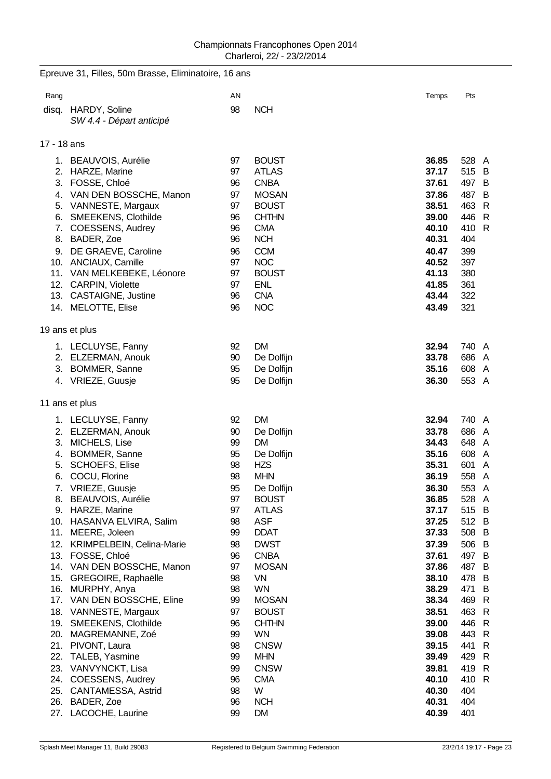|                          | Epreuve 31, Filles, 50m Brasse, Eliminatoire, 16 ans                                                                                                                                                                                                                                                                                                                                                  |                                                                                                    |                                                                                                                                                                                                                                                   |                                                                                                                                                       |                                                                                                                                                                                                                                                            |
|--------------------------|-------------------------------------------------------------------------------------------------------------------------------------------------------------------------------------------------------------------------------------------------------------------------------------------------------------------------------------------------------------------------------------------------------|----------------------------------------------------------------------------------------------------|---------------------------------------------------------------------------------------------------------------------------------------------------------------------------------------------------------------------------------------------------|-------------------------------------------------------------------------------------------------------------------------------------------------------|------------------------------------------------------------------------------------------------------------------------------------------------------------------------------------------------------------------------------------------------------------|
| Rang                     |                                                                                                                                                                                                                                                                                                                                                                                                       | AN                                                                                                 |                                                                                                                                                                                                                                                   | Temps                                                                                                                                                 | Pts                                                                                                                                                                                                                                                        |
|                          | disq. HARDY, Soline<br>SW 4.4 - Départ anticipé                                                                                                                                                                                                                                                                                                                                                       | 98                                                                                                 | <b>NCH</b>                                                                                                                                                                                                                                        |                                                                                                                                                       |                                                                                                                                                                                                                                                            |
| 17 - 18 ans              |                                                                                                                                                                                                                                                                                                                                                                                                       |                                                                                                    |                                                                                                                                                                                                                                                   |                                                                                                                                                       |                                                                                                                                                                                                                                                            |
| 7.                       | 1. BEAUVOIS, Aurélie<br>2. HARZE, Marine<br>3. FOSSE, Chloé<br>4. VAN DEN BOSSCHE, Manon<br>5. VANNESTE, Margaux<br>6. SMEEKENS, Clothilde<br>COESSENS, Audrey<br>8. BADER, Zoe<br>9. DE GRAEVE, Caroline<br>10. ANCIAUX, Camille<br>11. VAN MELKEBEKE, Léonore<br>12. CARPIN, Violette<br>13. CASTAIGNE, Justine<br>14. MELOTTE, Elise                                                               | 97<br>97<br>96<br>97<br>97<br>96<br>96<br>96<br>96<br>97<br>97<br>97<br>96<br>96                   | <b>BOUST</b><br><b>ATLAS</b><br><b>CNBA</b><br><b>MOSAN</b><br><b>BOUST</b><br><b>CHTHN</b><br><b>CMA</b><br><b>NCH</b><br><b>CCM</b><br><b>NOC</b><br><b>BOUST</b><br><b>ENL</b><br><b>CNA</b><br><b>NOC</b>                                     | 36.85<br>37.17<br>37.61<br>37.86<br>38.51<br>39.00<br>40.10<br>40.31<br>40.47<br>40.52<br>41.13<br>41.85<br>43.44<br>43.49                            | 528<br>A<br>515<br>B<br>497<br>B<br>487<br>B<br>$\mathsf{R}$<br>463<br>$\mathsf{R}$<br>446<br>$\mathsf{R}$<br>410<br>404<br>399<br>397<br>380<br>361<br>322<br>321                                                                                         |
|                          | 19 ans et plus<br>1. LECLUYSE, Fanny<br>2. ELZERMAN, Anouk<br>3. BOMMER, Sanne<br>4. VRIEZE, Guusje                                                                                                                                                                                                                                                                                                   | 92<br>90<br>95<br>95                                                                               | <b>DM</b><br>De Dolfijn<br>De Dolfijn<br>De Dolfijn                                                                                                                                                                                               | 32.94<br>33.78<br>35.16<br>36.30                                                                                                                      | 740<br>A<br>686<br>A<br>608<br>A<br>553 A                                                                                                                                                                                                                  |
|                          | 11 ans et plus                                                                                                                                                                                                                                                                                                                                                                                        |                                                                                                    |                                                                                                                                                                                                                                                   |                                                                                                                                                       |                                                                                                                                                                                                                                                            |
| 5.<br>6.<br>15.<br>17.   | 1. LECLUYSE, Fanny<br>2. ELZERMAN, Anouk<br>3. MICHELS, Lise<br>4. BOMMER, Sanne<br><b>SCHOEFS, Elise</b><br>COCU, Florine<br>7. VRIEZE, Guusje<br>8. BEAUVOIS, Aurélie<br>9. HARZE, Marine<br>10. HASANVA ELVIRA, Salim<br>11. MEERE, Joleen<br>12. KRIMPELBEIN, Celina-Marie<br>13. FOSSE, Chloé<br>14. VAN DEN BOSSCHE, Manon<br>GREGOIRE, Raphaëlle<br>16. MURPHY, Anya<br>VAN DEN BOSSCHE, Eline | 92<br>90<br>99<br>95<br>98<br>98<br>95<br>97<br>97<br>98<br>99<br>98<br>96<br>97<br>98<br>98<br>99 | <b>DM</b><br>De Dolfijn<br><b>DM</b><br>De Dolfijn<br><b>HZS</b><br><b>MHN</b><br>De Dolfijn<br><b>BOUST</b><br><b>ATLAS</b><br><b>ASF</b><br><b>DDAT</b><br><b>DWST</b><br><b>CNBA</b><br><b>MOSAN</b><br><b>VN</b><br><b>WN</b><br><b>MOSAN</b> | 32.94<br>33.78<br>34.43<br>35.16<br>35.31<br>36.19<br>36.30<br>36.85<br>37.17<br>37.25<br>37.33<br>37.39<br>37.61<br>37.86<br>38.10<br>38.29<br>38.34 | 740<br>A<br>686<br>A<br>648<br>A<br>608<br>A<br>601<br>A<br>558<br>$\mathsf{A}$<br>553 A<br>528<br>$\mathsf{A}$<br>515 B<br>512 B<br>508<br>B<br>506<br>B<br>$\overline{B}$<br>497<br>487<br>B<br>478<br>$\overline{B}$<br>471<br>B<br>469<br>$\mathsf{R}$ |
| 18.<br>21.<br>22.<br>23. | VANNESTE, Margaux<br>19. SMEEKENS, Clothilde<br>20. MAGREMANNE, Zoé<br>PIVONT, Laura<br>TALEB, Yasmine<br>VANVYNCKT, Lisa<br>24. COESSENS, Audrey<br>25. CANTAMESSA, Astrid<br>26. BADER, Zoe<br>27. LACOCHE, Laurine                                                                                                                                                                                 | 97<br>96<br>99<br>98<br>99<br>99<br>96<br>98<br>96<br>99                                           | <b>BOUST</b><br><b>CHTHN</b><br><b>WN</b><br><b>CNSW</b><br><b>MHN</b><br><b>CNSW</b><br><b>CMA</b><br>W<br><b>NCH</b><br><b>DM</b>                                                                                                               | 38.51<br>39.00<br>39.08<br>39.15<br>39.49<br>39.81<br>40.10<br>40.30<br>40.31<br>40.39                                                                | $\mathsf{R}$<br>463<br>$\mathsf{R}$<br>446<br>443<br>$\mathsf{R}$<br>441<br>$\mathsf{R}$<br>429<br>$\mathsf{R}$<br>419<br>$\mathsf{R}$<br>410<br>$\mathsf{R}$<br>404<br>404<br>401                                                                         |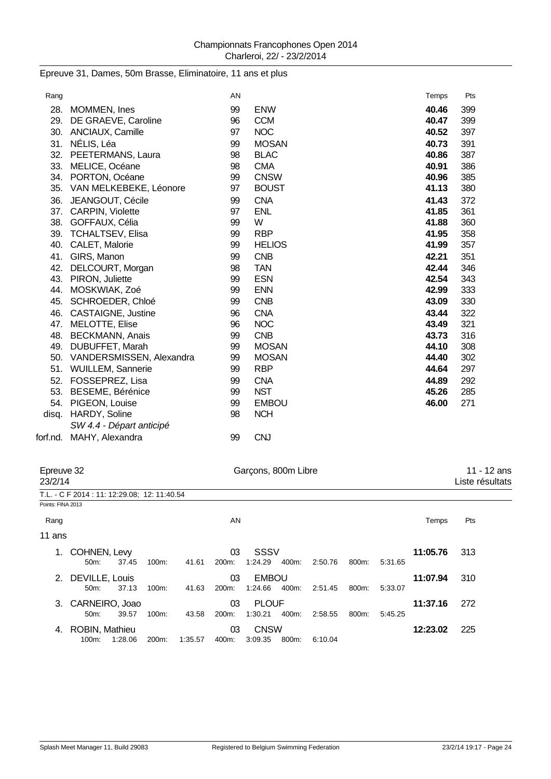## Epreuve 31, Dames, 50m Brasse, Eliminatoire, 11 ans et plus

| Rang  |                              | AN |               | Temps | Pts |
|-------|------------------------------|----|---------------|-------|-----|
| 28.   | MOMMEN, Ines                 | 99 | <b>ENW</b>    | 40.46 | 399 |
|       | 29. DE GRAEVE, Caroline      | 96 | <b>CCM</b>    | 40.47 | 399 |
|       | 30. ANCIAUX, Camille         | 97 | <b>NOC</b>    | 40.52 | 397 |
|       | 31. NÉLIS, Léa               | 99 | <b>MOSAN</b>  | 40.73 | 391 |
|       | 32. PEETERMANS, Laura        | 98 | <b>BLAC</b>   | 40.86 | 387 |
|       | 33. MELICE, Océane           | 98 | <b>CMA</b>    | 40.91 | 386 |
|       | 34. PORTON, Océane           | 99 | <b>CNSW</b>   | 40.96 | 385 |
|       | 35. VAN MELKEBEKE, Léonore   | 97 | <b>BOUST</b>  | 41.13 | 380 |
|       | 36. JEANGOUT, Cécile         | 99 | <b>CNA</b>    | 41.43 | 372 |
|       | 37. CARPIN, Violette         | 97 | <b>ENL</b>    | 41.85 | 361 |
|       | 38. GOFFAUX, Célia           | 99 | W             | 41.88 | 360 |
|       | 39. TCHALTSEV, Elisa         | 99 | <b>RBP</b>    | 41.95 | 358 |
|       | 40. CALET, Malorie           | 99 | <b>HELIOS</b> | 41.99 | 357 |
| 41.   | GIRS, Manon                  | 99 | <b>CNB</b>    | 42.21 | 351 |
| 42.   | DELCOURT, Morgan             | 98 | <b>TAN</b>    | 42.44 | 346 |
| 43.   | PIRON, Juliette              | 99 | <b>ESN</b>    | 42.54 | 343 |
| 44.   | MOSKWIAK, Zoé                | 99 | <b>ENN</b>    | 42.99 | 333 |
|       | 45. SCHROEDER, Chloé         | 99 | <b>CNB</b>    | 43.09 | 330 |
| 46.   | <b>CASTAIGNE, Justine</b>    | 96 | <b>CNA</b>    | 43.44 | 322 |
|       | 47. MELOTTE, Elise           | 96 | <b>NOC</b>    | 43.49 | 321 |
|       | 48. BECKMANN, Anais          | 99 | <b>CNB</b>    | 43.73 | 316 |
| 49.   | DUBUFFET, Marah              | 99 | <b>MOSAN</b>  | 44.10 | 308 |
|       | 50. VANDERSMISSEN, Alexandra | 99 | <b>MOSAN</b>  | 44.40 | 302 |
|       | 51. WUILLEM, Sannerie        | 99 | <b>RBP</b>    | 44.64 | 297 |
|       | 52. FOSSEPREZ, Lisa          | 99 | <b>CNA</b>    | 44.89 | 292 |
|       | 53. BESEME, Bérénice         | 99 | <b>NST</b>    | 45.26 | 285 |
|       | 54. PIGEON, Louise           | 99 | <b>EMBOU</b>  | 46.00 | 271 |
| disq. | HARDY, Soline                | 98 | <b>NCH</b>    |       |     |
|       | SW 4.4 - Départ anticipé     |    |               |       |     |
|       | forf.nd. MAHY, Alexandra     | 99 | <b>CNJ</b>    |       |     |

| Garçons, 800m Libre<br>Epreuve 32<br>23/2/14 |                                             |         |                    |         |             |                         |       |         |       |         |          | $11 - 12$ ans<br>Liste résultats |
|----------------------------------------------|---------------------------------------------|---------|--------------------|---------|-------------|-------------------------|-------|---------|-------|---------|----------|----------------------------------|
|                                              | T.L. - C F 2014: 11: 12:29.08; 12: 11:40.54 |         |                    |         |             |                         |       |         |       |         |          |                                  |
| Points: FINA 2013                            |                                             |         |                    |         |             |                         |       |         |       |         |          |                                  |
| Rang                                         |                                             |         |                    |         | AN          |                         |       |         |       |         | Temps    | Pts                              |
| 11 ans                                       |                                             |         |                    |         |             |                         |       |         |       |         |          |                                  |
| 1.                                           | COHNEN, Levy<br>50 <sub>m</sub> :           | 37.45   | 100m:              | 41.61   | 03<br>200m: | SSSV<br>1:24.29         | 400m: | 2:50.76 | 800m: | 5:31.65 | 11:05.76 | 313                              |
| 2.                                           | DEVILLE, Louis<br>50m:                      | 37.13   | $100m$ :           | 41.63   | 03<br>200m: | <b>EMBOU</b><br>1:24.66 | 400m: | 2:51.45 | 800m: | 5:33.07 | 11:07.94 | 310                              |
| 3.                                           | CARNEIRO, Joao<br>50m:                      | 39.57   | $100m$ :           | 43.58   | 03<br>200m: | <b>PLOUF</b><br>1:30.21 | 400m: | 2:58.55 | 800m: | 5:45.25 | 11:37.16 | 272                              |
| 4.                                           | ROBIN, Mathieu<br>100m:                     | 1.28.06 | 200 <sub>m</sub> : | 1:35.57 | 03<br>400m: | <b>CNSW</b><br>3:09.35  | 800m: | 6:10.04 |       |         | 12:23.02 | 225                              |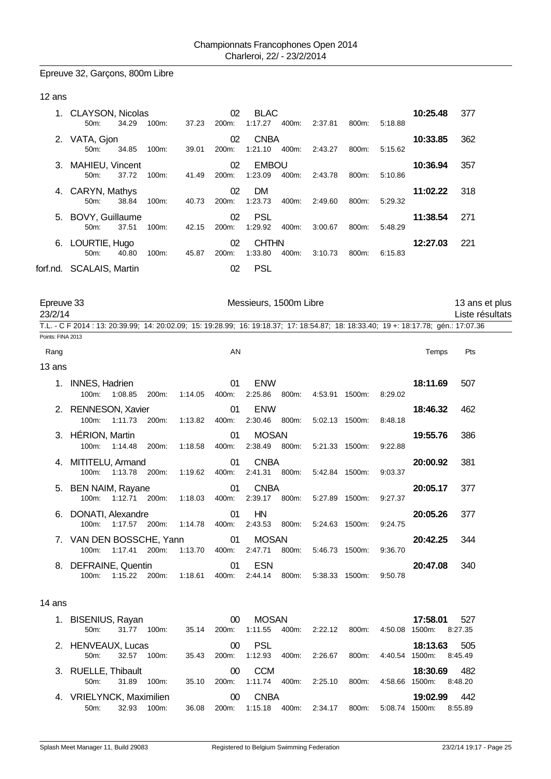# Epreuve 32, Garçons, 800m Libre

## 12 ans

|    | 1. CLAYSON, Nicolas      |       |          |       | 02                 | <b>BLAC</b>  |       |         |       |         | 10:25.48 | 377 |
|----|--------------------------|-------|----------|-------|--------------------|--------------|-------|---------|-------|---------|----------|-----|
|    | $50m$ :                  | 34.29 | $100m$ : | 37.23 | 200m:              | 1:17.27      | 400m: | 2:37.81 | 800m: | 5:18.88 |          |     |
| 2. | VATA, Gjon               |       |          |       | 02                 | <b>CNBA</b>  |       |         |       |         | 10:33.85 | 362 |
|    | $50m$ :                  | 34.85 | $100m$ : | 39.01 | 200 <sub>m</sub> : | 1:21.10      | 400m: | 2:43.27 | 800m: | 5:15.62 |          |     |
| 3. | MAHIEU, Vincent          |       |          |       | 02                 | <b>EMBOU</b> |       |         |       |         | 10:36.94 | 357 |
|    | $50m$ :                  | 37.72 | $100m$ : | 41.49 | 200m:              | 1:23.09      | 400m: | 2:43.78 | 800m: | 5:10.86 |          |     |
|    | 4. CARYN, Mathys         |       |          |       | 02                 | DM.          |       |         |       |         | 11:02.22 | 318 |
|    | $50m$ :                  | 38.84 | $100m$ : | 40.73 | 200 <sub>m</sub> : | 1:23.73      | 400m: | 2:49.60 | 800m: | 5.29.32 |          |     |
| 5. | BOVY, Guillaume          |       |          |       | 02                 | <b>PSL</b>   |       |         |       |         | 11:38.54 | 271 |
|    | $50m$ :                  | 37.51 | $100m$ : | 42.15 | 200m:              | 1:29.92      | 400m: | 3:00.67 | 800m: | 5:48.29 |          |     |
| 6. | LOURTIE, Hugo            |       |          |       | 02                 | <b>CHTHN</b> |       |         |       |         | 12:27.03 | 221 |
|    | $50m$ :                  | 40.80 | $100m$ : | 45.87 | 200m:              | 1:33.80      | 400m: | 3:10.73 | 800m: | 6.15.83 |          |     |
|    | forf.nd. SCALAIS. Martin |       |          |       | 02                 | <b>PSL</b>   |       |         |       |         |          |     |
|    |                          |       |          |       |                    |              |       |         |       |         |          |     |

| Epreuve 33<br>23/2/14 |                                      |                     |       |         |             | Messieurs, 1500m Libre        |       |                              |         |                                                                                                                                      | 13 ans et plus<br>Liste résultats |
|-----------------------|--------------------------------------|---------------------|-------|---------|-------------|-------------------------------|-------|------------------------------|---------|--------------------------------------------------------------------------------------------------------------------------------------|-----------------------------------|
|                       |                                      |                     |       |         |             |                               |       |                              |         | T.L. - C F 2014 : 13: 20:39.99; 14: 20:02.09; 15: 19:28.99; 16: 19:18.37; 17: 18:54.87; 18: 18:33.40; 19 +: 18:17.78; gén.: 17:07.36 |                                   |
| Points: FINA 2013     |                                      |                     |       |         |             |                               |       |                              |         |                                                                                                                                      |                                   |
| Rang                  |                                      |                     |       |         | AN          |                               |       |                              |         | Temps                                                                                                                                | Pts                               |
| 13 ans                |                                      |                     |       |         |             |                               |       |                              |         |                                                                                                                                      |                                   |
| 1.                    | <b>INNES, Hadrien</b><br>100m:       | 1:08.85             | 200m: | 1:14.05 | 01<br>400m: | <b>ENW</b>                    |       | 2:25.86 800m: 4:53.91 1500m: | 8:29.02 | 18:11.69                                                                                                                             | 507                               |
|                       | 2. RENNESON, Xavier                  | 100m: 1:11.73       | 200m: | 1:13.82 | 01<br>400m: | <b>ENW</b>                    |       | 2:30.46 800m: 5:02.13 1500m: | 8:48.18 | 18:46.32                                                                                                                             | 462                               |
| 3.                    | HÉRION, Martin                       | 100m: 1:14.48       | 200m: | 1:18.58 | 01<br>400m: | <b>MOSAN</b>                  |       | 2:38.49 800m: 5:21.33 1500m: | 9:22.88 | 19:55.76                                                                                                                             | 386                               |
| 4.                    | MITITELU, Armand                     | 100m: 1:13.78 200m: |       | 1:19.62 | 01<br>400m: | <b>CNBA</b>                   |       | 2:41.31 800m: 5:42.84 1500m: | 9:03.37 | 20:00.92                                                                                                                             | 381                               |
| 5.                    | <b>BEN NAIM, Rayane</b>              | 100m: 1:12.71 200m: |       | 1:18.03 | 01<br>400m: | <b>CNBA</b>                   |       | 2:39.17 800m: 5:27.89 1500m: | 9:27.37 | 20:05.17                                                                                                                             | 377                               |
| 6.                    | DONATI, Alexandre<br>100m:           | 1:17.57 200m:       |       | 1:14.78 | 01<br>400m: | HN<br>2:43.53                 |       | 800m: 5:24.63 1500m:         | 9:24.75 | 20:05.26                                                                                                                             | 377                               |
|                       | 7. VAN DEN BOSSCHE, Yann<br>$100m$ : | 1:17.41 200m:       |       | 1:13.70 | 01<br>400m: | <b>MOSAN</b><br>2:47.71 800m: |       | 5:46.73 1500m:               | 9:36.70 | 20:42.25                                                                                                                             | 344                               |
|                       | 8. DEFRAINE, Quentin<br>$100m$ :     | 1:15.22 200m:       |       | 1:18.61 | 01<br>400m: | <b>ESN</b><br>2:44.14         | 800m: | 5:38.33 1500m:               | 9:50.78 | 20:47.08                                                                                                                             | 340                               |
| 14 ans                |                                      |                     |       |         |             |                               |       |                              |         |                                                                                                                                      |                                   |
|                       |                                      |                     |       |         |             |                               |       |                              |         |                                                                                                                                      |                                   |

| 1. BISENIUS, Rayan<br>$50m$ :  | 31.77 | 100m:    | 35.14 | 00<br>200m:              | MOSAN<br>1:11.55      | 400m: | 2:22.12 | 800m: | 4:50.08 | 17:58.01<br>1500m: | 527<br>8:27.35 |
|--------------------------------|-------|----------|-------|--------------------------|-----------------------|-------|---------|-------|---------|--------------------|----------------|
| 2. HENVEAUX, Lucas<br>50m      | 32.57 | 100m:    | 35.43 | 00<br>200m:              | <b>PSL</b><br>1:12.93 | 400m: | 2:26.67 | 800m: | 4:40.54 | 18:13.63<br>1500m: | 505<br>8:45.49 |
| 3. RUELLE, Thibault<br>$50m$ : | 31.89 | 100m:    | 35.10 | 00 <sup>1</sup><br>200m: | <b>CCM</b><br>1:11.74 | 400m: | 2:25.10 | 800m: | 4:58.66 | 18:30.69<br>1500m: | 482<br>8:48.20 |
| 4. VRIELYNCK, Maximilien       |       |          |       | 00 <sup>°</sup>          | <b>CNBA</b>           |       |         |       |         | 19:02.99           | 442            |
| 50m                            | 32.93 | $100m$ : | 36.08 | 200 <sub>m</sub> :       | 1:15.18               | 400m: | 2:34.17 | 800m: | 5:08.74 | 1500m:             | 8:55.89        |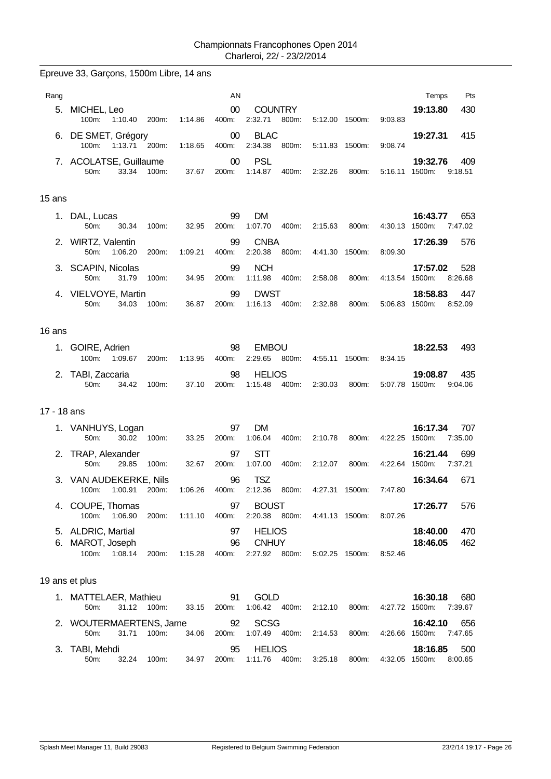Epreuve 33, Garçons, 1500m Libre, 14 ans

| Rang        |                                            |             |         | AN              |                                      |       |                |       |                | Pts<br>Temps                              |
|-------------|--------------------------------------------|-------------|---------|-----------------|--------------------------------------|-------|----------------|-------|----------------|-------------------------------------------|
| 5.          | MICHEL, Leo<br>100m:<br>1:10.40            | 200m:       | 1:14.86 | $00\,$<br>400m: | <b>COUNTRY</b><br>2:32.71            | 800m: | 5:12.00 1500m: |       | 9:03.83        | 430<br>19:13.80                           |
| 6.          | DE SMET, Grégory<br>100m: 1:13.71 200m:    |             | 1:18.65 | $00\,$<br>400m: | <b>BLAC</b><br>2:34.38               | 800m: | 5:11.83 1500m: |       | 9:08.74        | 19:27.31<br>415                           |
|             | 7. ACOLATSE, Guillaume<br>50m:<br>33.34    | 100m:       | 37.67   | $00\,$<br>200m: | <b>PSL</b><br>1:14.87                | 400m: | 2:32.26        | 800m: | 5:16.11 1500m: | 19:32.76<br>409<br>9:18.51                |
| 15 ans      |                                            |             |         |                 |                                      |       |                |       |                |                                           |
|             | 1. DAL, Lucas<br>30.34<br>50m:             | 100m:       | 32.95   | 99<br>200m:     | <b>DM</b><br>1:07.70                 | 400m: | 2:15.63        | 800m: | 4:30.13        | 16:43.77<br>653<br>1500m:<br>7:47.02      |
|             | 2. WIRTZ, Valentin<br>50m:<br>1:06.20      | 200m:       | 1:09.21 | 99<br>400m:     | <b>CNBA</b><br>2:20.38               | 800m: | 4:41.30 1500m: |       | 8:09.30        | 17:26.39<br>576                           |
|             | 3. SCAPIN, Nicolas<br>50m:<br>31.79        | 100m:       | 34.95   | 99<br>200m:     | <b>NCH</b><br>1:11.98                | 400m: | 2:58.08        | 800m: | 4:13.54 1500m: | 17:57.02<br>528<br>8:26.68                |
|             | 4. VIELVOYE, Martin                        |             |         | 99              | <b>DWST</b>                          |       |                |       |                | 18:58.83<br>447                           |
|             | 50m:<br>34.03                              | 100m:       | 36.87   | 200m:           | 1:16.13                              | 400m: | 2:32.88        | 800m: | 5:06.83 1500m: | 8:52.09                                   |
| 16 ans      |                                            |             |         |                 |                                      |       |                |       |                |                                           |
|             | 1. GOIRE, Adrien<br>100m:<br>1:09.67       | 200m:       | 1:13.95 | 98<br>400m:     | <b>EMBOU</b><br>2:29.65              | 800m: | 4:55.11 1500m: |       | 8:34.15        | 18:22.53<br>493                           |
|             | 2. TABI, Zaccaria<br>50m:<br>34.42         | 100m:       | 37.10   | 98<br>200m:     | <b>HELIOS</b><br>1:15.48             | 400m: | 2:30.03        | 800m: | 5:07.78 1500m: | 19:08.87<br>435<br>9:04.06                |
| 17 - 18 ans |                                            |             |         |                 |                                      |       |                |       |                |                                           |
|             | 1. VANHUYS, Logan<br>50m:<br>30.02         | 100m:       | 33.25   | 97<br>200m:     | DM<br>1:06.04                        | 400m: | 2:10.78        | 800m: | 4:22.25        | 16:17.34<br>707<br>1500m:<br>7:35.00      |
|             | 2. TRAP, Alexander<br>29.85<br>50m:        | 100m:       | 32.67   | 97<br>200m:     | STT<br>1:07.00                       | 400m: | 2:12.07        | 800m: | 4:22.64        | 699<br>16:21.44<br>1500m:<br>7:37.21      |
|             | 3. VAN AUDEKERKE, Nils<br>100m:<br>1:00.91 | 200m:       | 1:06.26 | 96<br>400m:     | <b>TSZ</b><br>2:12.36                | 800m: | 4:27.31 1500m: |       | 7:47.80        | 16:34.64<br>671                           |
|             | 4. COUPE, Thomas<br>100m:<br>1:06.90       | 200m:       | 1:11.10 | 97<br>400m:     | <b>BOUST</b><br>2:20.38 800m:        |       | 4:41.13 1500m: |       | 8:07.26        | 17:26.77<br>576                           |
|             | 5. ALDRIC, Martial                         |             |         | 97              | <b>HELIOS</b>                        |       |                |       |                | 18:40.00<br>470                           |
| 6.          | MAROT, Joseph<br>100m:<br>1:08.14          | 200m:       | 1:15.28 | 96<br>400m:     | <b>CNHUY</b><br>2:27.92 800m:        |       | 5:02.25 1500m: |       | 8:52.46        | 18:46.05<br>462                           |
|             | 19 ans et plus                             |             |         |                 |                                      |       |                |       |                |                                           |
|             | 1. MATTELAER, Mathieu<br>31.12<br>50m:     | 100m:       | 33.15   | 91<br>200m:     | <b>GOLD</b><br>1:06.42 400m:         |       | 2:12.10        | 800m: | 4:27.72        | 16:30.18<br>680<br>1500m:<br>7:39.67      |
|             | 2. WOUTERMAERTENS, Jarne<br>50m:<br>31.71  | 100m:       | 34.06   | 92<br>200m:     | <b>SCSG</b><br>1:07.49               | 400m: | 2:14.53        | 800m: | 4:26.66 1500m: | 16:42.10<br>656<br>7:47.65                |
|             | 3. TABI, Mehdi<br>50m:                     | 32.24 100m: | 34.97   | 95              | <b>HELIOS</b><br>200m: 1:11.76 400m: |       | 3:25.18        | 800m: |                | 500<br>18:16.85<br>4:32.05 1500m: 8:00.65 |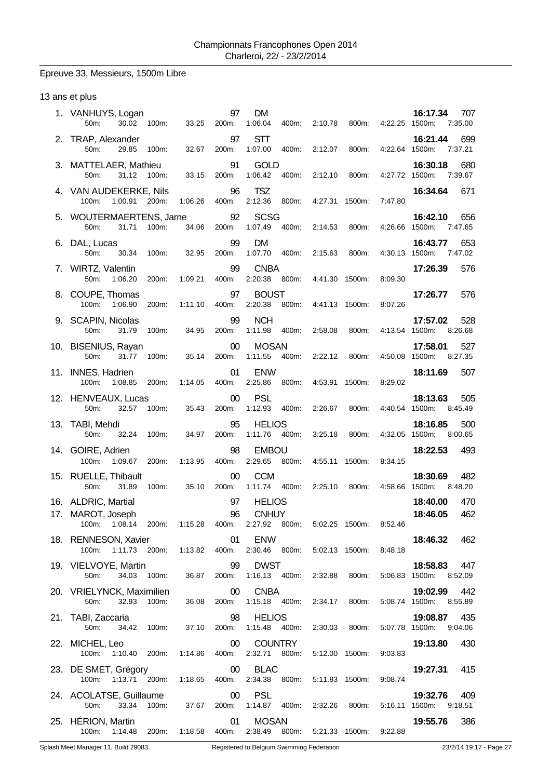# Epreuve 33, Messieurs, 1500m Libre

## 13 ans et plus

| 1. VANHUYS, Logan<br>50m:<br>30.02<br>100m:                                                    | 33.25   | 97<br>200m:     | <b>DM</b><br>1:06.04<br>400m:     | 2:10.78<br>800m:                                    | 4:22.25 1500m: | 16:17.34<br>707<br>7:35.00                   |
|------------------------------------------------------------------------------------------------|---------|-----------------|-----------------------------------|-----------------------------------------------------|----------------|----------------------------------------------|
| 2. TRAP, Alexander<br>50m:<br>29.85<br>100m:                                                   | 32.67   | 97<br>200m:     | <b>STT</b><br>1:07.00<br>400m:    | 2:12.07<br>800m:                                    | 4:22.64 1500m: | 699<br>16:21.44<br>7:37.21                   |
| 3. MATTELAER, Mathieu<br>$50m$ :<br>31.12<br>100m:                                             | 33.15   | 91<br>200m:     | <b>GOLD</b><br>1:06.42<br>400m:   | 2:12.10<br>800m:                                    | 4:27.72 1500m: | 680<br>16:30.18<br>7:39.67                   |
| 4. VAN AUDEKERKE, Nils<br>200m:<br>100m:<br>1:00.91                                            | 1:06.26 | 96<br>400m:     | <b>TSZ</b><br>2:12.36<br>800m:    | 4:27.31<br>1500m:                                   | 7:47.80        | 16:34.64<br>671                              |
| 5. WOUTERMAERTENS, Jarne<br>31.71<br>50m:<br>100m:                                             | 34.06   | 92<br>200m:     | <b>SCSG</b><br>400m:<br>1:07.49   | 2:14.53<br>800m:                                    | 4:26.66 1500m: | 16:42.10<br>656<br>7:47.65                   |
| 6. DAL, Lucas<br>50m:<br>30.34<br>100m:                                                        | 32.95   | 99<br>200m:     | <b>DM</b><br>1:07.70<br>400m:     | 2:15.63<br>800m:                                    | 4:30.13 1500m: | 16:43.77<br>653<br>7:47.02                   |
| 7. WIRTZ, Valentin<br>50m:<br>1:06.20<br>200m:                                                 | 1:09.21 | 99<br>400m:     | <b>CNBA</b><br>2:20.38<br>800m:   | 4:41.30 1500m:                                      | 8:09.30        | 17:26.39<br>576                              |
| 8. COUPE, Thomas<br>100m:<br>1:06.90<br>200m:                                                  | 1:11.10 | 97<br>400m:     | <b>BOUST</b><br>2:20.38<br>800m:  | 4:41.13 1500m:                                      | 8:07.26        | 576<br>17:26.77                              |
| 9. SCAPIN, Nicolas<br>50m:<br>31.79<br>100m:                                                   | 34.95   | 99<br>200m:     | <b>NCH</b><br>1:11.98<br>400m:    | 2:58.08<br>800m:                                    | 4:13.54 1500m: | 528<br>17:57.02<br>8:26.68                   |
| 10. BISENIUS, Rayan<br>50m:<br>31.77<br>100m:                                                  | 35.14   | 00<br>200m:     | <b>MOSAN</b><br>1:11.55<br>400m:  | 2:22.12<br>800m:                                    | 4:50.08 1500m: | 527<br>17:58.01<br>8:27.35                   |
| 11. INNES, Hadrien<br>100m:<br>1:08.85<br>200m:                                                | 1:14.05 | 01<br>400m:     | <b>ENW</b><br>2:25.86<br>800m:    | 4:53.91 1500m:                                      | 8:29.02        | 507<br>18:11.69                              |
| 12. HENVEAUX, Lucas<br>32.57<br>100m:<br>50m:                                                  | 35.43   | $00\,$<br>200m: | <b>PSL</b><br>1:12.93<br>400m:    | 2:26.67<br>800m:                                    | 4:40.54 1500m: | 18:13.63<br>505<br>8:45.49                   |
| 13. TABI, Mehdi<br>50m:<br>32.24<br>100m:                                                      | 34.97   | 95<br>200m:     | <b>HELIOS</b><br>1:11.76<br>400m: | 3:25.18<br>800m:                                    | 4:32.05 1500m: | 500<br>18:16.85<br>8:00.65                   |
| 14. GOIRE, Adrien<br>100m:<br>1:09.67<br>200m:                                                 | 1:13.95 | 98<br>400m:     | <b>EMBOU</b><br>2:29.65<br>800m:  | 4:55.11<br>1500m:                                   | 8:34.15        | 493<br>18:22.53                              |
| 15. RUELLE, Thibault<br>50m:<br>31.89<br>100m:                                                 | 35.10   | 00<br>200m:     | <b>CCM</b><br>1:11.74<br>400m:    | 2:25.10<br>800m:                                    | 4:58.66 1500m: | 482<br>18:30.69<br>8:48.20                   |
| 16. ALDRIC, Martial<br>17. MAROT, Joseph                                                       |         | 97<br>96        | <b>HELIOS</b><br><b>CNHUY</b>     |                                                     |                | 18:40.00<br>470<br>462<br>18:46.05           |
| 100m: 1:08.14 200m: 1:15.28 400m: 2:27.92 800m: 5:02.25 1500m: 8:52.46<br>18. RENNESON, Xavier |         | 01              | ENW                               |                                                     |                | 18:46.32 462                                 |
| 100m: 1:11.73 200m: 1:13.82 400m:<br>19. VIELVOYE, Martin                                      |         | 99              | <b>DWST</b>                       | 2:30.46 800m: 5:02.13 1500m:                        | 8:48.18        | 18:58.83 447                                 |
| 50m:<br>20. VRIELYNCK, Maximilien<br>50m: 32.93 100m: 36.08 20                                 |         | 00              | <b>CNBA</b>                       | 34.03 100m: 36.87 200m: 1:16.13 400m: 2:32.88 800m: |                | 5:06.83 1500m: 8:52.09<br>19:02.99<br>442    |
| 21. TABI, Zaccaria                                                                             |         | 98              | <b>HELIOS</b>                     | 36.08 200m: 1:15.18 400m: 2:34.17 800m:             |                | 5:08.74 1500m: 8:55.89<br>19:08.87 435       |
| 34.42 100m:<br>50m:<br>22. MICHEL, Leo                                                         | 37.10   | $00\,$          | <b>COUNTRY</b>                    | 200m: 1:15.48 400m: 2:30.03 800m:                   |                | 5:07.78 1500m:<br>9:04.06<br>19:13.80<br>430 |
| 100m: 1:10.40 200m: 1:14.86 400m: 2:32.71 800m:<br>23. DE SMET, Grégory                        |         | 00              | <b>BLAC</b>                       | 5:12.00 1500m:                                      | 9:03.83        | 19:27.31<br>415                              |
| 100m: 1:13.71 200m: 1:18.65 400m: 2:34.38 800m:<br>24. ACOLATSE, Guillaume                     |         | 00 <sub>o</sub> | <b>PSL</b>                        | 5:11.83 1500m:                                      | 9:08.74        | 19:32.76<br>- 409                            |
| 50m: 33.34 100m: 37.67 200m:<br>25. HÉRION, Martin                                             |         | 01              | <b>MOSAN</b>                      | 1:14.87  400m: 2:32.26  800m:                       |                | 5:16.11 1500m: 9:18.51<br>386<br>19:55.76    |
| 100m: 1:14.48 200m: 1:18.58 400m: 2:38.49 800m: 5:21.33 1500m: 9:22.88                         |         |                 |                                   |                                                     |                |                                              |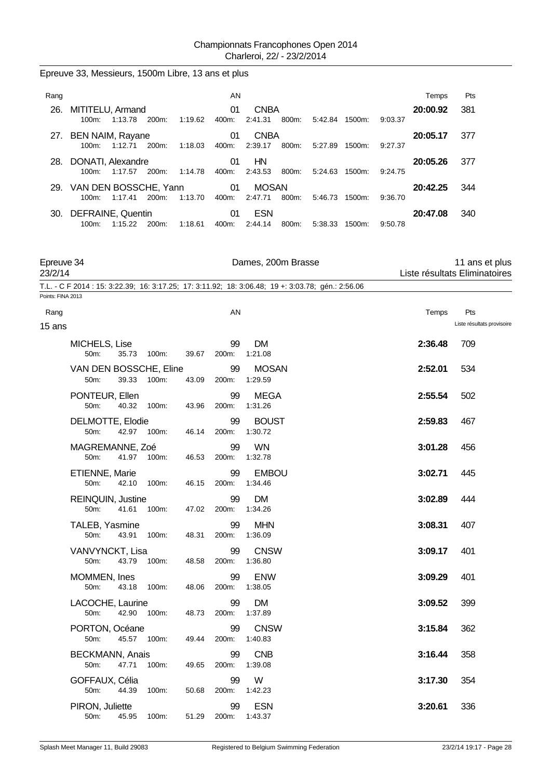## Epreuve 33, Messieurs, 1500m Libre, 13 ans et plus

| Rang |                                       |         |       |         | AN          |                         |       |         |           |         | Temps    | Pts |
|------|---------------------------------------|---------|-------|---------|-------------|-------------------------|-------|---------|-----------|---------|----------|-----|
| 26.  | MITITELU, Armand<br>$100m$ :          | 1:13.78 | 200m: | 1:19.62 | 01<br>400m: | <b>CNBA</b><br>2:41.31  | 800m: | 5:42.84 | 1500m:    | 9:03.37 | 20:00.92 | 381 |
|      | 27. BEN NAIM, Rayane<br>$100m$ :      | 1:12.71 | 200m: | 1:18.03 | 01<br>400m: | <b>CNBA</b><br>2:39.17  | 800m: | 5:27.89 | 1500m:    | 9:27.37 | 20:05.17 | 377 |
| 28.  | DONATI, Alexandre<br>$100m$ :         | 1:17.57 | 200m: | 1:14.78 | 01<br>400m: | HN<br>2:43.53           | 800m: | 5:24.63 | 1500m:    | 9:24.75 | 20:05.26 | 377 |
|      | 29. VAN DEN BOSSCHE, Yann<br>$100m$ : | 1:17.41 | 200m: | 1:13.70 | 01<br>400m: | <b>MOSAN</b><br>2:47.71 | 800m: | 5:46.73 | 1500m:    | 9:36.70 | 20:42.25 | 344 |
| 30.  | DEFRAINE, Quentin<br>$100m$ :         | 1:15.22 | 200m: | 1:18.61 | 01<br>400m: | <b>ESN</b><br>2:44.14   | 800m: | 5:38.33 | $1500m$ : | 9:50.78 | 20:47.08 | 340 |

| Epreuve 34<br>23/2/14 |                                           |       |       | Dames, 200m Brasse |                                                                                                    | 11 ans et plus<br>Liste résultats Eliminatoires |                            |
|-----------------------|-------------------------------------------|-------|-------|--------------------|----------------------------------------------------------------------------------------------------|-------------------------------------------------|----------------------------|
|                       |                                           |       |       |                    | T.L. - C F 2014 : 15: 3:22.39; 16: 3:17.25; 17: 3:11.92; 18: 3:06.48; 19 +: 3:03.78; gén.: 2:56.06 |                                                 |                            |
| Points: FINA 2013     |                                           |       |       |                    |                                                                                                    |                                                 |                            |
| Rang                  |                                           |       |       | AN                 |                                                                                                    | Temps                                           | Pts                        |
| 15 ans                |                                           |       |       |                    |                                                                                                    |                                                 | Liste résultats provisoire |
|                       | MICHELS, Lise<br>35.73<br>50m:            | 100m: | 39.67 | 99<br>200m:        | <b>DM</b><br>1:21.08                                                                               | 2:36.48                                         | 709                        |
|                       | VAN DEN BOSSCHE, Eline<br>39.33<br>50m:   | 100m: | 43.09 | 99<br>200m:        | <b>MOSAN</b><br>1:29.59                                                                            | 2:52.01                                         | 534                        |
|                       | PONTEUR, Ellen<br>50m:<br>40.32           | 100m: | 43.96 | 99<br>200m:        | <b>MEGA</b><br>1:31.26                                                                             | 2:55.54                                         | 502                        |
|                       | DELMOTTE, Elodie<br>42.97<br>50m:         | 100m: | 46.14 | 99<br>200m:        | <b>BOUST</b><br>1:30.72                                                                            | 2:59.83                                         | 467                        |
|                       | MAGREMANNE, Zoé<br>50m:<br>41.97          | 100m: | 46.53 | 99<br>200m:        | <b>WN</b><br>1:32.78                                                                               | 3:01.28                                         | 456                        |
|                       | ETIENNE, Marie<br>50m:<br>42.10           | 100m: | 46.15 | 99<br>200m:        | <b>EMBOU</b><br>1:34.46                                                                            | 3:02.71                                         | 445                        |
|                       | <b>REINQUIN, Justine</b><br>50m:<br>41.61 | 100m: | 47.02 | 99<br>200m:        | DM<br>1:34.26                                                                                      | 3:02.89                                         | 444                        |
|                       | TALEB, Yasmine<br>50m:<br>43.91           | 100m: | 48.31 | 99<br>200m:        | <b>MHN</b><br>1:36.09                                                                              | 3:08.31                                         | 407                        |
|                       | VANVYNCKT, Lisa<br>50m:<br>43.79          | 100m: | 48.58 | 99<br>200m:        | <b>CNSW</b><br>1:36.80                                                                             | 3:09.17                                         | 401                        |
|                       | MOMMEN, Ines<br>50m:<br>43.18             | 100m: | 48.06 | 99<br>200m:        | <b>ENW</b><br>1:38.05                                                                              | 3:09.29                                         | 401                        |
|                       | LACOCHE, Laurine<br>42.90<br>50m:         | 100m: | 48.73 | 99<br>200m:        | DM<br>1:37.89                                                                                      | 3:09.52                                         | 399                        |
|                       | PORTON, Océane<br>50m:<br>45.57           | 100m: | 49.44 | 99<br>200m:        | <b>CNSW</b><br>1:40.83                                                                             | 3:15.84                                         | 362                        |
|                       | <b>BECKMANN, Anais</b><br>50m:<br>47.71   | 100m: | 49.65 | 99<br>200m:        | <b>CNB</b><br>1:39.08                                                                              | 3:16.44                                         | 358                        |
|                       | GOFFAUX, Célia<br>50m:<br>44.39           | 100m: | 50.68 | 99<br>200m:        | W<br>1:42.23                                                                                       | 3:17.30                                         | 354                        |
|                       | PIRON, Juliette<br>50m:<br>45.95          | 100m: | 51.29 | 99<br>200m:        | <b>ESN</b><br>1:43.37                                                                              | 3:20.61                                         | 336                        |
|                       |                                           |       |       |                    |                                                                                                    |                                                 |                            |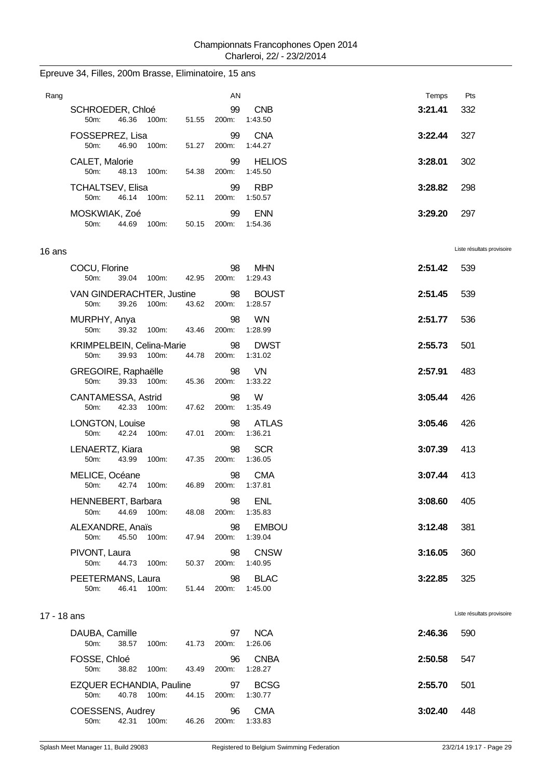| Rang        |                                                                           |                | AN          |                                         | Temps   | Pts                        |
|-------------|---------------------------------------------------------------------------|----------------|-------------|-----------------------------------------|---------|----------------------------|
|             | SCHROEDER, Chloé<br>46.36<br>50m:<br>100m:                                | 51.55          | 99<br>200m: | <b>CNB</b><br>1:43.50                   | 3:21.41 | 332                        |
|             | FOSSEPREZ, Lisa<br>50m:<br>46.90<br>100m:                                 | 51.27          | 99<br>200m: | <b>CNA</b><br>1:44.27                   | 3:22.44 | 327                        |
|             | CALET, Malorie<br>50m:<br>48.13<br>100m:                                  | 54.38          | 99<br>200m: | <b>HELIOS</b><br>1:45.50                | 3:28.01 | 302                        |
|             | <b>TCHALTSEV, Elisa</b><br>50m:<br>46.14<br>100m:                         | 52.11          | 99<br>200m: | <b>RBP</b><br>1:50.57                   | 3:28.82 | 298                        |
|             | MOSKWIAK, Zoé<br>50m:<br>44.69<br>100m:                                   | 50.15          | 99<br>200m: | <b>ENN</b><br>1:54.36                   | 3:29.20 | 297                        |
| 16 ans      |                                                                           |                |             |                                         |         | Liste résultats provisoire |
|             | COCU, Florine<br>50m:<br>39.04 100m:                                      | 42.95          | 98<br>200m: | <b>MHN</b><br>1:29.43                   | 2:51.42 | 539                        |
|             | VAN GINDERACHTER, Justine<br>39.26<br>50m:<br>100m:                       | 43.62          | 98<br>200m: | <b>BOUST</b><br>1:28.57                 | 2:51.45 | 539                        |
|             | MURPHY, Anya<br>50m:<br>39.32<br>100m:                                    | 43.46          | 98<br>200m: | <b>WN</b><br>1:28.99                    | 2:51.77 | 536                        |
|             | KRIMPELBEIN, Celina-Marie<br>39.93 100m:<br>50m:                          | 44.78          | 98<br>200m: | <b>DWST</b><br>1:31.02                  | 2:55.73 | 501                        |
|             | GREGOIRE, Raphaëlle<br>50m:<br>39.33 100m:                                | 45.36          | 98<br>200m: | VN<br>1:33.22                           | 2:57.91 | 483                        |
|             | CANTAMESSA, Astrid<br>50m:<br>42.33 100m:                                 | 47.62          | 98<br>200m: | W<br>1:35.49                            | 3:05.44 | 426                        |
|             | LONGTON, Louise<br>50m:<br>42.24 100m:                                    | 47.01          | 98<br>200m: | <b>ATLAS</b><br>1:36.21                 | 3:05.46 | 426                        |
|             | LENAERTZ, Kiara<br>50m:<br>43.99<br>100m:                                 | 47.35          | 98<br>200m: | <b>SCR</b><br>1:36.05                   | 3:07.39 | 413                        |
|             | MELICE, Océane<br>50m:<br>42.74<br>100m:                                  | 46.89          | 98<br>200m: | <b>CMA</b><br>1:37.81                   | 3:07.44 | 413                        |
|             | HENNEBERT, Barbara<br>50m:<br>44.69<br>100m:                              | 48.08          | 98<br>200m: | <b>ENL</b><br>1:35.83                   | 3:08.60 | 405                        |
|             | ALEXANDRE, Anaïs<br>50m:<br>45.50<br>100m:                                | 47.94          | 98<br>200m: | <b>EMBOU</b><br>1:39.04                 | 3:12.48 | 381                        |
|             | PIVONT, Laura<br>50m:<br>44.73 100m:                                      | 50.37          | 98<br>200m: | <b>CNSW</b><br>1:40.95                  | 3:16.05 | 360                        |
|             | PEETERMANS, Laura<br>46.41<br>100m:<br>50m:                               | 51.44          | 98<br>200m: | <b>BLAC</b><br>1:45.00                  | 3:22.85 | 325                        |
| 17 - 18 ans |                                                                           |                |             |                                         |         | Liste résultats provisoire |
|             | DAUBA, Camille<br>38.57                                                   |                | 97          | <b>NCA</b><br>1:26.06                   | 2:46.36 | 590                        |
|             | 50m:<br>100m:<br>FOSSE, Chloé                                             | 41.73          | 200m:<br>96 | <b>CNBA</b>                             | 2:50.58 | 547                        |
|             | 50m:<br>38.82<br>100m:<br>EZQUER ECHANDIA, Pauline<br>40.78 100m:<br>50m: | 43.49<br>44.15 | 200m:<br>97 | 1:28.27<br><b>BCSG</b><br>200m: 1:30.77 | 2:55.70 | 501                        |

#### Epreuve 34, Filles, 200m Brasse, Eliminatoire, 15 ans

50m: 42.31 100m: 46.26 200m: 1:33.83

COESSENS, Audrey 96 CMA **3:02.40** 448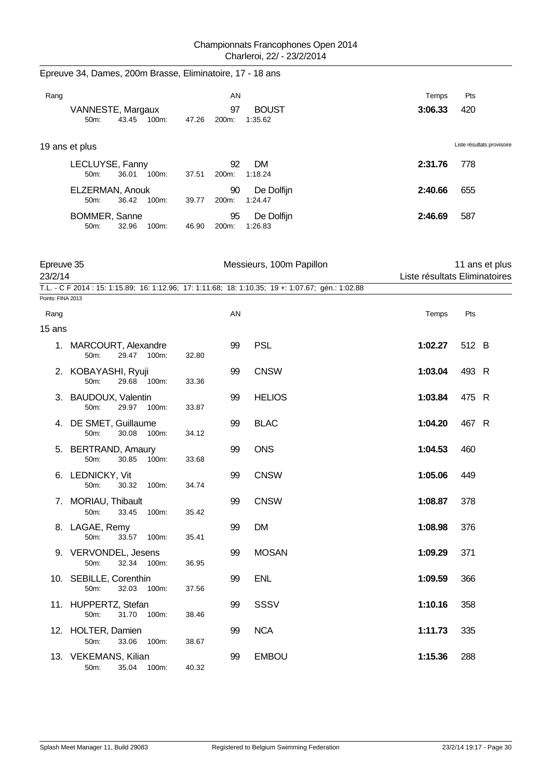|                       | Epreuve 34, Dames, 200m Brasse, Eliminatoire, 17 - 18 ans |       |             |                                                                                                    |         |                                                 |
|-----------------------|-----------------------------------------------------------|-------|-------------|----------------------------------------------------------------------------------------------------|---------|-------------------------------------------------|
| Rang                  |                                                           |       | AN          |                                                                                                    | Temps   | Pts                                             |
|                       | VANNESTE, Margaux<br>43.45 100m:<br>50m:                  | 47.26 | 97<br>200m: | <b>BOUST</b><br>1:35.62                                                                            | 3:06.33 | 420                                             |
|                       | 19 ans et plus                                            |       |             |                                                                                                    |         | Liste résultats provisoire                      |
|                       | LECLUYSE, Fanny<br>36.01 100m:<br>50m:                    | 37.51 | 92<br>200m: | DM<br>1:18.24                                                                                      | 2:31.76 | 778                                             |
|                       | ELZERMAN, Anouk<br>36.42<br>100m:<br>50m:                 | 39.77 | 90<br>200m: | De Dolfijn<br>1:24.47                                                                              | 2:40.66 | 655                                             |
|                       | BOMMER, Sanne<br>50m:<br>32.96<br>100m:                   | 46.90 | 95<br>200m: | De Dolfijn<br>1:26.83                                                                              | 2:46.69 | 587                                             |
| Epreuve 35<br>23/2/14 |                                                           |       |             | Messieurs, 100m Papillon                                                                           |         | 11 ans et plus<br>Liste résultats Eliminatoires |
| Points: FINA 2013     |                                                           |       |             | T.L. - C F 2014 : 15: 1:15.89; 16: 1:12.96; 17: 1:11.68; 18: 1:10.35; 19 +: 1:07.67; gén.: 1:02.88 |         |                                                 |
| Rang                  |                                                           |       | AN          |                                                                                                    | Temps   | Pts                                             |
| 15 ans                |                                                           |       |             |                                                                                                    |         |                                                 |
|                       | 1. MARCOURT, Alexandre<br>50m:<br>29.47 100m:             | 32.80 | 99          | <b>PSL</b>                                                                                         | 1:02.27 | 512 B                                           |
|                       | 2. KOBAYASHI, Ryuji<br>50m:<br>29.68<br>100m:             | 33.36 | 99          | <b>CNSW</b>                                                                                        | 1:03.04 | 493 R                                           |
| 3.                    | BAUDOUX, Valentin<br>29.97<br>50m:<br>100m:               | 33.87 | 99          | <b>HELIOS</b>                                                                                      | 1:03.84 | 475 R                                           |
| 4.                    | DE SMET, Guillaume<br>50m:<br>30.08<br>100m:              | 34.12 | 99          | <b>BLAC</b>                                                                                        | 1:04.20 | 467 R                                           |
|                       | 5. BERTRAND, Amaury<br>100m:<br>50m:<br>30.85             | 33.68 | 99          | <b>ONS</b>                                                                                         | 1:04.53 | 460                                             |
|                       | 6. LEDNICKY, Vit<br>50m: 30.32 100m:                      | 34.74 | 99          | <b>CNSW</b>                                                                                        | 1:05.06 | 449                                             |
|                       | 7. MORIAU, Thibault<br>100m:<br>50m:<br>33.45             | 35.42 | 99          | <b>CNSW</b>                                                                                        | 1:08.87 | 378                                             |
|                       | 8. LAGAE, Remy<br>50m:<br>33.57 100m:                     | 35.41 | 99          | <b>DM</b>                                                                                          | 1:08.98 | 376                                             |
|                       | 9. VERVONDEL, Jesens<br>32.34 100m:<br>50m:               | 36.95 | 99          | <b>MOSAN</b>                                                                                       | 1:09.29 | 371                                             |
|                       | 10. SEBILLE, Corenthin<br>32.03<br>100m:<br>50m:          | 37.56 | 99          | <b>ENL</b>                                                                                         | 1:09.59 | 366                                             |
|                       | 11. HUPPERTZ, Stefan<br>50m:<br>31.70 100m:               | 38.46 | 99          | SSSV                                                                                               | 1:10.16 | 358                                             |
|                       | 12. HOLTER, Damien<br>50m:<br>33.06<br>100m:              | 38.67 | 99          | <b>NCA</b>                                                                                         | 1:11.73 | 335                                             |
|                       | 13. VEKEMANS, Kilian<br>50m:<br>35.04<br>100m:            | 40.32 | 99          | <b>EMBOU</b>                                                                                       | 1:15.36 | 288                                             |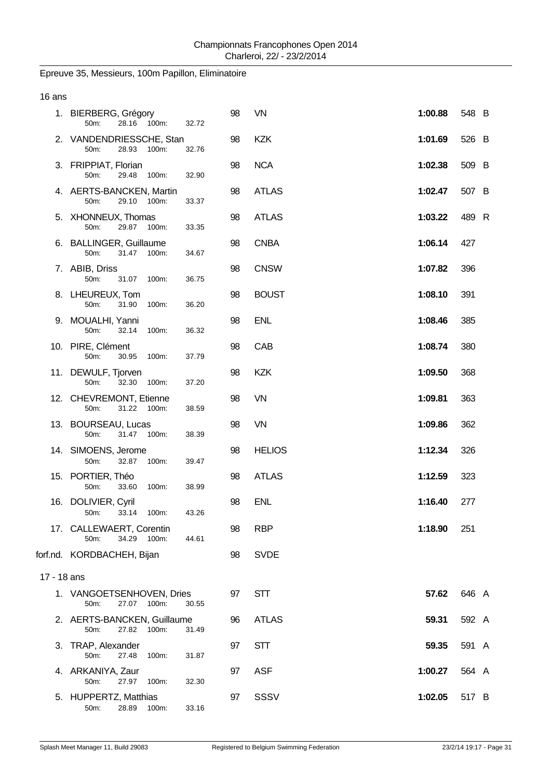# Epreuve 35, Messieurs, 100m Papillon, Eliminatoire

| 16 ans      |                                                       |       |    |               |         |       |  |
|-------------|-------------------------------------------------------|-------|----|---------------|---------|-------|--|
|             | 1. BIERBERG, Grégory<br>28.16 100m:<br>50m:           | 32.72 | 98 | VN            | 1:00.88 | 548 B |  |
|             | 2. VANDENDRIESSCHE, Stan<br>50m:<br>28.93 100m:       | 32.76 | 98 | <b>KZK</b>    | 1:01.69 | 526 B |  |
|             | 3. FRIPPIAT, Florian<br>50m:<br>29.48<br>100m:        | 32.90 | 98 | <b>NCA</b>    | 1:02.38 | 509 B |  |
|             | 4. AERTS-BANCKEN, Martin<br>29.10 100m:<br>50m:       | 33.37 | 98 | <b>ATLAS</b>  | 1:02.47 | 507 B |  |
|             | 5. XHONNEUX, Thomas<br>50m:<br>29.87 100m:            | 33.35 | 98 | <b>ATLAS</b>  | 1:03.22 | 489 R |  |
|             | 6. BALLINGER, Guillaume<br>50m:<br>31.47<br>100m:     | 34.67 | 98 | <b>CNBA</b>   | 1:06.14 | 427   |  |
|             | 7. ABIB, Driss<br>50m:<br>31.07<br>100m:              | 36.75 | 98 | <b>CNSW</b>   | 1:07.82 | 396   |  |
|             | 8. LHEUREUX, Tom<br>50m:<br>31.90<br>100m:            | 36.20 | 98 | <b>BOUST</b>  | 1:08.10 | 391   |  |
|             | 9. MOUALHI, Yanni<br>50m:<br>32.14<br>100m:           | 36.32 | 98 | <b>ENL</b>    | 1:08.46 | 385   |  |
|             | 10. PIRE, Clément<br>50m:<br>30.95<br>100m:           | 37.79 | 98 | CAB           | 1:08.74 | 380   |  |
|             | 11. DEWULF, Tjorven<br>50m:<br>32.30 100m:            | 37.20 | 98 | <b>KZK</b>    | 1:09.50 | 368   |  |
|             | 12. CHEVREMONT, Etienne<br>31.22 100m:<br>50m:        | 38.59 | 98 | VN            | 1:09.81 | 363   |  |
|             | 13. BOURSEAU, Lucas<br>50m:<br>31.47 100m:            | 38.39 | 98 | VN            | 1:09.86 | 362   |  |
|             | 14. SIMOENS, Jerome<br>32.87 100m:<br>50m:            | 39.47 | 98 | <b>HELIOS</b> | 1:12.34 | 326   |  |
|             | 15. PORTIER, Théo<br>50m:<br>33.60<br>100m:           | 38.99 | 98 | <b>ATLAS</b>  | 1:12.59 | 323   |  |
|             | 16. DOLIVIER, Cyril<br>50m:<br>33.14 100m:            | 43.26 | 98 | <b>ENL</b>    | 1:16.40 | 277   |  |
|             | 17. CALLEWAERT, Corentin<br>50m:<br>34.29 100m:       | 44.61 | 98 | <b>RBP</b>    | 1:18.90 | 251   |  |
|             | forf.nd. KORDBACHEH, Bijan                            |       | 98 | <b>SVDE</b>   |         |       |  |
| 17 - 18 ans |                                                       |       |    |               |         |       |  |
|             | 1. VANGOETSENHOVEN, Dries<br>50m:<br>27.07 100m:      | 30.55 | 97 | STT           | 57.62   | 646 A |  |
|             | 2. AERTS-BANCKEN, Guillaume<br>50m:<br>27.82<br>100m: | 31.49 | 96 | <b>ATLAS</b>  | 59.31   | 592 A |  |
| 3.          | TRAP, Alexander<br>50m:<br>27.48<br>100m:             | 31.87 | 97 | STT           | 59.35   | 591 A |  |
|             | 4. ARKANIYA, Zaur<br>27.97<br>50m:<br>100m:           | 32.30 | 97 | <b>ASF</b>    | 1:00.27 | 564 A |  |
|             | 5. HUPPERTZ, Matthias<br>28.89<br>50m:<br>100m:       | 33.16 | 97 | SSSV          | 1:02.05 | 517 B |  |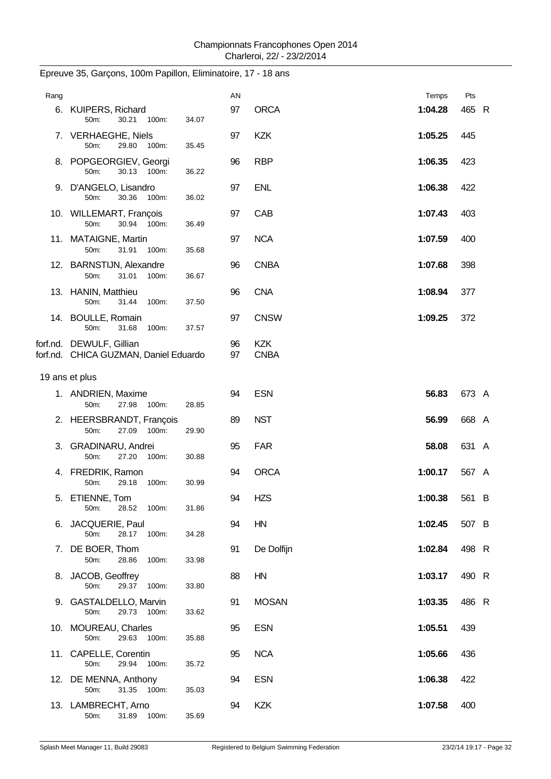| Rang |                                                                   |       | AN       |                           | Temps   | Pts   |  |
|------|-------------------------------------------------------------------|-------|----------|---------------------------|---------|-------|--|
|      | 6. KUIPERS, Richard<br>50m:<br>30.21<br>100m:                     | 34.07 | 97       | <b>ORCA</b>               | 1:04.28 | 465 R |  |
|      | 7. VERHAEGHE, Niels<br>29.80<br>50m:<br>100m:                     | 35.45 | 97       | <b>KZK</b>                | 1:05.25 | 445   |  |
|      | 8. POPGEORGIEV, Georgi<br>50m:<br>30.13 100m:                     | 36.22 | 96       | <b>RBP</b>                | 1:06.35 | 423   |  |
|      | 9. D'ANGELO, Lisandro<br>50m:<br>30.36<br>100m:                   | 36.02 | 97       | <b>ENL</b>                | 1:06.38 | 422   |  |
|      | 10. WILLEMART, François<br>50m:<br>30.94 100m:                    | 36.49 | 97       | CAB                       | 1:07.43 | 403   |  |
|      | 11. MATAIGNE, Martin<br>50m:<br>31.91<br>100m:                    | 35.68 | 97       | <b>NCA</b>                | 1:07.59 | 400   |  |
|      | 12. BARNSTIJN, Alexandre<br>50m:<br>31.01<br>100m:                | 36.67 | 96       | <b>CNBA</b>               | 1:07.68 | 398   |  |
|      | 13. HANIN, Matthieu<br>50m:<br>31.44<br>100m:                     | 37.50 | 96       | <b>CNA</b>                | 1:08.94 | 377   |  |
|      | 14. BOULLE, Romain<br>50m:<br>31.68<br>100m:                      | 37.57 | 97       | <b>CNSW</b>               | 1:09.25 | 372   |  |
|      | forf.nd. DEWULF, Gillian<br>forf.nd. CHICA GUZMAN, Daniel Eduardo |       | 96<br>97 | <b>KZK</b><br><b>CNBA</b> |         |       |  |
|      | 19 ans et plus                                                    |       |          |                           |         |       |  |
|      | 1. ANDRIEN, Maxime<br>27.98 100m:<br>50m:                         | 28.85 | 94       | <b>ESN</b>                | 56.83   | 673 A |  |
|      | 2. HEERSBRANDT, François<br>50m:<br>27.09 100m:                   | 29.90 | 89       | <b>NST</b>                | 56.99   | 668 A |  |
|      | 3. GRADINARU, Andrei<br>50m:<br>27.20 100m:                       | 30.88 | 95       | <b>FAR</b>                | 58.08   | 631 A |  |
|      | 4. FREDRIK, Ramon<br>100m:<br>50m:<br>29.18                       | 30.99 | 94       | <b>ORCA</b>               | 1:00.17 | 567 A |  |
|      | 5. ETIENNE, Tom<br>28.52 100m:<br>50m:                            | 31.86 | 94       | <b>HZS</b>                | 1:00.38 | 561 B |  |
|      | 6. JACQUERIE, Paul<br>50m:<br>28.17<br>100m:                      | 34.28 | 94       | HN                        | 1:02.45 | 507 B |  |
|      | 7. DE BOER, Thom<br>50m:<br>28.86<br>100m:                        | 33.98 | 91       | De Dolfijn                | 1:02.84 | 498 R |  |
|      | 8. JACOB, Geoffrey<br>50m:<br>29.37 100m:                         | 33.80 | 88       | HN                        | 1:03.17 | 490 R |  |
|      | 9. GASTALDELLO, Marvin<br>29.73 100m:<br>50m:                     | 33.62 | 91       | <b>MOSAN</b>              | 1:03.35 | 486 R |  |
|      | 10. MOUREAU, Charles<br>50m:<br>29.63 100m:                       | 35.88 | 95       | <b>ESN</b>                | 1:05.51 | 439   |  |
|      | 11. CAPELLE, Corentin<br>50m:<br>29.94 100m:                      | 35.72 | 95       | <b>NCA</b>                | 1:05.66 | 436   |  |
|      | 12. DE MENNA, Anthony<br>50m:<br>31.35 100m:                      | 35.03 | 94       | <b>ESN</b>                | 1:06.38 | 422   |  |
|      | 13. LAMBRECHT, Arno<br>31.89 100m:<br>50m:                        | 35.69 | 94       | <b>KZK</b>                | 1:07.58 | 400   |  |

# Epreuve 35, Garçons, 100m Papillon, Eliminatoire, 17 - 18 ans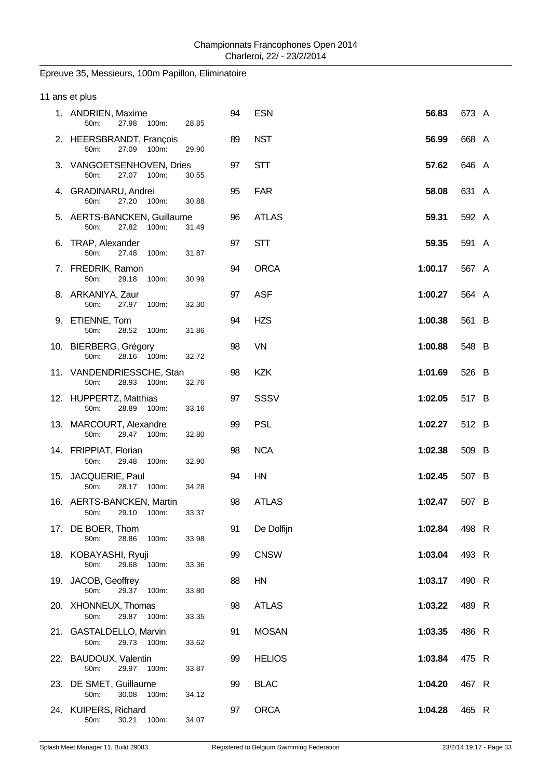# Epreuve 35, Messieurs, 100m Papillon, Eliminatoire

| 11 ans et plus                                        |       |    |               |         |       |  |
|-------------------------------------------------------|-------|----|---------------|---------|-------|--|
| 1. ANDRIEN, Maxime<br>27.98<br>100m:<br>50m:          | 28.85 | 94 | <b>ESN</b>    | 56.83   | 673 A |  |
| 2. HEERSBRANDT, François<br>50m:<br>27.09<br>100m:    | 29.90 | 89 | <b>NST</b>    | 56.99   | 668 A |  |
| 3. VANGOETSENHOVEN, Dries<br>27.07 100m:<br>50m:      | 30.55 | 97 | <b>STT</b>    | 57.62   | 646 A |  |
| 4. GRADINARU, Andrei<br>27.20<br>50m:<br>100m:        | 30.88 | 95 | <b>FAR</b>    | 58.08   | 631 A |  |
| 5. AERTS-BANCKEN, Guillaume<br>50m:<br>27.82<br>100m: | 31.49 | 96 | <b>ATLAS</b>  | 59.31   | 592 A |  |
| 6. TRAP, Alexander<br>50m:<br>27.48<br>100m:          | 31.87 | 97 | <b>STT</b>    | 59.35   | 591 A |  |
| 7. FREDRIK, Ramon<br>50m:<br>29.18<br>100m:           | 30.99 | 94 | <b>ORCA</b>   | 1:00.17 | 567 A |  |
| 8. ARKANIYA, Zaur<br>50m:<br>27.97<br>100m:           | 32.30 | 97 | <b>ASF</b>    | 1:00.27 | 564 A |  |
| 9. ETIENNE, Tom<br>50m:<br>28.52<br>100m:             | 31.86 | 94 | <b>HZS</b>    | 1:00.38 | 561 B |  |
| 10. BIERBERG, Grégory<br>50m:<br>28.16<br>100m:       | 32.72 | 98 | VN            | 1:00.88 | 548 B |  |
| 11. VANDENDRIESSCHE, Stan<br>50m:<br>28.93<br>100m:   | 32.76 | 98 | <b>KZK</b>    | 1:01.69 | 526 B |  |
| 12. HUPPERTZ, Matthias<br>50m:<br>28.89<br>100m:      | 33.16 | 97 | SSSV          | 1:02.05 | 517 B |  |
| 13. MARCOURT, Alexandre<br>50m:<br>29.47<br>100m:     | 32.80 | 99 | <b>PSL</b>    | 1:02.27 | 512 B |  |
| 14. FRIPPIAT, Florian<br>50m:<br>29.48<br>100m:       | 32.90 | 98 | <b>NCA</b>    | 1:02.38 | 509 B |  |
| 15. JACQUERIE, Paul<br>28.17 100m:<br>50m:            | 34.28 | 94 | HN            | 1:02.45 | 507 B |  |
| 16. AERTS-BANCKEN, Martin<br>50m:<br>29.10<br>100m:   | 33.37 | 98 | <b>ATLAS</b>  | 1:02.47 | 507 B |  |
| 17. DE BOER, Thom<br>28.86<br>50m:<br>100m:           | 33.98 | 91 | De Dolfijn    | 1:02.84 | 498 R |  |
| 18. KOBAYASHI, Ryuji<br>50m:<br>29.68<br>100m:        | 33.36 | 99 | <b>CNSW</b>   | 1:03.04 | 493 R |  |
| 19. JACOB, Geoffrey<br>29.37<br>50m:<br>100m:         | 33.80 | 88 | HN            | 1:03.17 | 490 R |  |
| 20. XHONNEUX, Thomas<br>29.87 100m:<br>50m:           | 33.35 | 98 | <b>ATLAS</b>  | 1:03.22 | 489 R |  |
| 21. GASTALDELLO, Marvin<br>29.73 100m:<br>50m:        | 33.62 | 91 | <b>MOSAN</b>  | 1:03.35 | 486 R |  |
| 22. BAUDOUX, Valentin<br>50m:<br>29.97<br>100m:       | 33.87 | 99 | <b>HELIOS</b> | 1:03.84 | 475 R |  |
| 23. DE SMET, Guillaume<br>50m:<br>30.08<br>100m:      | 34.12 | 99 | <b>BLAC</b>   | 1:04.20 | 467 R |  |
| 24. KUIPERS, Richard<br>50m:<br>30.21<br>100m:        | 34.07 | 97 | <b>ORCA</b>   | 1:04.28 | 465 R |  |
|                                                       |       |    |               |         |       |  |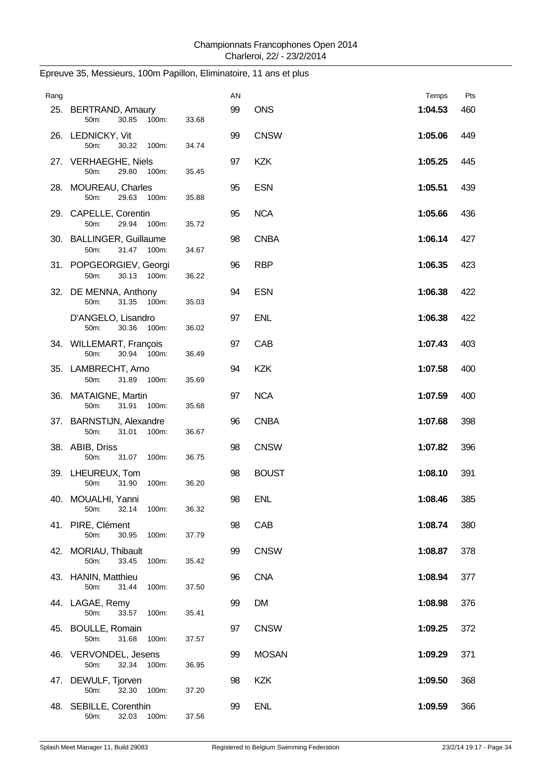| Rang |                                                    |       | AN |              | Temps   | Pts |
|------|----------------------------------------------------|-------|----|--------------|---------|-----|
|      | 25. BERTRAND, Amaury<br>30.85<br>100m:<br>50m:     | 33.68 | 99 | <b>ONS</b>   | 1:04.53 | 460 |
|      | 26. LEDNICKY, Vit<br>50m:<br>30.32<br>100m:        | 34.74 | 99 | <b>CNSW</b>  | 1:05.06 | 449 |
|      | 27. VERHAEGHE, Niels<br>50m:<br>29.80<br>100m:     | 35.45 | 97 | <b>KZK</b>   | 1:05.25 | 445 |
|      | 28. MOUREAU, Charles<br>50m:<br>29.63<br>100m:     | 35.88 | 95 | <b>ESN</b>   | 1:05.51 | 439 |
|      | 29. CAPELLE, Corentin<br>50m:<br>29.94<br>100m:    | 35.72 | 95 | <b>NCA</b>   | 1:05.66 | 436 |
|      | 30. BALLINGER, Guillaume<br>50m:<br>31.47 100m:    | 34.67 | 98 | <b>CNBA</b>  | 1:06.14 | 427 |
|      | 31. POPGEORGIEV, Georgi<br>50m:<br>30.13 100m:     | 36.22 | 96 | <b>RBP</b>   | 1:06.35 | 423 |
|      | 32. DE MENNA, Anthony<br>31.35<br>50m:<br>100m:    | 35.03 | 94 | <b>ESN</b>   | 1:06.38 | 422 |
|      | D'ANGELO, Lisandro<br>50m:<br>30.36<br>100m:       | 36.02 | 97 | <b>ENL</b>   | 1:06.38 | 422 |
|      | 34. WILLEMART, François<br>50m:<br>30.94 100m:     | 36.49 | 97 | CAB          | 1:07.43 | 403 |
|      | 35. LAMBRECHT, Arno<br>31.89<br>50m:<br>100m:      | 35.69 | 94 | <b>KZK</b>   | 1:07.58 | 400 |
|      | 36. MATAIGNE, Martin<br>50m:<br>31.91<br>100m:     | 35.68 | 97 | <b>NCA</b>   | 1:07.59 | 400 |
|      | 37. BARNSTIJN, Alexandre<br>31.01<br>50m:<br>100m: | 36.67 | 96 | <b>CNBA</b>  | 1:07.68 | 398 |
|      | 38. ABIB, Driss<br>31.07<br>100m:<br>50m:          | 36.75 | 98 | <b>CNSW</b>  | 1:07.82 | 396 |
|      | 39. LHEUREUX, Tom<br>50m:<br>31.90<br>100m:        | 36.20 | 98 | <b>BOUST</b> | 1:08.10 | 391 |
|      | 40. MOUALHI, Yanni<br>50m:<br>32.14<br>100m:       | 36.32 | 98 | <b>ENL</b>   | 1:08.46 | 385 |
|      | 41. PIRE, Clément<br>50m:<br>30.95<br>100m:        | 37.79 | 98 | CAB          | 1:08.74 | 380 |
|      | 42. MORIAU, Thibault<br>50m:<br>33.45<br>100m:     | 35.42 | 99 | <b>CNSW</b>  | 1:08.87 | 378 |
|      | 43. HANIN, Matthieu<br>50m:<br>31.44<br>100m:      | 37.50 | 96 | <b>CNA</b>   | 1:08.94 | 377 |
|      | 44. LAGAE, Remy<br>50m:<br>33.57<br>100m:          | 35.41 | 99 | <b>DM</b>    | 1:08.98 | 376 |
|      | 45. BOULLE, Romain<br>50m:<br>31.68<br>100m:       | 37.57 | 97 | <b>CNSW</b>  | 1:09.25 | 372 |
|      | 46. VERVONDEL, Jesens<br>50m:<br>32.34<br>100m:    | 36.95 | 99 | <b>MOSAN</b> | 1:09.29 | 371 |
|      | 47. DEWULF, Tjorven<br>32.30<br>50m:<br>100m:      | 37.20 | 98 | <b>KZK</b>   | 1:09.50 | 368 |
|      | 48. SEBILLE, Corenthin<br>50m:<br>32.03<br>100m:   | 37.56 | 99 | <b>ENL</b>   | 1:09.59 | 366 |

# Epreuve 35, Messieurs, 100m Papillon, Eliminatoire, 11 ans et plus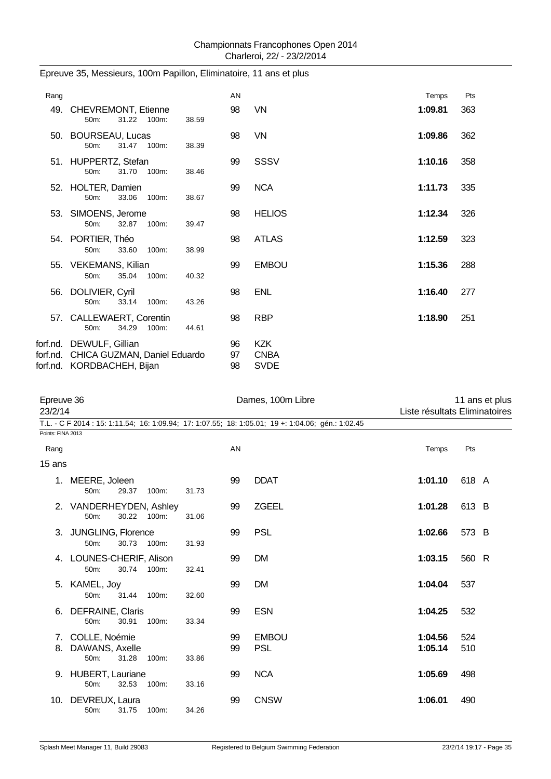| Rang |                                                                                                 |       | AN             |                                          | Temps   | Pts |
|------|-------------------------------------------------------------------------------------------------|-------|----------------|------------------------------------------|---------|-----|
|      | 49. CHEVREMONT, Etienne<br>31.22 100m:<br>50m:                                                  | 38.59 | 98             | VN                                       | 1:09.81 | 363 |
|      | 50. BOURSEAU, Lucas<br>31.47 100m:<br>50m:                                                      | 38.39 | 98             | VN                                       | 1:09.86 | 362 |
|      | 51. HUPPERTZ, Stefan<br>31.70<br>100m:<br>$50m$ :                                               | 38.46 | 99             | <b>SSSV</b>                              | 1:10.16 | 358 |
|      | 52. HOLTER, Damien<br>$50m$ :<br>33.06<br>100m:                                                 | 38.67 | 99             | <b>NCA</b>                               | 1:11.73 | 335 |
|      | 53. SIMOENS, Jerome<br>50m:<br>32.87<br>100m:                                                   | 39.47 | 98             | <b>HELIOS</b>                            | 1:12.34 | 326 |
|      | 54. PORTIER, Théo<br>33.60<br>50m:<br>100m:                                                     | 38.99 | 98             | <b>ATLAS</b>                             | 1:12.59 | 323 |
|      | 55. VEKEMANS, Kilian<br>35.04 100m:<br>50m:                                                     | 40.32 | 99             | <b>EMBOU</b>                             | 1:15.36 | 288 |
|      | 56. DOLIVIER, Cyril<br>33.14<br>100m:<br>50m:                                                   | 43.26 | 98             | <b>ENL</b>                               | 1:16.40 | 277 |
|      | 57. CALLEWAERT, Corentin<br>34.29<br>$50m$ :<br>100m:                                           | 44.61 | 98             | <b>RBP</b>                               | 1:18.90 | 251 |
|      | forf.nd. DEWULF, Gillian<br>forf.nd. CHICA GUZMAN, Daniel Eduardo<br>forf.nd. KORDBACHEH, Bijan |       | 96<br>97<br>98 | <b>KZK</b><br><b>CNBA</b><br><b>SVDE</b> |         |     |

## Epreuve 35, Messieurs, 100m Papillon, Eliminatoire, 11 ans et plus

| Epreuve 36<br>23/2/14     |                                                     |       |       |          | Dames, 100m Libre                                                                                 | 11 ans et plus<br>Liste résultats Eliminatoires |            |  |  |
|---------------------------|-----------------------------------------------------|-------|-------|----------|---------------------------------------------------------------------------------------------------|-------------------------------------------------|------------|--|--|
|                           |                                                     |       |       |          | T.L. - C F 2014: 15: 1:11.54: 16: 1:09.94: 17: 1:07.55: 18: 1:05.01: 19 +: 1:04.06: gén.: 1:02.45 |                                                 |            |  |  |
| Points: FINA 2013<br>Rang |                                                     |       |       | AN       |                                                                                                   | Temps                                           | Pts        |  |  |
| 15 ans                    |                                                     |       |       |          |                                                                                                   |                                                 |            |  |  |
|                           | 1. MEERE, Joleen<br>29.37<br>50m:                   | 100m: | 31.73 | 99       | <b>DDAT</b>                                                                                       | 1:01.10                                         | 618 A      |  |  |
|                           | 2. VANDERHEYDEN, Ashley<br>30.22<br>50m:            | 100m: | 31.06 | 99       | <b>ZGEEL</b>                                                                                      | 1:01.28                                         | 613 B      |  |  |
|                           | 3. JUNGLING, Florence<br>30.73<br>50m:              | 100m: | 31.93 | 99       | <b>PSL</b>                                                                                        | 1:02.66                                         | 573 B      |  |  |
|                           | 4. LOUNES-CHERIF, Alison<br>50m:<br>30.74           | 100m: | 32.41 | 99       | DM                                                                                                | 1:03.15                                         | 560 R      |  |  |
|                           | 5. KAMEL, Joy<br>50m:<br>31.44                      | 100m: | 32.60 | 99       | DM                                                                                                | 1:04.04                                         | 537        |  |  |
| 6.                        | DEFRAINE, Claris<br>50m:<br>30.91                   | 100m: | 33.34 | 99       | <b>ESN</b>                                                                                        | 1:04.25                                         | 532        |  |  |
| 8.                        | 7. COLLE, Noémie<br>DAWANS, Axelle<br>50m:<br>31.28 | 100m: | 33.86 | 99<br>99 | <b>EMBOU</b><br><b>PSL</b>                                                                        | 1:04.56<br>1:05.14                              | 524<br>510 |  |  |
|                           | 9. HUBERT, Lauriane<br>32.53<br>50m:                | 100m: | 33.16 | 99       | <b>NCA</b>                                                                                        | 1:05.69                                         | 498        |  |  |
| 10.                       | DEVREUX, Laura<br>50m:<br>31.75                     | 100m: | 34.26 | 99       | <b>CNSW</b>                                                                                       | 1:06.01                                         | 490        |  |  |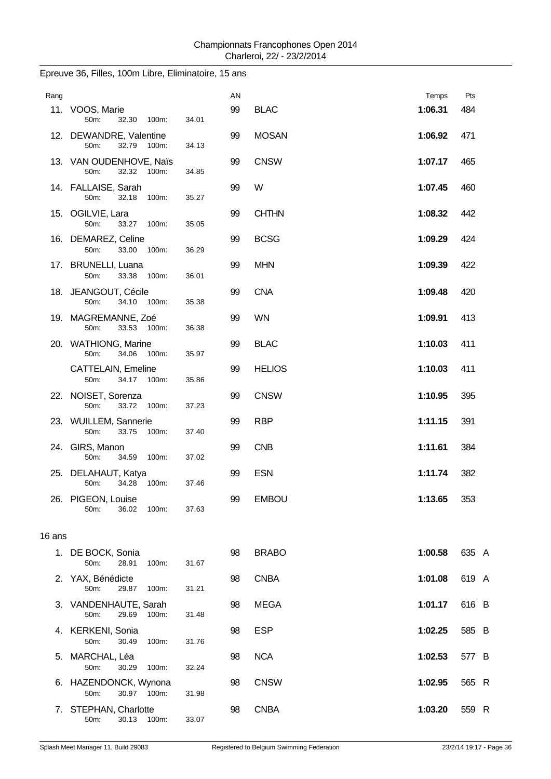| Rang   |                                                  |       | AN |               | Temps   | Pts   |
|--------|--------------------------------------------------|-------|----|---------------|---------|-------|
|        | 11. VOOS, Marie<br>32.30<br>50m:<br>100m:        | 34.01 | 99 | <b>BLAC</b>   | 1:06.31 | 484   |
|        | 12. DEWANDRE, Valentine<br>32.79 100m:<br>50m:   | 34.13 | 99 | <b>MOSAN</b>  | 1:06.92 | 471   |
|        | 13. VAN OUDENHOVE, Naïs<br>50m:<br>32.32 100m:   | 34.85 | 99 | <b>CNSW</b>   | 1:07.17 | 465   |
|        | 14. FALLAISE, Sarah<br>32.18<br>50m:<br>100m:    | 35.27 | 99 | W             | 1:07.45 | 460   |
|        | 15. OGILVIE, Lara<br>50m:<br>33.27 100m:         | 35.05 | 99 | <b>CHTHN</b>  | 1:08.32 | 442   |
|        | 16. DEMAREZ, Celine<br>33.00<br>50m:<br>100m:    | 36.29 | 99 | <b>BCSG</b>   | 1:09.29 | 424   |
|        | 17. BRUNELLI, Luana<br>50m:<br>33.38<br>100m:    | 36.01 | 99 | <b>MHN</b>    | 1:09.39 | 422   |
|        | 18. JEANGOUT, Cécile<br>34.10 100m:<br>50m:      | 35.38 | 99 | <b>CNA</b>    | 1:09.48 | 420   |
|        | 19. MAGREMANNE, Zoé<br>33.53 100m:<br>50m:       | 36.38 | 99 | <b>WN</b>     | 1:09.91 | 413   |
|        | 20. WATHIONG, Marine<br>34.06<br>50m:<br>100m:   | 35.97 | 99 | <b>BLAC</b>   | 1:10.03 | 411   |
|        | <b>CATTELAIN, Emeline</b><br>34.17 100m:<br>50m: | 35.86 | 99 | <b>HELIOS</b> | 1:10.03 | 411   |
|        | 22. NOISET, Sorenza<br>50m:<br>33.72<br>100m:    | 37.23 | 99 | <b>CNSW</b>   | 1:10.95 | 395   |
|        | 23. WUILLEM, Sannerie<br>50m:<br>33.75<br>100m:  | 37.40 | 99 | <b>RBP</b>    | 1:11.15 | 391   |
|        | 24. GIRS, Manon<br>50m:<br>34.59<br>100m:        | 37.02 | 99 | <b>CNB</b>    | 1:11.61 | 384   |
|        | 25. DELAHAUT, Katya<br>50m:<br>34.28<br>100m:    | 37.46 | 99 | <b>ESN</b>    | 1:11.74 | 382   |
|        | 26. PIGEON, Louise<br>36.02<br>50m:<br>100m:     | 37.63 | 99 | <b>EMBOU</b>  | 1:13.65 | 353   |
| 16 ans |                                                  |       |    |               |         |       |
|        | 1. DE BOCK, Sonia                                |       | 98 | <b>BRABO</b>  | 1:00.58 | 635 A |
|        | 50m:<br>28.91<br>100m:                           | 31.67 |    |               |         |       |
|        | 2. YAX, Bénédicte<br>50m:<br>29.87<br>100m:      | 31.21 | 98 | <b>CNBA</b>   | 1:01.08 | 619 A |
|        | 3. VANDENHAUTE, Sarah<br>50m:<br>29.69<br>100m:  | 31.48 | 98 | <b>MEGA</b>   | 1:01.17 | 616 B |
|        | 4. KERKENI, Sonia<br>50m:<br>30.49<br>100m:      | 31.76 | 98 | <b>ESP</b>    | 1:02.25 | 585 B |
|        | 5. MARCHAL, Léa<br>50m:<br>30.29<br>100m:        | 32.24 | 98 | <b>NCA</b>    | 1:02.53 | 577 B |
|        | 6. HAZENDONCK, Wynona<br>30.97<br>100m:<br>50m:  | 31.98 | 98 | <b>CNSW</b>   | 1:02.95 | 565 R |
|        | 7. STEPHAN, Charlotte<br>50m:<br>30.13<br>100m:  | 33.07 | 98 | <b>CNBA</b>   | 1:03.20 | 559 R |

# Epreuve 36, Filles, 100m Libre, Eliminatoire, 15 ans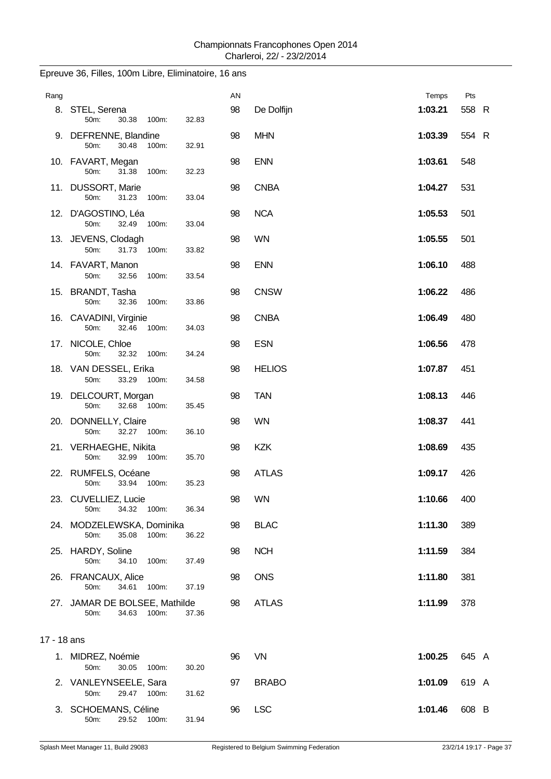| Rang        |                                                         |       | ΑN |               | Temps   | Pts   |  |
|-------------|---------------------------------------------------------|-------|----|---------------|---------|-------|--|
|             | 8. STEL, Serena<br>50m:<br>30.38<br>100m:               | 32.83 | 98 | De Dolfijn    | 1:03.21 | 558 R |  |
|             | 9. DEFRENNE, Blandine<br>50m:<br>30.48<br>100m:         | 32.91 | 98 | <b>MHN</b>    | 1:03.39 | 554 R |  |
|             | 10. FAVART, Megan<br>50m:<br>31.38<br>100m:             | 32.23 | 98 | <b>ENN</b>    | 1:03.61 | 548   |  |
|             | 11. DUSSORT, Marie<br>50m:<br>31.23<br>100m:            | 33.04 | 98 | <b>CNBA</b>   | 1:04.27 | 531   |  |
|             | 12. D'AGOSTINO, Léa<br>50m:<br>32.49<br>100m:           | 33.04 | 98 | <b>NCA</b>    | 1:05.53 | 501   |  |
|             | 13. JEVENS, Clodagh<br>31.73<br>50m:<br>100m:           | 33.82 | 98 | <b>WN</b>     | 1:05.55 | 501   |  |
|             | 14. FAVART, Manon<br>50m:<br>32.56<br>100m:             | 33.54 | 98 | <b>ENN</b>    | 1:06.10 | 488   |  |
|             | 15. BRANDT, Tasha<br>50m:<br>32.36<br>100m:             | 33.86 | 98 | <b>CNSW</b>   | 1:06.22 | 486   |  |
|             | 16. CAVADINI, Virginie<br>50m:<br>32.46<br>100m:        | 34.03 | 98 | <b>CNBA</b>   | 1:06.49 | 480   |  |
|             | 17. NICOLE, Chloe<br>50m:<br>32.32 100m:                | 34.24 | 98 | <b>ESN</b>    | 1:06.56 | 478   |  |
|             | 18. VAN DESSEL, Erika<br>50m:<br>33.29 100m:            | 34.58 | 98 | <b>HELIOS</b> | 1:07.87 | 451   |  |
|             | 19. DELCOURT, Morgan<br>50m:<br>32.68 100m:             | 35.45 | 98 | <b>TAN</b>    | 1:08.13 | 446   |  |
|             | 20. DONNELLY, Claire<br>50m:<br>32.27 100m:             | 36.10 | 98 | <b>WN</b>     | 1:08.37 | 441   |  |
|             | 21. VERHAEGHE, Nikita<br>50m:<br>32.99 100m:            | 35.70 | 98 | <b>KZK</b>    | 1:08.69 | 435   |  |
|             | 22. RUMFELS, Océane<br>33.94<br>100m:<br>50m:           | 35.23 | 98 | <b>ATLAS</b>  | 1:09.17 | 426   |  |
|             | 23. CUVELLIEZ, Lucie<br>34.32 100m:<br>50m:             | 36.34 | 98 | <b>WN</b>     | 1:10.66 | 400   |  |
|             | 24. MODZELEWSKA, Dominika<br>50m:<br>35.08<br>100m:     | 36.22 | 98 | <b>BLAC</b>   | 1:11.30 | 389   |  |
|             | 25. HARDY, Soline<br>50m:<br>34.10<br>100m:             | 37.49 | 98 | <b>NCH</b>    | 1:11.59 | 384   |  |
|             | 26. FRANCAUX, Alice<br>50m:<br>34.61<br>100m:           | 37.19 | 98 | <b>ONS</b>    | 1:11.80 | 381   |  |
|             | 27. JAMAR DE BOLSEE, Mathilde<br>50m:<br>34.63<br>100m: | 37.36 | 98 | <b>ATLAS</b>  | 1:11.99 | 378   |  |
| 17 - 18 ans |                                                         |       |    |               |         |       |  |
|             | 1. MIDREZ, Noémie<br>30.05<br>50m:<br>100m:             | 30.20 | 96 | <b>VN</b>     | 1:00.25 | 645 A |  |
|             | 2. VANLEYNSEELE, Sara<br>50m:<br>29.47 100m:            | 31.62 | 97 | <b>BRABO</b>  | 1:01.09 | 619 A |  |
|             | 3. SCHOEMANS, Céline<br>29.52<br>50m:<br>100m:          | 31.94 | 96 | <b>LSC</b>    | 1:01.46 | 608 B |  |

# Epreuve 36, Filles, 100m Libre, Eliminatoire, 16 ans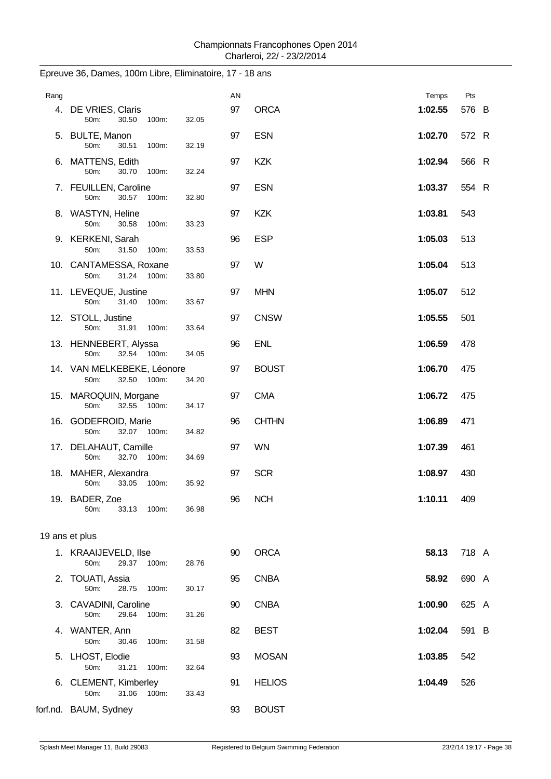| Rang |                                                   |       | AN |               | Temps   | Pts   |
|------|---------------------------------------------------|-------|----|---------------|---------|-------|
|      | 4. DE VRIES, Claris<br>50m:<br>30.50<br>100m:     | 32.05 | 97 | <b>ORCA</b>   | 1:02.55 | 576 B |
|      | 5. BULTE, Manon<br>50m:<br>30.51<br>100m:         | 32.19 | 97 | <b>ESN</b>    | 1:02.70 | 572 R |
|      | 6. MATTENS, Edith<br>50m:<br>30.70<br>100m:       | 32.24 | 97 | <b>KZK</b>    | 1:02.94 | 566 R |
|      | 7. FEUILLEN, Caroline<br>50m:<br>30.57<br>100m:   | 32.80 | 97 | <b>ESN</b>    | 1:03.37 | 554 R |
|      | 8. WASTYN, Heline<br>50m:<br>30.58<br>100m:       | 33.23 | 97 | <b>KZK</b>    | 1:03.81 | 543   |
|      | 9. KERKENI, Sarah<br>50m:<br>31.50<br>100m:       | 33.53 | 96 | <b>ESP</b>    | 1:05.03 | 513   |
|      | 10. CANTAMESSA, Roxane<br>50m:<br>31.24 100m:     | 33.80 | 97 | W             | 1:05.04 | 513   |
|      | 11. LEVEQUE, Justine<br>31.40 100m:<br>50m:       | 33.67 | 97 | <b>MHN</b>    | 1:05.07 | 512   |
|      | 12. STOLL, Justine<br>31.91<br>50m:<br>100m:      | 33.64 | 97 | <b>CNSW</b>   | 1:05.55 | 501   |
|      | 13. HENNEBERT, Alyssa<br>32.54 100m:<br>50m:      | 34.05 | 96 | <b>ENL</b>    | 1:06.59 | 478   |
|      | 14. VAN MELKEBEKE, Léonore<br>32.50 100m:<br>50m: | 34.20 | 97 | <b>BOUST</b>  | 1:06.70 | 475   |
|      | 15. MAROQUIN, Morgane<br>50m:<br>32.55 100m:      | 34.17 | 97 | <b>CMA</b>    | 1:06.72 | 475   |
|      | 16. GODEFROID, Marie<br>32.07 100m:<br>50m:       | 34.82 | 96 | <b>CHTHN</b>  | 1:06.89 | 471   |
|      | 17. DELAHAUT, Camille<br>50m:<br>32.70 100m:      | 34.69 | 97 | <b>WN</b>     | 1:07.39 | 461   |
|      | 18. MAHER, Alexandra<br>33.05<br>50m:<br>100m:    | 35.92 | 97 | <b>SCR</b>    | 1:08.97 | 430   |
|      | 19. BADER, Zoe<br>100m:<br>50m:<br>33.13          | 36.98 | 96 | <b>NCH</b>    | 1:10.11 | 409   |
|      | 19 ans et plus                                    |       |    |               |         |       |
|      | 1. KRAAIJEVELD, Ilse<br>50m:<br>29.37<br>100m:    | 28.76 | 90 | <b>ORCA</b>   | 58.13   | 718 A |
|      | 2. TOUATI, Assia<br>50m:<br>28.75<br>100m:        | 30.17 | 95 | <b>CNBA</b>   | 58.92   | 690 A |
|      | 3. CAVADINI, Caroline<br>29.64<br>50m:<br>100m:   | 31.26 | 90 | <b>CNBA</b>   | 1:00.90 | 625 A |
|      | 4. WANTER, Ann<br>50m:<br>30.46<br>100m:          | 31.58 | 82 | <b>BEST</b>   | 1:02.04 | 591 B |
|      | 5. LHOST, Elodie<br>50m:<br>31.21<br>100m:        | 32.64 | 93 | <b>MOSAN</b>  | 1:03.85 | 542   |
|      | 6. CLEMENT, Kimberley<br>50m:<br>31.06<br>100m:   | 33.43 | 91 | <b>HELIOS</b> | 1:04.49 | 526   |
|      | forf.nd. BAUM, Sydney                             |       | 93 | <b>BOUST</b>  |         |       |

Epreuve 36, Dames, 100m Libre, Eliminatoire, 17 - 18 ans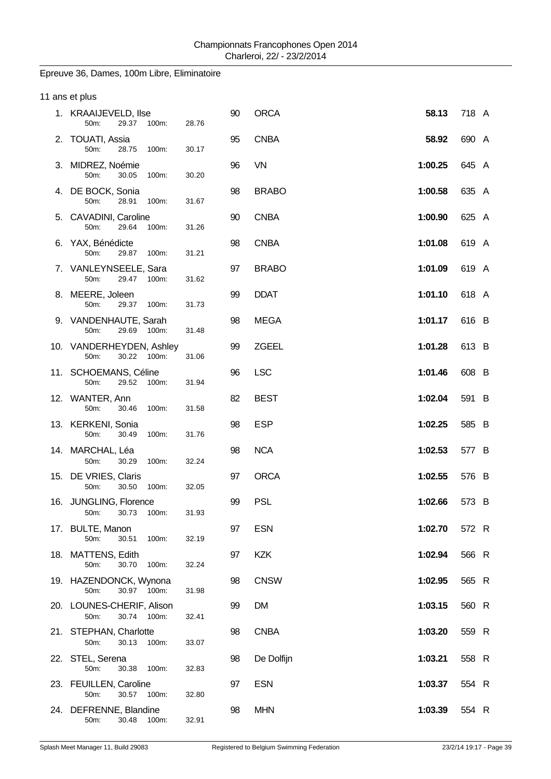## Epreuve 36, Dames, 100m Libre, Eliminatoire

| 11 ans et plus                                   |       |    |              |         |       |
|--------------------------------------------------|-------|----|--------------|---------|-------|
| 1. KRAAIJEVELD, Ilse<br>29.37 100m:<br>50m:      | 28.76 | 90 | <b>ORCA</b>  | 58.13   | 718 A |
| 2. TOUATI, Assia<br>50m:<br>28.75<br>100m:       | 30.17 | 95 | <b>CNBA</b>  | 58.92   | 690 A |
| 3. MIDREZ, Noémie<br>50m:<br>30.05<br>100m:      | 30.20 | 96 | <b>VN</b>    | 1:00.25 | 645 A |
| 4. DE BOCK, Sonia<br>50m:<br>28.91<br>100m:      | 31.67 | 98 | <b>BRABO</b> | 1:00.58 | 635 A |
| 5. CAVADINI, Caroline<br>50m:<br>29.64<br>100m:  | 31.26 | 90 | <b>CNBA</b>  | 1:00.90 | 625 A |
| 6. YAX, Bénédicte<br>50m:<br>29.87<br>100m:      | 31.21 | 98 | <b>CNBA</b>  | 1:01.08 | 619 A |
| 7. VANLEYNSEELE, Sara<br>50m:<br>29.47 100m:     | 31.62 | 97 | <b>BRABO</b> | 1:01.09 | 619 A |
| 8. MEERE, Joleen<br>50m:<br>29.37<br>100m:       | 31.73 | 99 | <b>DDAT</b>  | 1:01.10 | 618 A |
| 9. VANDENHAUTE, Sarah<br>50m:<br>29.69<br>100m:  | 31.48 | 98 | <b>MEGA</b>  | 1:01.17 | 616 B |
| 10. VANDERHEYDEN, Ashley<br>30.22 100m:<br>50m:  | 31.06 | 99 | ZGEEL        | 1:01.28 | 613 B |
| 11. SCHOEMANS, Céline<br>29.52<br>50m:<br>100m:  | 31.94 | 96 | <b>LSC</b>   | 1:01.46 | 608 B |
| 12. WANTER, Ann<br>50m:<br>30.46<br>100m:        | 31.58 | 82 | <b>BEST</b>  | 1:02.04 | 591 B |
| 13. KERKENI, Sonia<br>50m:<br>30.49<br>100m:     | 31.76 | 98 | <b>ESP</b>   | 1:02.25 | 585 B |
| 14. MARCHAL, Léa<br>50m:<br>30.29<br>100m:       | 32.24 | 98 | <b>NCA</b>   | 1:02.53 | 577 B |
| 15. DE VRIES, Claris<br>50m:<br>30.50<br>100m:   | 32.05 | 97 | <b>ORCA</b>  | 1:02.55 | 576 B |
| 16. JUNGLING, Florence<br>50m:<br>30.73<br>100m: | 31.93 | 99 | <b>PSL</b>   | 1:02.66 | 573 B |
| 17. BULTE, Manon<br>50m:<br>30.51<br>100m:       | 32.19 | 97 | <b>ESN</b>   | 1:02.70 | 572 R |
| 18. MATTENS, Edith<br>30.70<br>50m:<br>100m:     | 32.24 | 97 | <b>KZK</b>   | 1:02.94 | 566 R |
| 19. HAZENDONCK, Wynona<br>30.97 100m:<br>50m:    | 31.98 | 98 | <b>CNSW</b>  | 1:02.95 | 565 R |
| 20. LOUNES-CHERIF, Alison<br>30.74 100m:<br>50m: | 32.41 | 99 | <b>DM</b>    | 1:03.15 | 560 R |
| 21. STEPHAN, Charlotte<br>50m:<br>30.13<br>100m: | 33.07 | 98 | <b>CNBA</b>  | 1:03.20 | 559 R |
| 22. STEL, Serena<br>30.38<br>50m:<br>100m:       | 32.83 | 98 | De Dolfijn   | 1:03.21 | 558 R |
| 23. FEUILLEN, Caroline<br>30.57 100m:<br>50m:    | 32.80 | 97 | <b>ESN</b>   | 1:03.37 | 554 R |
| 24. DEFRENNE, Blandine<br>30.48<br>50m:<br>100m: | 32.91 | 98 | <b>MHN</b>   | 1:03.39 | 554 R |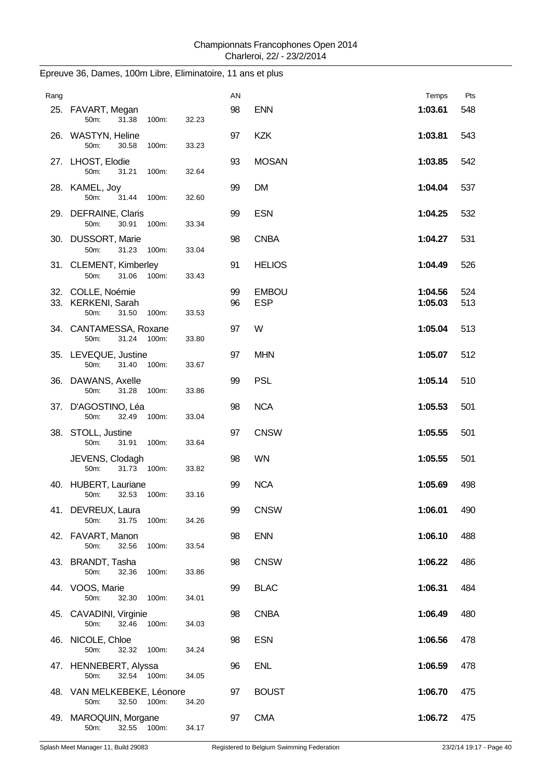| Rang |                                                                   |       | AN       |                            | Temps              | Pts        |
|------|-------------------------------------------------------------------|-------|----------|----------------------------|--------------------|------------|
|      | 25. FAVART, Megan<br>50m:<br>31.38<br>100m:                       | 32.23 | 98       | <b>ENN</b>                 | 1:03.61            | 548        |
|      | 26. WASTYN, Heline<br>50m:<br>30.58<br>100m:                      | 33.23 | 97       | <b>KZK</b>                 | 1:03.81            | 543        |
|      | 27. LHOST, Elodie<br>50m:<br>31.21<br>100m:                       | 32.64 | 93       | <b>MOSAN</b>               | 1:03.85            | 542        |
|      | 28. KAMEL, Joy<br>31.44<br>50m:<br>100m:                          | 32.60 | 99       | <b>DM</b>                  | 1:04.04            | 537        |
|      | 29. DEFRAINE, Claris<br>50m:<br>30.91<br>100m:                    | 33.34 | 99       | <b>ESN</b>                 | 1:04.25            | 532        |
|      | 30. DUSSORT, Marie<br>50m:<br>31.23<br>100m:                      | 33.04 | 98       | <b>CNBA</b>                | 1:04.27            | 531        |
|      | 31. CLEMENT, Kimberley<br>50m:<br>31.06<br>100m:                  | 33.43 | 91       | <b>HELIOS</b>              | 1:04.49            | 526        |
|      | 32. COLLE, Noémie<br>33. KERKENI, Sarah<br>50m:<br>31.50<br>100m: | 33.53 | 99<br>96 | <b>EMBOU</b><br><b>ESP</b> | 1:04.56<br>1:05.03 | 524<br>513 |
|      | 34. CANTAMESSA, Roxane<br>31.24<br>50m:<br>100m:                  | 33.80 | 97       | W                          | 1:05.04            | 513        |
|      | 35. LEVEQUE, Justine<br>31.40<br>50m:<br>100m:                    | 33.67 | 97       | <b>MHN</b>                 | 1:05.07            | 512        |
|      | 36. DAWANS, Axelle<br>50m:<br>31.28<br>100m:                      | 33.86 | 99       | <b>PSL</b>                 | 1:05.14            | 510        |
|      | 37. D'AGOSTINO, Léa<br>50m:<br>32.49<br>100m:                     | 33.04 | 98       | <b>NCA</b>                 | 1:05.53            | 501        |
|      | 38. STOLL, Justine<br>50m:<br>31.91<br>100m:                      | 33.64 | 97       | <b>CNSW</b>                | 1:05.55            | 501        |
|      | JEVENS, Clodagh<br>50m:<br>31.73<br>100m:                         | 33.82 | 98       | <b>WN</b>                  | 1:05.55            | 501        |
|      | 40. HUBERT, Lauriane<br>50m:<br>32.53<br>100m:                    | 33.16 | 99       | <b>NCA</b>                 | 1:05.69            | 498        |
|      | 41. DEVREUX, Laura<br>50m:<br>31.75<br>100m:                      | 34.26 | 99       | <b>CNSW</b>                | 1:06.01            | 490        |
|      | 42. FAVART, Manon<br>50m:<br>32.56<br>100m:                       | 33.54 | 98       | <b>ENN</b>                 | 1:06.10            | 488        |
|      | 43. BRANDT, Tasha<br>50m:<br>32.36<br>100m:                       | 33.86 | 98       | <b>CNSW</b>                | 1:06.22            | 486        |
|      | 44. VOOS, Marie<br>50m:<br>32.30<br>100m:                         | 34.01 | 99       | <b>BLAC</b>                | 1:06.31            | 484        |
|      | 45. CAVADINI, Virginie<br>50m:<br>32.46<br>100m:                  | 34.03 | 98       | <b>CNBA</b>                | 1:06.49            | 480        |
|      | 46. NICOLE, Chloe<br>50m:<br>32.32<br>100m:                       | 34.24 | 98       | <b>ESN</b>                 | 1:06.56            | 478        |
|      | 47. HENNEBERT, Alyssa<br>50m:<br>32.54 100m:                      | 34.05 | 96       | <b>ENL</b>                 | 1:06.59            | 478        |
|      | 48. VAN MELKEBEKE, Léonore<br>50m:<br>32.50 100m:                 | 34.20 | 97       | <b>BOUST</b>               | 1:06.70            | 475        |
|      | 49. MAROQUIN, Morgane<br>50m:<br>32.55 100m:                      | 34.17 | 97       | <b>CMA</b>                 | 1:06.72            | 475        |

# Epreuve 36, Dames, 100m Libre, Eliminatoire, 11 ans et plus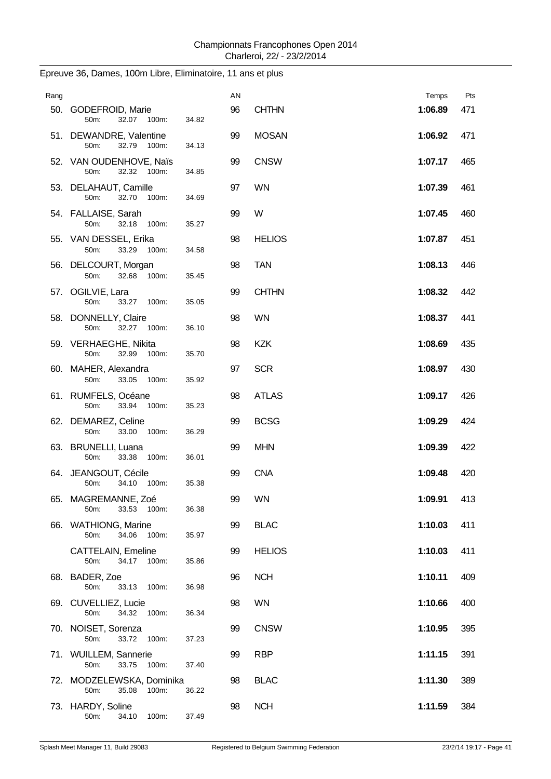| Rang |                                                     |       | AN |               | Temps   | Pts |
|------|-----------------------------------------------------|-------|----|---------------|---------|-----|
|      | 50. GODEFROID, Marie<br>32.07 100m:<br>50m:         | 34.82 | 96 | <b>CHTHN</b>  | 1:06.89 | 471 |
|      | 51. DEWANDRE, Valentine<br>50m:<br>32.79 100m:      | 34.13 | 99 | <b>MOSAN</b>  | 1:06.92 | 471 |
|      | 52. VAN OUDENHOVE, Naïs<br>50m:<br>32.32 100m:      | 34.85 | 99 | <b>CNSW</b>   | 1:07.17 | 465 |
|      | 53. DELAHAUT, Camille<br>32.70<br>50m:<br>100m:     | 34.69 | 97 | <b>WN</b>     | 1:07.39 | 461 |
|      | 54. FALLAISE, Sarah<br>50m:<br>32.18 100m:          | 35.27 | 99 | W             | 1:07.45 | 460 |
|      | 55. VAN DESSEL, Erika<br>33.29<br>50m:<br>100m:     | 34.58 | 98 | <b>HELIOS</b> | 1:07.87 | 451 |
|      | 56. DELCOURT, Morgan<br>50m:<br>32.68 100m:         | 35.45 | 98 | <b>TAN</b>    | 1:08.13 | 446 |
|      | 57. OGILVIE, Lara<br>50m:<br>33.27 100m:            | 35.05 | 99 | <b>CHTHN</b>  | 1:08.32 | 442 |
|      | 58. DONNELLY, Claire<br>50m:<br>32.27 100m:         | 36.10 | 98 | <b>WN</b>     | 1:08.37 | 441 |
|      | 59. VERHAEGHE, Nikita<br>50m:<br>32.99<br>100m:     | 35.70 | 98 | <b>KZK</b>    | 1:08.69 | 435 |
|      | 60. MAHER, Alexandra<br>33.05 100m:<br>50m:         | 35.92 | 97 | <b>SCR</b>    | 1:08.97 | 430 |
|      | 61. RUMFELS, Océane<br>50m:<br>33.94<br>100m:       | 35.23 | 98 | <b>ATLAS</b>  | 1:09.17 | 426 |
|      | 62. DEMAREZ, Celine<br>50m:<br>33.00<br>100m:       | 36.29 | 99 | <b>BCSG</b>   | 1:09.29 | 424 |
|      | 63. BRUNELLI, Luana<br>100m:<br>50m:<br>33.38       | 36.01 | 99 | <b>MHN</b>    | 1:09.39 | 422 |
|      | 64. JEANGOUT, Cécile<br>34.10<br>100m:<br>50m:      | 35.38 | 99 | <b>CNA</b>    | 1:09.48 | 420 |
|      | 65. MAGREMANNE, Zoé<br>33.53<br>50m:<br>100m:       | 36.38 | 99 | <b>WN</b>     | 1:09.91 | 413 |
|      | 66. WATHIONG, Marine<br>34.06<br>50m:<br>100m:      | 35.97 | 99 | <b>BLAC</b>   | 1:10.03 | 411 |
|      | CATTELAIN, Emeline<br>50m:<br>34.17<br>100m:        | 35.86 | 99 | <b>HELIOS</b> | 1:10.03 | 411 |
|      | 68. BADER, Zoe<br>33.13<br>50m:<br>100m:            | 36.98 | 96 | <b>NCH</b>    | 1:10.11 | 409 |
|      | 69. CUVELLIEZ, Lucie<br>50m:<br>34.32<br>100m:      | 36.34 | 98 | WN            | 1:10.66 | 400 |
|      | 70. NOISET, Sorenza<br>50m:<br>33.72<br>100m:       | 37.23 | 99 | <b>CNSW</b>   | 1:10.95 | 395 |
|      | 71. WUILLEM, Sannerie<br>33.75<br>50m:<br>100m:     | 37.40 | 99 | <b>RBP</b>    | 1:11.15 | 391 |
|      | 72. MODZELEWSKA, Dominika<br>50m:<br>35.08<br>100m: | 36.22 | 98 | <b>BLAC</b>   | 1:11.30 | 389 |
|      | 73. HARDY, Soline<br>50m:<br>34.10<br>100m:         | 37.49 | 98 | <b>NCH</b>    | 1:11.59 | 384 |

## Epreuve 36, Dames, 100m Libre, Eliminatoire, 11 ans et plus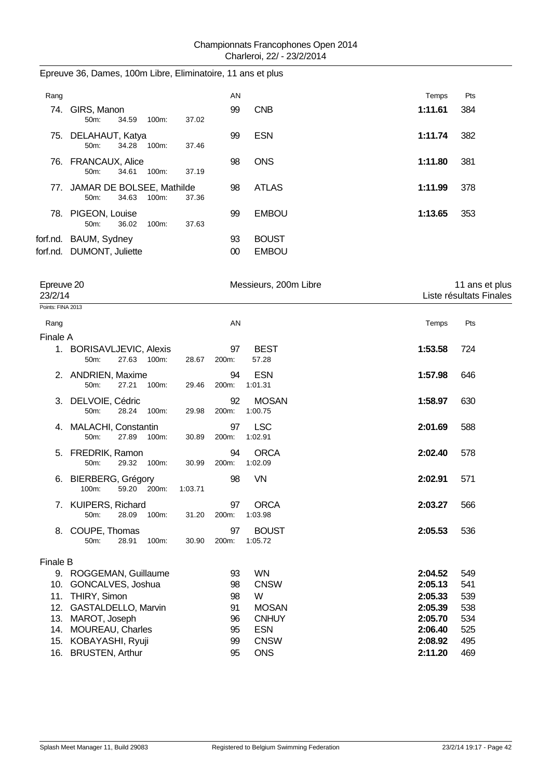| Epreuve 36, Dames, 100m Libre, Eliminatoire, 11 ans et plus |  |  |  |  |  |
|-------------------------------------------------------------|--|--|--|--|--|
|-------------------------------------------------------------|--|--|--|--|--|

| Rang |                                                    |          |       | AN       |                              | Temps   | Pts |
|------|----------------------------------------------------|----------|-------|----------|------------------------------|---------|-----|
| 74.  | GIRS, Manon<br>34.59<br>$50m$ :                    | 100m:    | 37.02 | 99       | <b>CNB</b>                   | 1:11.61 | 384 |
| 75.  | DELAHAUT, Katya<br>34.28<br>50m:                   | $100m$ : | 37.46 | 99       | <b>ESN</b>                   | 1:11.74 | 382 |
|      | 76. FRANCAUX, Alice<br>34.61<br>$50m$ :            | $100m$ : | 37.19 | 98       | <b>ONS</b>                   | 1:11.80 | 381 |
| 77.  | JAMAR DE BOLSEE, Mathilde<br>34.63<br>50m          | $100m$ : | 37.36 | 98       | <b>ATLAS</b>                 | 1:11.99 | 378 |
|      | 78. PIGEON, Louise<br>36.02<br>$50m$ :             | 100m:    | 37.63 | 99       | <b>EMBOU</b>                 | 1:13.65 | 353 |
|      | forf.nd. BAUM, Sydney<br>forf.nd. DUMONT, Juliette |          |       | 93<br>00 | <b>BOUST</b><br><b>EMBOU</b> |         |     |

| Epreuve 20<br>23/2/14 |                                                      |         |             | Messieurs, 200m Libre   |                    | 11 ans et plus<br>Liste résultats Finales |
|-----------------------|------------------------------------------------------|---------|-------------|-------------------------|--------------------|-------------------------------------------|
| Points: FINA 2013     |                                                      |         |             |                         |                    |                                           |
| Rang                  |                                                      |         | AN          |                         | Temps              | Pts                                       |
| Finale A              |                                                      |         |             |                         |                    |                                           |
|                       | 1. BORISAVLJEVIC, Alexis<br>27.63 100m:<br>50m:      | 28.67   | 97<br>200m: | <b>BEST</b><br>57.28    | 1:53.58            | 724                                       |
|                       | 2. ANDRIEN, Maxime<br>50m:<br>27.21<br>100m:         | 29.46   | 94<br>200m: | <b>ESN</b><br>1:01.31   | 1:57.98            | 646                                       |
|                       | 3. DELVOIE, Cédric<br>50m:<br>28.24<br>100m:         | 29.98   | 92<br>200m: | <b>MOSAN</b><br>1:00.75 | 1:58.97            | 630                                       |
| 4.                    | <b>MALACHI, Constantin</b><br>27.89<br>50m:<br>100m: | 30.89   | 97<br>200m: | <b>LSC</b><br>1:02.91   | 2:01.69            | 588                                       |
|                       | 5. FREDRIK, Ramon<br>50m:<br>29.32<br>100m:          | 30.99   | 94<br>200m: | <b>ORCA</b><br>1:02.09  | 2:02.40            | 578                                       |
|                       | 6. BIERBERG, Grégory<br>59.20 200m:<br>100m:         | 1:03.71 | 98          | VN                      | 2:02.91            | 571                                       |
|                       | 7. KUIPERS, Richard<br>100m:<br>50m:<br>28.09        | 31.20   | 97<br>200m: | <b>ORCA</b><br>1:03.98  | 2:03.27            | 566                                       |
| 8.                    | COUPE, Thomas<br>28.91<br>100m:<br>50m:              | 30.90   | 97<br>200m: | <b>BOUST</b><br>1:05.72 | 2:05.53            | 536                                       |
| <b>Finale B</b>       |                                                      |         |             |                         |                    |                                           |
|                       | 9. ROGGEMAN, Guillaume                               |         | 93          | <b>WN</b>               | 2:04.52            | 549                                       |
| 11.                   | 10. GONCALVES, Joshua<br>THIRY, Simon                |         | 98<br>98    | <b>CNSW</b><br>W        | 2:05.13<br>2:05.33 | 541<br>539                                |
|                       | 12. GASTALDELLO, Marvin                              |         | 91          | <b>MOSAN</b>            | 2:05.39            | 538                                       |
| 13.                   | MAROT, Joseph                                        |         | 96          | <b>CNHUY</b>            | 2:05.70            | 534                                       |
|                       | 14. MOUREAU, Charles                                 |         | 95          | <b>ESN</b>              | 2:06.40            | 525                                       |
|                       | 15. KOBAYASHI, Ryuji                                 |         | 99          | <b>CNSW</b>             | 2:08.92            | 495                                       |
|                       | 16. BRUSTEN, Arthur                                  |         | 95          | <b>ONS</b>              | 2:11.20            | 469                                       |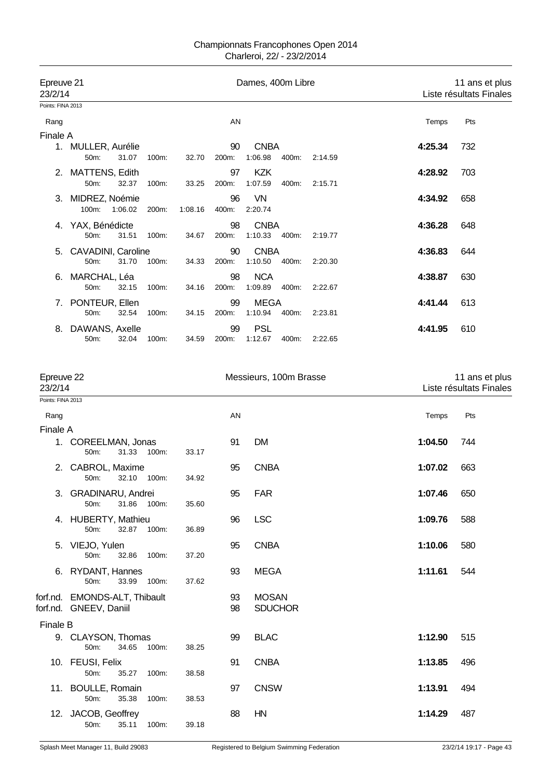| Epreuve 21<br>23/2/14 |                    |         |          |         |       | Dames, 400m Libre |       |         |         | 11 ans et plus<br>Liste résultats Finales |
|-----------------------|--------------------|---------|----------|---------|-------|-------------------|-------|---------|---------|-------------------------------------------|
| Points: FINA 2013     |                    |         |          |         |       |                   |       |         |         |                                           |
| Rang                  |                    |         |          |         | AN    |                   |       |         | Temps   | Pts                                       |
| Finale A              |                    |         |          |         |       |                   |       |         |         |                                           |
|                       | 1. MULLER, Aurélie |         |          |         | 90    | <b>CNBA</b>       |       |         | 4:25.34 | 732                                       |
|                       | 50m:               | 31.07   | 100m:    | 32.70   | 200m: | 1:06.98           | 400m: | 2:14.59 |         |                                           |
|                       | 2. MATTENS, Edith  |         |          |         | 97    | <b>KZK</b>        |       |         | 4:28.92 | 703                                       |
|                       | 50m:               | 32.37   | 100m:    | 33.25   | 200m: | 1:07.59           | 400m: | 2:15.71 |         |                                           |
|                       | 3. MIDREZ, Noémie  |         |          |         | 96    | VN                |       |         | 4:34.92 | 658                                       |
|                       | $100m$ :           | 1:06.02 | 200m:    | 1:08.16 | 400m: | 2:20.74           |       |         |         |                                           |
| 4.                    | YAX, Bénédicte     |         |          |         | 98    | <b>CNBA</b>       |       |         | 4:36.28 | 648                                       |
|                       | $50m$ :            | 31.51   | $100m$ : | 34.67   | 200m: | 1:10.33           | 400m: | 2:19.77 |         |                                           |
| 5.                    | CAVADINI, Caroline |         |          |         | 90    | <b>CNBA</b>       |       |         | 4:36.83 | 644                                       |
|                       | $50m$ :            | 31.70   | $100m$ : | 34.33   | 200m: | 1:10.50           | 400m: | 2:20.30 |         |                                           |
| 6.                    | MARCHAL, Léa       |         |          |         | 98    | <b>NCA</b>        |       |         | 4:38.87 | 630                                       |
|                       | $50m$ :            | 32.15   | $100m$ : | 34.16   | 200m: | 1:09.89           | 400m: | 2:22.67 |         |                                           |
| 7.                    | PONTEUR, Ellen     |         |          |         | 99    | MEGA              |       |         | 4:41.44 | 613                                       |
|                       | 50m:               | 32.54   | 100m:    | 34.15   | 200m: | 1:10.94           | 400m: | 2.23.81 |         |                                           |
| 8.                    | DAWANS, Axelle     |         |          |         | 99    | <b>PSL</b>        |       |         | 4:41.95 | 610                                       |
|                       | $50m$ :            | 32.04   | 100m:    | 34.59   | 200m: | 1:12.67           | 400m: | 2:22.65 |         |                                           |

| Epreuve 22<br>23/2/14 |                                                         |             |       | Messieurs, 100m Brasse | 11 ans et plus<br>Liste résultats Finales |         |     |  |
|-----------------------|---------------------------------------------------------|-------------|-------|------------------------|-------------------------------------------|---------|-----|--|
| Points: FINA 2013     |                                                         |             |       |                        |                                           |         |     |  |
| Rang                  |                                                         |             |       | AN                     |                                           | Temps   | Pts |  |
| Finale A              |                                                         |             |       |                        |                                           |         |     |  |
|                       | 1. COREELMAN, Jonas<br>50m:                             | 31.33 100m: | 33.17 | 91                     | <b>DM</b>                                 | 1:04.50 | 744 |  |
|                       | 2. CABROL, Maxime<br>50m:<br>32.10                      | 100m:       | 34.92 | 95                     | <b>CNBA</b>                               | 1:07.02 | 663 |  |
|                       | 3. GRADINARU, Andrei<br>31.86<br>50m:                   | $100m$ :    | 35.60 | 95                     | <b>FAR</b>                                | 1:07.46 | 650 |  |
|                       | 4. HUBERTY, Mathieu<br>50m:                             | 32.87 100m: | 36.89 | 96                     | <b>LSC</b>                                | 1:09.76 | 588 |  |
|                       | 5. VIEJO, Yulen<br>50m:<br>32.86                        | 100m:       | 37.20 | 95                     | <b>CNBA</b>                               | 1:10.06 | 580 |  |
|                       | 6. RYDANT, Hannes<br>33.99<br>50m:                      | 100m:       | 37.62 | 93                     | <b>MEGA</b>                               | 1:11.61 | 544 |  |
|                       | forf.nd. EMONDS-ALT, Thibault<br>forf.nd. GNEEV, Daniil |             |       | 93<br>98               | <b>MOSAN</b><br><b>SDUCHOR</b>            |         |     |  |
| Finale B              |                                                         |             |       |                        |                                           |         |     |  |
|                       | 9. CLAYSON, Thomas<br>34.65<br>50m:                     | 100m:       | 38.25 | 99                     | <b>BLAC</b>                               | 1:12.90 | 515 |  |
|                       | 10. FEUSI, Felix<br>50m:<br>35.27                       | 100m:       | 38.58 | 91                     | <b>CNBA</b>                               | 1:13.85 | 496 |  |
|                       | 11. BOULLE, Romain<br>50m:<br>35.38                     | 100m:       | 38.53 | 97                     | <b>CNSW</b>                               | 1:13.91 | 494 |  |
| 12.                   | JACOB, Geoffrey<br>35.11<br>50m:                        | 100m:       | 39.18 | 88                     | HN                                        | 1:14.29 | 487 |  |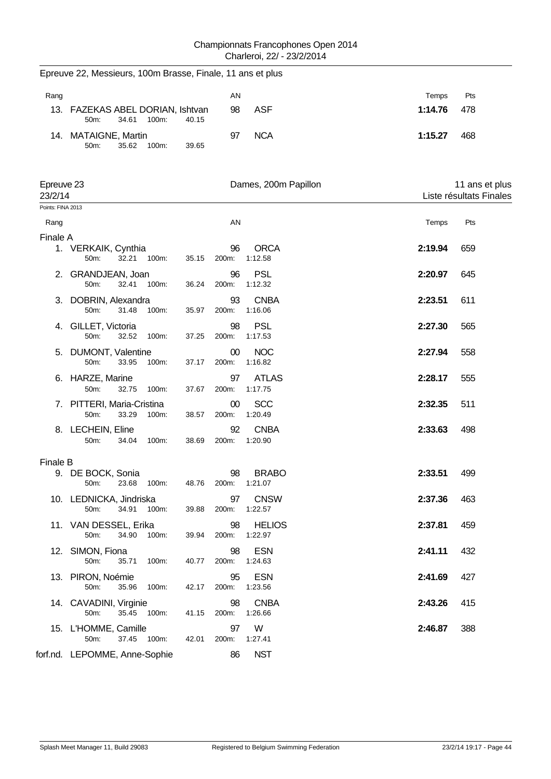|                       | Epreuve 22, Messieurs, 100m Brasse, Finale, 11 ans et plus |                          |                               |         |                                           |
|-----------------------|------------------------------------------------------------|--------------------------|-------------------------------|---------|-------------------------------------------|
| Rang                  |                                                            | AN                       |                               | Temps   | Pts                                       |
|                       | 13. FAZEKAS ABEL DORIAN, Ishtvan<br>34.61<br>50m:<br>100m: | 98<br>40.15              | <b>ASF</b>                    | 1:14.76 | 478                                       |
|                       | 14. MATAIGNE, Martin<br>50m:<br>35.62<br>100m:             | 97<br>39.65              | <b>NCA</b>                    | 1:15.27 | 468                                       |
| Epreuve 23<br>23/2/14 |                                                            |                          | Dames, 200m Papillon          |         | 11 ans et plus<br>Liste résultats Finales |
| Points: FINA 2013     |                                                            |                          |                               |         |                                           |
| Rang                  |                                                            | AN                       |                               | Temps   | Pts                                       |
| Finale A              | 1. VERKAIK, Cynthia<br>32.21<br>50m:<br>100m:              | 96<br>35.15<br>200m:     | <b>ORCA</b><br>1:12.58        | 2:19.94 | 659                                       |
|                       | 2. GRANDJEAN, Joan<br>50m:<br>32.41<br>100m:               | 96<br>36.24<br>200m:     | <b>PSL</b><br>1:12.32         | 2:20.97 | 645                                       |
| 3.                    | DOBRIN, Alexandra<br>50m:<br>31.48<br>100m:                | 93<br>200m:<br>35.97     | <b>CNBA</b><br>1:16.06        | 2:23.51 | 611                                       |
|                       | 4. GILLET, Victoria<br>50m:<br>32.52<br>100m:              | 98<br>37.25<br>200m:     | <b>PSL</b><br>1:17.53         | 2:27.30 | 565                                       |
| 5.                    | <b>DUMONT, Valentine</b><br>50m:<br>33.95<br>100m:         | $00\,$<br>37.17<br>200m: | <b>NOC</b><br>1:16.82         | 2:27.94 | 558                                       |
| 6.                    | HARZE, Marine<br>50m:<br>32.75<br>100m:                    | 97<br>37.67<br>200m:     | <b>ATLAS</b><br>1:17.75       | 2:28.17 | 555                                       |
|                       | 7. PITTERI, Maria-Cristina<br>50m:<br>33.29<br>100m:       | 00<br>38.57<br>200m:     | <b>SCC</b><br>1:20.49         | 2:32.35 | 511                                       |
|                       | 8. LECHEIN, Eline<br>50m:<br>34.04<br>100m:                | 92<br>38.69<br>200m:     | <b>CNBA</b><br>1:20.90        | 2:33.63 | 498                                       |
| <b>Finale B</b>       |                                                            |                          |                               |         |                                           |
|                       | 9. DE BOCK, Sonia<br>50m: 23.68<br>100m:                   | 98<br>48.76              | <b>BRABO</b><br>200m: 1:21.07 | 2:33.51 | 499                                       |
|                       | 10. LEDNICKA, Jindriska<br>100m:<br>50m:<br>34.91          | 97<br>39.88<br>200m:     | <b>CNSW</b><br>1:22.57        | 2:37.36 | 463                                       |
|                       | 11. VAN DESSEL, Erika<br>50m:<br>34.90<br>100m:            | 98<br>39.94<br>200m:     | <b>HELIOS</b><br>1:22.97      | 2:37.81 | 459                                       |
|                       | 12. SIMON, Fiona<br>50m:<br>35.71<br>100m:                 | 98<br>40.77<br>200m:     | <b>ESN</b><br>1:24.63         | 2:41.11 | 432                                       |
|                       | 13. PIRON, Noémie<br>50m:<br>100m:<br>35.96                | 95<br>42.17<br>200m:     | <b>ESN</b><br>1:23.56         | 2:41.69 | 427                                       |
|                       | 14. CAVADINI, Virginie<br>35.45<br>50m:<br>100m:           | 98<br>41.15<br>200m:     | <b>CNBA</b><br>1:26.66        | 2:43.26 | 415                                       |
|                       | 15. L'HOMME, Camille<br>50m:<br>37.45 100m:                | 97<br>200m:<br>42.01     | W<br>1:27.41                  | 2:46.87 | 388                                       |
|                       | forf.nd. LEPOMME, Anne-Sophie                              | 86                       | <b>NST</b>                    |         |                                           |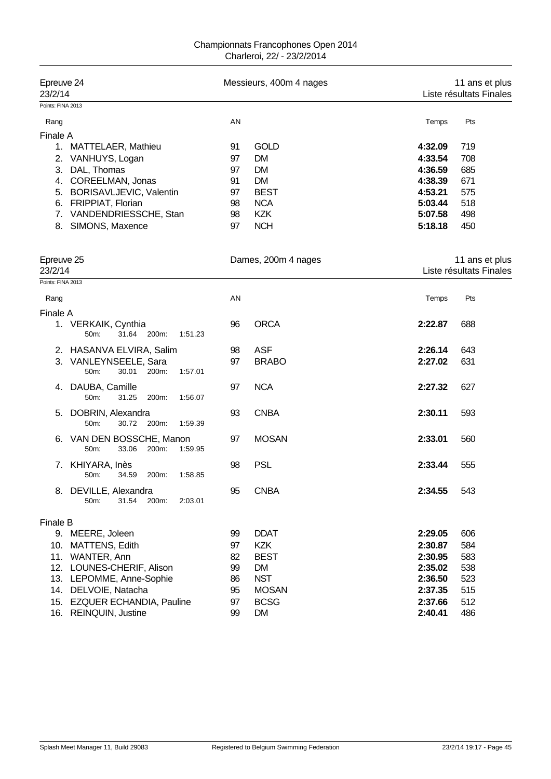| Epreuve 24<br>23/2/14                               | Messieurs, 400m 4 nages       | 11 ans et plus<br>Liste résultats Finales |
|-----------------------------------------------------|-------------------------------|-------------------------------------------|
| Points: FINA 2013                                   |                               |                                           |
| Rang                                                | AN                            | Pts<br>Temps                              |
| Finale A                                            |                               |                                           |
| 1. MATTELAER, Mathieu                               | <b>GOLD</b><br>91             | 4:32.09<br>719                            |
| 2. VANHUYS, Logan                                   | <b>DM</b><br>97               | 4:33.54<br>708                            |
| 3. DAL, Thomas                                      | <b>DM</b><br>97               | 4:36.59<br>685                            |
| 4. COREELMAN, Jonas                                 | <b>DM</b><br>91               | 4:38.39<br>671                            |
| 5. BORISAVLJEVIC, Valentin                          | <b>BEST</b><br>97             | 4:53.21<br>575                            |
| 6. FRIPPIAT, Florian                                | <b>NCA</b><br>98              | 5:03.44<br>518                            |
| 7. VANDENDRIESSCHE, Stan                            | <b>KZK</b><br>98              | 5:07.58<br>498                            |
| SIMONS, Maxence<br>8.                               | <b>NCH</b><br>97              | 5:18.18<br>450                            |
| Epreuve 25<br>23/2/14                               | Dames, 200m 4 nages           | 11 ans et plus<br>Liste résultats Finales |
| Points: FINA 2013                                   |                               |                                           |
| Rang                                                | AN                            | Pts<br>Temps                              |
| Finale A                                            |                               |                                           |
| 1. VERKAIK, Cynthia<br>31.64 200m:<br>50m:          | <b>ORCA</b><br>96<br>1:51.23  | 2:22.87<br>688                            |
| 2. HASANVA ELVIRA, Salim                            | <b>ASF</b><br>98              | 2:26.14<br>643                            |
| 3. VANLEYNSEELE, Sara<br>50m:<br>30.01<br>200m:     | <b>BRABO</b><br>97<br>1:57.01 | 2:27.02<br>631                            |
| DAUBA, Camille<br>4.<br>50m:<br>31.25<br>200m:      | <b>NCA</b><br>97<br>1:56.07   | 2:27.32<br>627                            |
| DOBRIN, Alexandra<br>5.<br>50m:<br>30.72 200m:      | <b>CNBA</b><br>93<br>1:59.39  | 2:30.11<br>593                            |
| 6. VAN DEN BOSSCHE, Manon<br>50m:<br>33.06<br>200m: | <b>MOSAN</b><br>97<br>1:59.95 | 2:33.01<br>560                            |
| 7. KHIYARA, Inès<br>50m:<br>34.59<br>200m:          | <b>PSL</b><br>98<br>1:58.85   | 2:33.44<br>555                            |
| 8. DEVILLE, Alexandra<br>50m:<br>31.54<br>200m:     | <b>CNBA</b><br>95<br>2:03.01  | 2:34.55<br>543                            |
|                                                     |                               |                                           |
| <b>Finale B</b><br>9. MEERE, Joleen                 | <b>DDAT</b><br>99             | 2:29.05<br>606                            |
| MATTENS, Edith<br>10.                               | <b>KZK</b><br>97              | 2:30.87<br>584                            |
| WANTER, Ann<br>11.                                  | <b>BEST</b><br>82             | 2:30.95<br>583                            |
| 12. LOUNES-CHERIF, Alison                           | <b>DM</b><br>99               | 2:35.02<br>538                            |
| 13. LEPOMME, Anne-Sophie                            | <b>NST</b><br>86              | 2:36.50<br>523                            |
| 14. DELVOIE, Natacha                                | <b>MOSAN</b><br>95            | 2:37.35<br>515                            |
| 15. EZQUER ECHANDIA, Pauline                        | <b>BCSG</b><br>97             | 512<br>2:37.66                            |
| 16.<br><b>REINQUIN, Justine</b>                     | 99<br><b>DM</b>               | 2:40.41<br>486                            |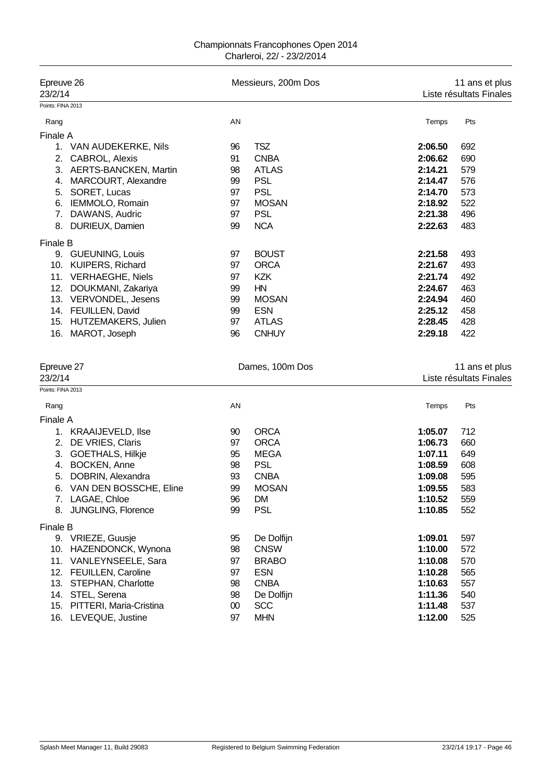| Epreuve 26<br>23/2/14       |    | Messieurs, 200m Dos |         | 11 ans et plus<br>Liste résultats Finales<br>Pts<br>Temps<br>2:06.50<br>692<br>2:06.62<br>690<br>2:14.21<br>579<br>2:14.47<br>576<br>573<br>2:14.70<br>2:18.92<br>522 |  |  |  |
|-----------------------------|----|---------------------|---------|-----------------------------------------------------------------------------------------------------------------------------------------------------------------------|--|--|--|
| Points: FINA 2013           |    |                     |         |                                                                                                                                                                       |  |  |  |
| Rang                        | AN |                     |         |                                                                                                                                                                       |  |  |  |
| Finale A                    |    |                     |         |                                                                                                                                                                       |  |  |  |
| 1. VAN AUDEKERKE, Nils      | 96 | <b>TSZ</b>          |         |                                                                                                                                                                       |  |  |  |
| CABROL, Alexis<br>2.        | 91 | <b>CNBA</b>         |         |                                                                                                                                                                       |  |  |  |
| AERTS-BANCKEN, Martin<br>3. | 98 | <b>ATLAS</b>        |         |                                                                                                                                                                       |  |  |  |
| MARCOURT, Alexandre<br>4.   | 99 | <b>PSL</b>          |         |                                                                                                                                                                       |  |  |  |
| SORET, Lucas<br>5.          | 97 | <b>PSL</b>          |         |                                                                                                                                                                       |  |  |  |
| IEMMOLO, Romain<br>6.       | 97 | <b>MOSAN</b>        |         |                                                                                                                                                                       |  |  |  |
| 7.<br>DAWANS, Audric        | 97 | <b>PSL</b>          | 2:21.38 | 496                                                                                                                                                                   |  |  |  |
| 8. DURIEUX, Damien          | 99 | <b>NCA</b>          | 2:22.63 | 483                                                                                                                                                                   |  |  |  |
| <b>Finale B</b>             |    |                     |         |                                                                                                                                                                       |  |  |  |
| 9. GUEUNING, Louis          | 97 | <b>BOUST</b>        | 2:21.58 | 493                                                                                                                                                                   |  |  |  |
| 10. KUIPERS, Richard        | 97 | <b>ORCA</b>         | 2:21.67 | 493                                                                                                                                                                   |  |  |  |
| 11. VERHAEGHE, Niels        | 97 | KZK                 | 2:21.74 | 492                                                                                                                                                                   |  |  |  |
| 12. DOUKMANI, Zakariya      | 99 | HN                  | 2:24.67 | 463                                                                                                                                                                   |  |  |  |
| 13. VERVONDEL, Jesens       | 99 | <b>MOSAN</b>        | 2:24.94 | 460                                                                                                                                                                   |  |  |  |
| 14. FEUILLEN, David         | 99 | <b>ESN</b>          | 2:25.12 | 458                                                                                                                                                                   |  |  |  |
| 15. HUTZEMAKERS, Julien     | 97 | <b>ATLAS</b>        | 2:28.45 | 428                                                                                                                                                                   |  |  |  |
| MAROT, Joseph<br>16.        | 96 | <b>CNHUY</b>        | 2:29.18 | 422                                                                                                                                                                   |  |  |  |
| Epreuve 27<br>23/2/14       |    | Dames, 100m Dos     |         | 11 ans et plus<br>Liste résultats Finales                                                                                                                             |  |  |  |
| Points: FINA 2013           |    |                     |         |                                                                                                                                                                       |  |  |  |
| Rang                        | AN |                     | Temps   | Pts                                                                                                                                                                   |  |  |  |
| Finale A                    |    |                     |         |                                                                                                                                                                       |  |  |  |
| 1. KRAAIJEVELD, Ilse        | 90 | <b>ORCA</b>         | 1:05.07 | 712                                                                                                                                                                   |  |  |  |
| DE VRIES, Claris<br>2.      | 97 | <b>ORCA</b>         | 1:06.73 | 660                                                                                                                                                                   |  |  |  |
| 3. GOETHALS, Hilkje         | 95 | <b>MEGA</b>         | 1:07.11 | 649                                                                                                                                                                   |  |  |  |
| 4. BOCKEN, Anne             | 98 | <b>PSL</b>          | 1:08.59 | 608                                                                                                                                                                   |  |  |  |
| 5. DOBRIN, Alexandra        | 93 | <b>CNBA</b>         | 1:09.08 | 595                                                                                                                                                                   |  |  |  |
| 6. VAN DEN BOSSCHE, Eline   | 99 | <b>MOSAN</b>        | 1:09.55 | 583                                                                                                                                                                   |  |  |  |
| 7. LAGAE, Chloe             | 96 | DM                  | 1:10.52 | 559                                                                                                                                                                   |  |  |  |
| 8. JUNGLING, Florence       | 99 | <b>PSL</b>          | 1:10.85 | 552                                                                                                                                                                   |  |  |  |
| Finale B                    |    |                     |         |                                                                                                                                                                       |  |  |  |
| 9. VRIEZE, Guusje           | 95 | De Dolfijn          | 1:09.01 | 597                                                                                                                                                                   |  |  |  |
| 10. HAZENDONCK, Wynona      | 98 | <b>CNSW</b>         | 1:10.00 | 572                                                                                                                                                                   |  |  |  |
| 11. VANLEYNSEELE, Sara      | 97 | <b>BRABO</b>        | 1:10.08 | 570                                                                                                                                                                   |  |  |  |
| 12. FEUILLEN, Caroline      | 97 | <b>ESN</b>          | 1:10.28 | 565                                                                                                                                                                   |  |  |  |
| 13.<br>STEPHAN, Charlotte   | 98 | <b>CNBA</b>         | 1:10.63 | 557                                                                                                                                                                   |  |  |  |
| 14. STEL, Serena            | 98 | De Dolfijn          | 1:11.36 | 540                                                                                                                                                                   |  |  |  |
| 15. PITTERI, Maria-Cristina | 00 | <b>SCC</b>          | 1:11.48 | 537                                                                                                                                                                   |  |  |  |
| 16. LEVEQUE, Justine        | 97 | <b>MHN</b>          | 1:12.00 | 525                                                                                                                                                                   |  |  |  |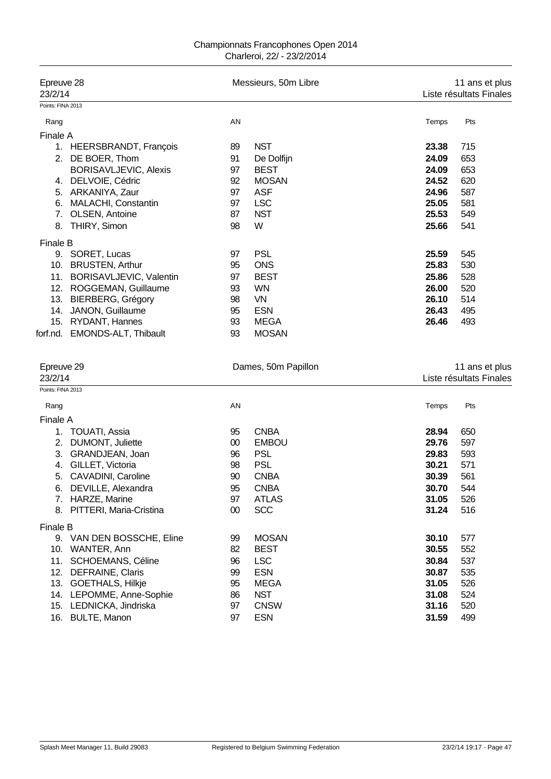| Epreuve 28<br>23/2/14 |                              |    | Messieurs, 50m Libre |       | 11 ans et plus<br>Liste résultats Finales |  |  |
|-----------------------|------------------------------|----|----------------------|-------|-------------------------------------------|--|--|
| Points: FINA 2013     |                              |    |                      |       |                                           |  |  |
| Rang                  |                              | AN |                      | Temps | Pts                                       |  |  |
| Finale A              |                              |    |                      |       |                                           |  |  |
| 1.                    | <b>HEERSBRANDT, François</b> | 89 | <b>NST</b>           | 23.38 | 715                                       |  |  |
| 2.                    | DE BOER, Thom                | 91 | De Dolfijn           | 24.09 | 653                                       |  |  |
|                       | BORISAVLJEVIC, Alexis        | 97 | <b>BEST</b>          | 24.09 | 653                                       |  |  |
| 4.                    | DELVOIE, Cédric              | 92 | <b>MOSAN</b>         | 24.52 | 620                                       |  |  |
| 5.                    | ARKANIYA, Zaur               | 97 | <b>ASF</b>           | 24.96 | 587                                       |  |  |
| 6.                    | MALACHI, Constantin          | 97 | <b>LSC</b>           | 25.05 | 581                                       |  |  |
| 7.                    | OLSEN, Antoine               | 87 | <b>NST</b>           | 25.53 | 549                                       |  |  |
| 8.                    | THIRY, Simon                 | 98 | W                    | 25.66 | 541                                       |  |  |
| Finale B              |                              |    |                      |       |                                           |  |  |
| 9.                    | SORET, Lucas                 | 97 | <b>PSL</b>           | 25.59 | 545                                       |  |  |
| 10.                   | <b>BRUSTEN, Arthur</b>       | 95 | <b>ONS</b>           | 25.83 | 530                                       |  |  |
| 11.                   | BORISAVLJEVIC, Valentin      | 97 | <b>BEST</b>          | 25.86 | 528                                       |  |  |
| 12.                   | ROGGEMAN, Guillaume          | 93 | <b>WN</b>            | 26.00 | 520                                       |  |  |
| 13.                   | <b>BIERBERG, Grégory</b>     | 98 | VN                   | 26.10 | 514                                       |  |  |
| 14.                   | JANON, Guillaume             | 95 | <b>ESN</b>           | 26.43 | 495                                       |  |  |
| 15.                   | RYDANT, Hannes               | 93 | <b>MEGA</b>          | 26.46 | 493                                       |  |  |
| forf.nd.              | EMONDS-ALT, Thibault         | 93 | <b>MOSAN</b>         |       |                                           |  |  |

| Epreuve 29                      |    | Dames, 50m Papillon | 11 ans et plus |                         |  |
|---------------------------------|----|---------------------|----------------|-------------------------|--|
| 23/2/14                         |    |                     |                | Liste résultats Finales |  |
| Points: FINA 2013               |    |                     |                |                         |  |
| Rang                            | AN |                     | Temps          | Pts                     |  |
| Finale A                        |    |                     |                |                         |  |
| <b>TOUATI, Assia</b><br>1.      | 95 | <b>CNBA</b>         | 28.94          | 650                     |  |
| DUMONT, Juliette<br>2.          | 00 | <b>EMBOU</b>        | 29.76          | 597                     |  |
| GRANDJEAN, Joan<br>3.           | 96 | <b>PSL</b>          | 29.83          | 593                     |  |
| GILLET, Victoria<br>4.          | 98 | <b>PSL</b>          | 30.21          | 571                     |  |
| CAVADINI, Caroline<br>5.        | 90 | <b>CNBA</b>         | 30.39          | 561                     |  |
| DEVILLE, Alexandra<br>6.        | 95 | <b>CNBA</b>         | 30.70          | 544                     |  |
| HARZE, Marine<br>7.             | 97 | <b>ATLAS</b>        | 31.05          | 526                     |  |
| PITTERI, Maria-Cristina<br>8.   | 00 | <b>SCC</b>          | 31.24          | 516                     |  |
| <b>Finale B</b>                 |    |                     |                |                         |  |
| VAN DEN BOSSCHE, Eline<br>9.    | 99 | <b>MOSAN</b>        | 30.10          | 577                     |  |
| WANTER, Ann<br>10.              | 82 | <b>BEST</b>         | 30.55          | 552                     |  |
| <b>SCHOEMANS, Céline</b><br>11. | 96 | <b>LSC</b>          | 30.84          | 537                     |  |
| <b>DEFRAINE, Claris</b><br>12.  | 99 | <b>ESN</b>          | 30.87          | 535                     |  |
| GOETHALS, Hilkje<br>13.         | 95 | <b>MEGA</b>         | 31.05          | 526                     |  |
| 14. LEPOMME, Anne-Sophie        | 86 | <b>NST</b>          | 31.08          | 524                     |  |
| 15. LEDNICKA, Jindriska         | 97 | <b>CNSW</b>         | 31.16          | 520                     |  |
| 16. BULTE, Manon                | 97 | <b>ESN</b>          | 31.59          | 499                     |  |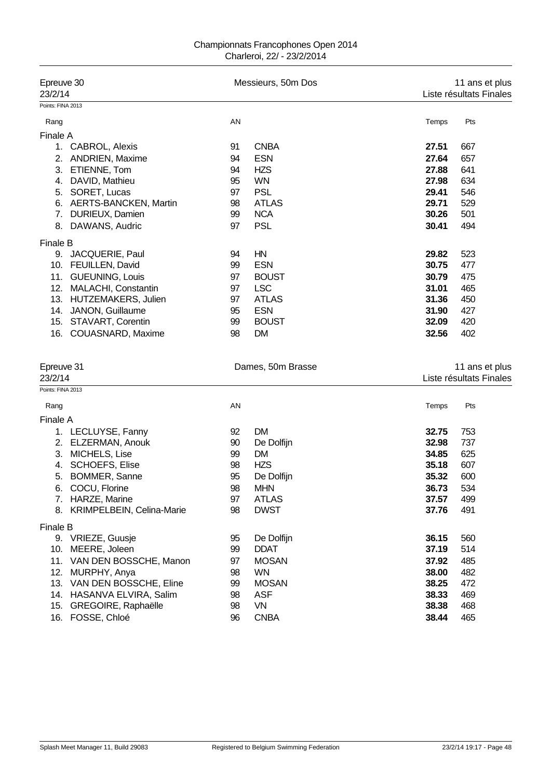| Epreuve 30                                              |          | Messieurs, 50m Dos         | 11 ans et plus<br>Liste résultats Finales |                                           |  |
|---------------------------------------------------------|----------|----------------------------|-------------------------------------------|-------------------------------------------|--|
| 23/2/14                                                 |          |                            |                                           |                                           |  |
| Points: FINA 2013                                       |          |                            |                                           |                                           |  |
| Rang                                                    | AN       |                            | Temps                                     | Pts                                       |  |
| Finale A                                                |          |                            |                                           |                                           |  |
| 1. CABROL, Alexis                                       | 91       | <b>CNBA</b>                | 27.51                                     | 667                                       |  |
| 2.<br><b>ANDRIEN, Maxime</b>                            | 94       | <b>ESN</b>                 | 27.64                                     | 657                                       |  |
| ETIENNE, Tom<br>3.                                      | 94       | <b>HZS</b>                 | 27.88                                     | 641                                       |  |
| 4. DAVID, Mathieu                                       | 95       | <b>WN</b>                  | 27.98                                     | 634                                       |  |
| SORET, Lucas<br>5.                                      | 97       | <b>PSL</b>                 | 29.41                                     | 546                                       |  |
| <b>AERTS-BANCKEN, Martin</b><br>6.                      | 98       | <b>ATLAS</b>               | 29.71                                     | 529                                       |  |
| DURIEUX, Damien<br>7.                                   | 99       | <b>NCA</b>                 | 30.26                                     | 501                                       |  |
| DAWANS, Audric<br>8.                                    | 97       | <b>PSL</b>                 | 30.41                                     | 494                                       |  |
| Finale B                                                |          |                            |                                           |                                           |  |
| 9. JACQUERIE, Paul                                      | 94       | HN                         | 29.82                                     | 523                                       |  |
| 10. FEUILLEN, David                                     | 99       | <b>ESN</b>                 | 30.75                                     | 477                                       |  |
| <b>GUEUNING, Louis</b><br>11.                           | 97       | <b>BOUST</b>               | 30.79                                     | 475                                       |  |
| MALACHI, Constantin<br>12.                              | 97       | <b>LSC</b>                 | 31.01                                     | 465                                       |  |
| HUTZEMAKERS, Julien<br>13.                              | 97       | <b>ATLAS</b>               | 31.36                                     | 450                                       |  |
| 14. JANON, Guillaume                                    | 95       | <b>ESN</b>                 | 31.90                                     | 427                                       |  |
| 15. STAVART, Corentin                                   | 99       | <b>BOUST</b>               | 32.09                                     | 420                                       |  |
| 16. COUASNARD, Maxime                                   | 98       | <b>DM</b>                  | 32.56                                     | 402                                       |  |
| Epreuve 31<br>23/2/14<br>Points: FINA 2013              |          | Dames, 50m Brasse          |                                           | 11 ans et plus<br>Liste résultats Finales |  |
|                                                         |          |                            | Temps                                     |                                           |  |
| Rang                                                    | AN       |                            |                                           | Pts                                       |  |
| <b>Finale A</b>                                         |          |                            |                                           |                                           |  |
| 1. LECLUYSE, Fanny                                      | 92       | <b>DM</b>                  | 32.75                                     | 753                                       |  |
| 2.<br>ELZERMAN, Anouk                                   | 90       | De Dolfijn                 | 32.98                                     | 737                                       |  |
| MICHELS, Lise<br>3.                                     | 99<br>98 | <b>DM</b><br><b>HZS</b>    | 34.85<br>35.18                            | 625<br>607                                |  |
| SCHOEFS, Elise<br>4.<br>5.<br>BOMMER, Sanne             | 95       | De Dolfijn                 | 35.32                                     | 600                                       |  |
|                                                         |          | <b>MHN</b>                 | 36.73                                     | 534                                       |  |
| COCU, Florine<br>ნ.<br>HARZE, Marine<br>7.              | 98<br>97 | <b>ATLAS</b>               | 37.57                                     | 499                                       |  |
| KRIMPELBEIN, Celina-Marie<br>8.                         | 98       | <b>DWST</b>                | 37.76                                     | 491                                       |  |
|                                                         |          |                            |                                           |                                           |  |
| Finale B                                                |          |                            |                                           |                                           |  |
| 9. VRIEZE, Guusje                                       | 95       | De Dolfijn                 | 36.15                                     | 560                                       |  |
| 10. MEERE, Joleen                                       | 99       | <b>DDAT</b>                | 37.19                                     | 514                                       |  |
| 11. VAN DEN BOSSCHE, Manon                              | 97       | <b>MOSAN</b>               | 37.92                                     | 485                                       |  |
| 12. MURPHY, Anya                                        | 98       | <b>WN</b>                  | 38.00                                     | 482                                       |  |
| 13. VAN DEN BOSSCHE, Eline<br>14. HASANVA ELVIRA, Salim | 99<br>98 | <b>MOSAN</b><br><b>ASF</b> | 38.25<br>38.33                            | 472<br>469                                |  |
| 15. GREGOIRE, Raphaëlle                                 | 98       | VN                         | 38.38                                     | 468                                       |  |
| 16. FOSSE, Chloé                                        | 96       | <b>CNBA</b>                | 38.44                                     | 465                                       |  |
|                                                         |          |                            |                                           |                                           |  |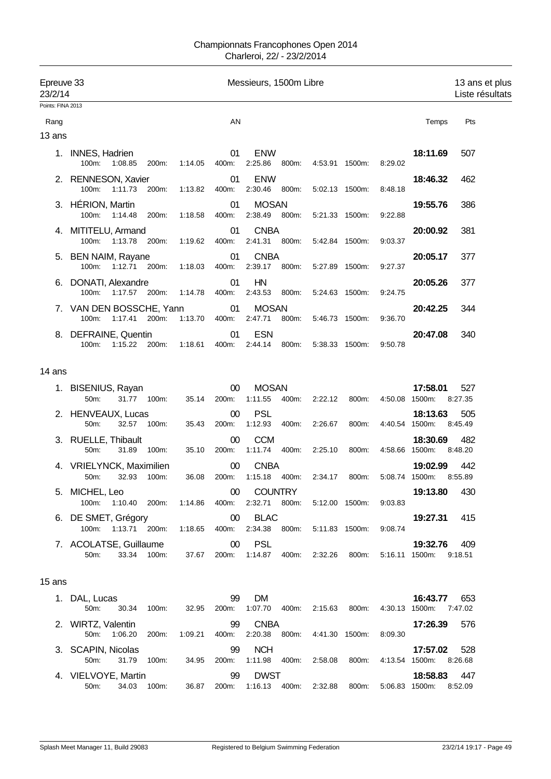| Epreuve 33<br>23/2/14 |                                                                                               |                |                 | Messieurs, 1500m Libre                |                                                          |                                        | 13 ans et plus<br>Liste résultats |
|-----------------------|-----------------------------------------------------------------------------------------------|----------------|-----------------|---------------------------------------|----------------------------------------------------------|----------------------------------------|-----------------------------------|
| Points: FINA 2013     |                                                                                               |                |                 |                                       |                                                          |                                        |                                   |
| Rang                  |                                                                                               |                | AN              |                                       |                                                          | Temps                                  | Pts                               |
| 13 ans                |                                                                                               |                |                 |                                       |                                                          |                                        |                                   |
|                       | 1. INNES, Hadrien<br>100m:<br>1:08.85 200m:                                                   | 1:14.05        | 01<br>400m:     | <b>ENW</b>                            | 2:25.86 800m: 4:53.91 1500m:                             | 18:11.69<br>8:29.02                    | 507                               |
|                       | 2. RENNESON, Xavier<br>100m: 1:11.73 200m:                                                    | 1:13.82        | 01<br>400m:     | <b>ENW</b>                            | 2:30.46 800m: 5:02.13 1500m:                             | 18:46.32<br>8:48.18                    | 462                               |
|                       | 3. HÉRION, Martin<br>100m: 1:14.48<br>200m:                                                   | 1:18.58        | 01<br>400m:     | <b>MOSAN</b><br>2:38.49 800m:         | 5:21.33 1500m:                                           | 19:55.76<br>9:22.88                    | 386                               |
|                       | 4. MITITELU, Armand<br>100m:<br>1:13.78 200m:                                                 | 1:19.62        | 01<br>400m:     | <b>CNBA</b><br>2:41.31 800m:          | 5:42.84 1500m:                                           | 20:00.92<br>9:03.37                    | 381                               |
|                       | 5. BEN NAIM, Rayane<br>100m: 1:12.71 200m:                                                    | 1:18.03        | 01<br>400m:     | <b>CNBA</b>                           | 2:39.17 800m: 5:27.89 1500m:                             | 20:05.17<br>9:27.37                    | 377                               |
|                       | 6. DONATI, Alexandre<br>100m:<br>1:17.57 200m:                                                | 1:14.78        | 01<br>400m:     | HN<br>2:43.53 800m:                   | 5:24.63 1500m:                                           | 20:05.26<br>9:24.75                    | 377                               |
|                       | 7. VAN DEN BOSSCHE, Yann<br>100m:<br>1:17.41 200m:                                            | 1:13.70  400m: | 01              | <b>MOSAN</b><br>2:47.71<br>800m:      | 5:46.73 1500m:                                           | 20:42.25<br>9:36.70                    | 344                               |
|                       | 8. DEFRAINE, Quentin<br>$100m$ :<br>1:15.22 200m:                                             | 1:18.61        | 01<br>400m:     | <b>ESN</b><br>2:44.14<br>800m:        | 5:38.33 1500m:                                           | 20:47.08<br>9:50.78                    | 340                               |
| 14 ans                |                                                                                               |                |                 |                                       |                                                          |                                        |                                   |
|                       | 1. BISENIUS, Rayan<br>50 <sub>m</sub> :<br>31.77 100m:                                        | 35.14          | $00\,$<br>200m: | <b>MOSAN</b><br>1:11.55               | 400m: 2:22.12<br>800m:                                   | 17:58.01<br>4:50.08 1500m:             | 527<br>8:27.35                    |
|                       | 2. HENVEAUX, Lucas<br>50m:<br>32.57<br>100m:                                                  | 35.43          | $00\,$<br>200m: | <b>PSL</b><br>1:12.93<br>400m:        | 2:26.67<br>800m:                                         | 18:13.63<br>4:40.54 1500m:             | 505<br>8:45.49                    |
|                       | 3. RUELLE, Thibault<br>50m:<br>31.89<br>100m:                                                 | 35.10          | $00\,$<br>200m: | <b>CCM</b><br>1:11.74  400m:          | 2:25.10 800m:                                            | 18:30.69<br>4:58.66 1500m:             | 482<br>8:48.20                    |
|                       | 4. VRIELYNCK, Maximilien<br>100m:<br>50m:<br>32.93                                            | 36.08          | $00\,$<br>200m: | <b>CNBA</b><br>1:15.18  400m: 2:34.17 | 800m:                                                    | 19:02.99<br>5:08.74 1500m:             | 442<br>8:55.89                    |
|                       | 5. MICHEL, Leo<br>100m: 1:10.40 200m: 1:14.86 400m: 2:32.71 800m: 5:12.00 1500m: 9:03.83      |                | $00\,$          | <b>COUNTRY</b>                        |                                                          | 19:13.80                               | 430                               |
|                       | 6. DE SMET, Grégory<br>100m: 1:13.71 200m: 1:18.65 400m: 2:34.38 800m: 5:11.83 1500m: 9:08.74 |                | 00              | <b>BLAC</b>                           |                                                          | 19:27.31 415                           |                                   |
|                       | 7. ACOLATSE, Guillaume 00 PSL<br>33.34 100m: 37.67<br>50m:                                    |                |                 |                                       | 200m: 1:14.87 400m: 2:32.26 800m:                        | 19:32.76 409<br>5:16.11 1500m: 9:18.51 |                                   |
| 15 ans                |                                                                                               |                |                 |                                       |                                                          |                                        |                                   |
|                       | 1. DAL, Lucas<br>50m:<br>30.34 100m:                                                          | 32.95          | 99<br>200m:     | DM                                    | 1:07.70  400m:  2:15.63  800m:                           | 16:43.77 653<br>4:30.13 1500m: 7:47.02 |                                   |
|                       | 2. WIRTZ, Valentin<br>50m: 1:06.20                                                            |                | 99              | <b>CNBA</b>                           | 200m: 1:09.21 400m: 2:20.38 800m: 4:41.30 1500m: 8:09.30 | 17:26.39                               | 576                               |
|                       | 3. SCAPIN, Nicolas<br>50m: 31.79<br>100m:                                                     | 34.95          | 99              | <b>NCH</b>                            | 200m: 1:11.98 400m: 2:58.08 800m: 4:13.54 1500m: 8:26.68 | 17:57.02                               | 528                               |
|                       | 4. VIELVOYE, Martin<br>34.03<br>50m:<br>100m:                                                 | 36.87          | 99<br>200m:     | <b>DWST</b>                           | 1:16.13  400m: 2:32.88  800m:                            | 18:58.83 447<br>5:06.83 1500m:         | 8:52.09                           |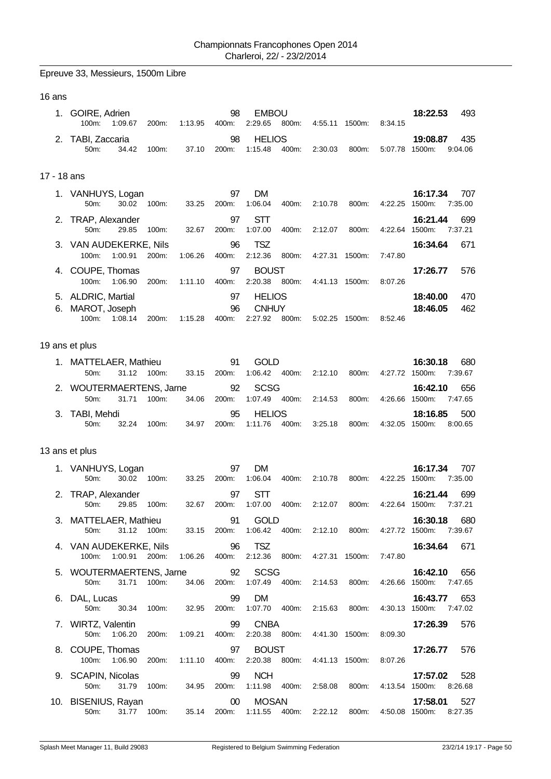Epreuve 33, Messieurs, 1500m Libre

| ł<br>×<br>× |  |
|-------------|--|
|-------------|--|

|             | 1. GOIRE, Adrien<br>100m:<br>1:09.67                                        | 1:13.95<br>200m:                     | 98<br>400m:                | <b>EMBOU</b><br>2:29.65<br>800m:               | 4:55.11 1500m:                                                         | 8:34.15            | 18:22.53<br>493                                                                               |
|-------------|-----------------------------------------------------------------------------|--------------------------------------|----------------------------|------------------------------------------------|------------------------------------------------------------------------|--------------------|-----------------------------------------------------------------------------------------------|
|             | 2. TABI, Zaccaria<br>50m:<br>34.42                                          | 100m:<br>37.10                       | 98<br>200m:                | <b>HELIOS</b><br>1:15.48<br>400m:              | 2:30.03<br>800m:                                                       | 5:07.78 1500m:     | 19:08.87<br>435<br>9:04.06                                                                    |
| 17 - 18 ans |                                                                             |                                      |                            |                                                |                                                                        |                    |                                                                                               |
|             | 1. VANHUYS, Logan<br>50m:<br>30.02                                          | 33.25<br>100m:                       | 97<br>200m:                | <b>DM</b><br>1:06.04<br>400m:                  | 2:10.78<br>800m:                                                       | 4:22.25            | 16:17.34<br>707<br>1500m:<br>7:35.00                                                          |
|             | 2. TRAP, Alexander<br>50m:<br>29.85                                         | 100m:<br>32.67                       | 97<br>200m:                | <b>STT</b><br>1:07.00<br>400m:                 | 2:12.07<br>800m:                                                       | 4:22.64 1500m:     | 16:21.44<br>699<br>7:37.21                                                                    |
|             | 3. VAN AUDEKERKE, Nils<br>100m:<br>1:00.91                                  | 200m:<br>1:06.26                     | 96<br>400m:                | <b>TSZ</b><br>2:12.36<br>800m:                 | 4:27.31 1500m:                                                         | 7:47.80            | 16:34.64<br>671                                                                               |
|             | 4. COUPE, Thomas                                                            |                                      | 97                         | <b>BOUST</b><br>2:20.38 800m:                  |                                                                        |                    | 17:26.77<br>576                                                                               |
|             | 100m:<br>1:06.90<br>5. ALDRIC, Martial<br>MAROT, Joseph<br>100m:<br>1:08.14 | 200m:<br>1:11.10<br>1:15.28<br>200m: | 400m:<br>97<br>96<br>400m: | <b>HELIOS</b><br><b>CNHUY</b><br>2:27.92 800m: | 4:41.13 1500m:<br>5:02.25 1500m:                                       | 8:07.26<br>8:52.46 | 18:40.00<br>470<br>18:46.05<br>462                                                            |
|             | 19 ans et plus                                                              |                                      |                            |                                                |                                                                        |                    |                                                                                               |
|             | 1. MATTELAER, Mathieu<br>50m:                                               | 31.12 100m:<br>33.15                 | 91<br>200m:                | <b>GOLD</b><br>1:06.42  400m:                  | 2:12.10<br>800m:                                                       | 4:27.72 1500m:     | 16:30.18<br>680<br>7:39.67                                                                    |
|             | 2. WOUTERMAERTENS, Jarne<br>50m:<br>31.71                                   | 100m:<br>34.06                       | 92<br>200m:                | <b>SCSG</b><br>1:07.49<br>400m:                | 2:14.53<br>800m:                                                       | 4:26.66            | 16:42.10<br>656<br>1500m:<br>7:47.65                                                          |
|             | 3. TABI, Mehdi<br>50m:<br>32.24                                             | 34.97<br>100m:                       | 95<br>200m:                | <b>HELIOS</b><br>1:11.76<br>400m:              | 3:25.18<br>800m:                                                       | 4:32.05 1500m:     | 500<br>18:16.85<br>8:00.65                                                                    |
|             | 13 ans et plus                                                              |                                      |                            |                                                |                                                                        |                    |                                                                                               |
|             | 1. VANHUYS, Logan<br>50m:<br>30.02                                          | 33.25<br>100m:                       | 97<br>200m:                | DM<br>1:06.04<br>400m:                         | 2:10.78<br>800m:                                                       | 4:22.25 1500m:     | 16:17.34<br>707<br>7:35.00                                                                    |
|             | 2. TRAP, Alexander<br>50m:<br>29.85                                         | 100m:<br>32.67                       | 97<br>200m:                | STT<br>1:07.00<br>400m:                        | 2:12.07<br>800m:                                                       | 4:22.64 1500m:     | 16:21.44<br>699<br>7:37.21                                                                    |
|             | 3. MATTELAER, Mathieu<br>50m:                                               |                                      | 91                         | <b>GOLD</b>                                    |                                                                        |                    | 16:30.18<br>680<br>31.12 100m: 33.15 200m: 1:06.42 400m: 2:12.10 800m: 4:27.72 1500m: 7:39.67 |
|             | 4. VAN AUDEKERKE, Nils                                                      |                                      |                            | 96 TSZ                                         | 100m: 1:00.91 200m: 1:06.26 400m: 2:12.36 800m: 4:27.31 1500m: 7:47.80 |                    | 16:34.64<br>671                                                                               |
|             | 5. WOUTERMAERTENS, Jarne 92 SCSG<br>50m:<br>31.71                           | 100m:<br>34.06                       | 200m:                      | 1:07.49  400m: 2:14.53                         | 800m:                                                                  |                    | 16:42.10<br>656<br>4:26.66 1500m:<br>7:47.65                                                  |
|             | 6. DAL, Lucas                                                               |                                      | 99                         | DM                                             | 2:15.63 800m:                                                          |                    | 16:43.77<br>653                                                                               |
|             | 50m:<br>30.34<br>7. WIRTZ, Valentin                                         | 100m:<br>32.95                       | 200m:<br>99                | 1:07.70 400m:<br><b>CNBA</b>                   |                                                                        | 4:30.13 1500m:     | 7:47.02<br>17:26.39<br>576                                                                    |
|             | 50m: 1:06.20<br>8. COUPE, Thomas                                            | 200m:<br>1:09.21                     | 400m:<br>97                | <b>BOUST</b>                                   | 2:20.38 800m: 4:41.30 1500m:                                           | 8:09.30            | 17:26.77<br>576                                                                               |
|             | 100m: 1:06.90<br>9. SCAPIN, Nicolas                                         | 200m:<br>1:11.10                     | 400m:<br>99                | 2:20.38 800m:<br><b>NCH</b>                    | 4:41.13 1500m:                                                         | 8:07.26            | 17:57.02<br>528                                                                               |
|             | 50m:<br>31.79                                                               | 100m:<br>34.95                       | 200m:                      | 1:11.98 400m:                                  | 2:58.08 800m: 4:13.54 1500m:                                           |                    | 8:26.68                                                                                       |
|             | 10. BISENIUS, Rayan<br>50m:                                                 | 31.77 100m:<br>35.14                 | $00\,$                     | <b>MOSAN</b>                                   | 200m: 1:11.55 400m: 2:22.12 800m: 4:50.08 1500m:                       |                    | 17:58.01<br>527<br>8:27.35                                                                    |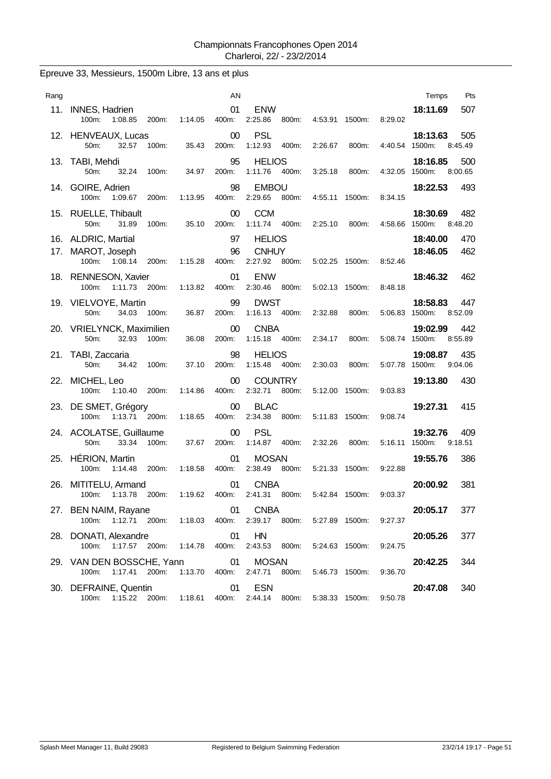| Rang |                                                                                                 |               | AN                |                                                   |                   |                | Pts<br>Temps                       |
|------|-------------------------------------------------------------------------------------------------|---------------|-------------------|---------------------------------------------------|-------------------|----------------|------------------------------------|
| 11.  | <b>INNES, Hadrien</b><br>100m:<br>1:08.85<br>200m:                                              | 1:14.05       | 01<br>400m:       | <b>ENW</b><br>2:25.86<br>800m:                    | 4:53.91<br>1500m: | 8:29.02        | 18:11.69<br>507                    |
|      | 12. HENVEAUX, Lucas<br>50m:<br>32.57<br>100m:                                                   | 35.43         | 00<br>200m:       | <b>PSL</b><br>1:12.93<br>400m:                    | 2:26.67<br>800m:  | 4:40.54 1500m: | 18:13.63<br>505<br>8:45.49         |
|      | 13. TABI, Mehdi<br>50m:<br>32.24<br>100m:                                                       | 34.97         | 95<br>200m:       | <b>HELIOS</b><br>1:11.76<br>400m:                 | 3:25.18<br>800m:  | 4:32.05 1500m: | 18:16.85<br>500<br>8:00.65         |
|      | 14. GOIRE, Adrien<br>1:09.67<br>200m:<br>100m:                                                  | 1:13.95       | 98<br>400m:       | <b>EMBOU</b><br>2:29.65<br>800m:                  | 4:55.11<br>1500m: | 8:34.15        | 493<br>18:22.53                    |
| 15.  | <b>RUELLE, Thibault</b><br>50m:<br>31.89<br>100m:                                               | 35.10         | 00<br>200m:       | <b>CCM</b><br>1:11.74<br>400m:                    | 2:25.10<br>800m:  | 4:58.66 1500m: | 482<br>18:30.69<br>8:48.20         |
| 17.  | 16. ALDRIC, Martial<br>MAROT, Joseph<br>100m: 1:08.14<br>200m:                                  | 1:15.28       | 97<br>96<br>400m: | <b>HELIOS</b><br><b>CNHUY</b><br>2:27.92<br>800m: | 5:02.25 1500m:    | 8:52.46        | 18:40.00<br>470<br>18:46.05<br>462 |
|      | 18. RENNESON, Xavier<br>1:11.73 200m:<br>100m:                                                  | 1:13.82       | 01<br>400m:       | <b>ENW</b><br>2:30.46<br>800m:                    | 5:02.13 1500m:    | 8:48.18        | 18:46.32<br>462                    |
|      | 19. VIELVOYE, Martin<br>50m:<br>34.03<br>100m:                                                  | 36.87         | 99<br>200m:       | <b>DWST</b><br>1:16.13<br>400m:                   | 2:32.88<br>800m:  | 5:06.83 1500m: | 18:58.83<br>447<br>8:52.09         |
|      | 20. VRIELYNCK, Maximilien<br>100m:<br>50m:<br>32.93                                             | 36.08         | 00<br>200m:       | <b>CNBA</b><br>1:15.18 400m:                      | 2:34.17<br>800m:  | 5:08.74 1500m: | 19:02.99<br>442<br>8:55.89         |
|      | 21. TABI, Zaccaria<br>50m:<br>34.42<br>100m:                                                    | 37.10         | 98<br>200m:       | <b>HELIOS</b><br>1:15.48<br>400m:                 | 2:30.03<br>800m:  | 5:07.78 1500m: | 435<br>19:08.87<br>9:04.06         |
| 22.  | MICHEL, Leo<br>100m:<br>1:10.40<br>200m:                                                        | 1:14.86       | 00<br>400m:       | <b>COUNTRY</b><br>2:32.71<br>800m:                | 5:12.00 1500m:    | 9:03.83        | 19:13.80<br>430                    |
| 23.  | DE SMET, Grégory<br>1:13.71<br>200m:<br>100m:                                                   | 1:18.65       | $00\,$<br>400m:   | <b>BLAC</b><br>2:34.38<br>800m:                   | 5:11.83 1500m:    | 9:08.74        | 19:27.31<br>415                    |
|      | 24. ACOLATSE, Guillaume<br>50m:<br>33.34<br>100m:                                               | 37.67         | 00<br>200m:       | <b>PSL</b><br>1:14.87<br>400m:                    | 2:32.26<br>800m:  | 5:16.11 1500m: | 19:32.76<br>409<br>9:18.51         |
| 25.  | HÉRION, Martin<br>$100m$ :<br>1:14.48<br>200m:                                                  | 1:18.58       | 01<br>400m:       | <b>MOSAN</b><br>2:38.49<br>800m:                  | 5:21.33 1500m:    | 9:22.88        | 19:55.76<br>386                    |
| 26.  | MITITELU, Armand<br>200m:<br>100m:<br>1:13.78                                                   | 1:19.62       | 01<br>400m:       | <b>CNBA</b><br>2:41.31<br>800m:                   | 5:42.84 1500m:    | 9:03.37        | 20:00.92<br>381                    |
|      | 27. BEN NAIM, Rayane<br>100m: 1:12.71 200m: 1:18.03                                             |               | 01<br>400m:       | <b>CNBA</b><br>2:39.17 800m:                      | 5:27.89 1500m:    | 9:27.37        | 20:05.17<br>377                    |
|      | 28. DONATI, Alexandre<br>100m:<br>1:17.57 200m:                                                 | 1:14.78       | 01<br>400m:       | HN<br>2:43.53<br>800m:                            | 5:24.63 1500m:    | 9:24.75        | 377<br>20:05.26                    |
|      | 29. VAN DEN BOSSCHE, Yann<br>1:17.41<br>200m:<br>100m:                                          | 1:13.70 400m: | 01                | <b>MOSAN</b><br>2:47.71<br>800m:                  | 5:46.73 1500m:    | 9:36.70        | 20:42.25<br>344                    |
|      | 30. DEFRAINE, Quentin<br>100m: 1:15.22 200m: 1:18.61 400m: 2:44.14 800m: 5:38.33 1500m: 9:50.78 |               | 01                | <b>ESN</b>                                        |                   |                | 340<br>20:47.08                    |

## Epreuve 33, Messieurs, 1500m Libre, 13 ans et plus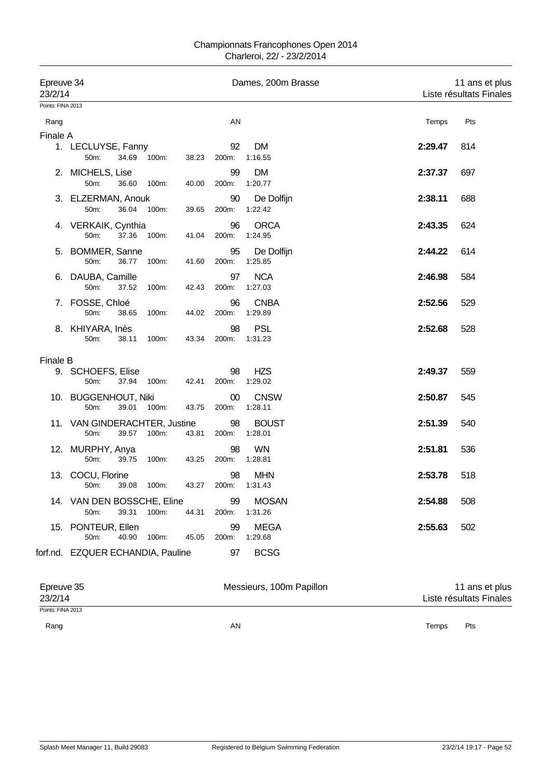| Epreuve 34<br>23/2/14 |                                                 |             |       |                   | Dames, 200m Brasse      |         | 11 ans et plus<br>Liste résultats Finales |
|-----------------------|-------------------------------------------------|-------------|-------|-------------------|-------------------------|---------|-------------------------------------------|
| Points: FINA 2013     |                                                 |             |       |                   |                         |         |                                           |
| Rang                  |                                                 |             |       | AN                |                         | Temps   | Pts                                       |
| Finale A              |                                                 |             |       |                   |                         |         |                                           |
|                       | 1. LECLUYSE, Fanny<br>50m:<br>34.69             | 100m:       | 38.23 | 92<br>200m:       | DM<br>1:16.55           | 2:29.47 | 814                                       |
|                       | 2. MICHELS, Lise<br>50m:<br>36.60               | 100m:       | 40.00 | 99<br>200m:       | <b>DM</b><br>1:20.77    | 2:37.37 | 697                                       |
|                       | 3. ELZERMAN, Anouk<br>50m:<br>36.04             | 100m:       | 39.65 | 90<br>200m:       | De Dolfijn<br>1:22.42   | 2:38.11 | 688                                       |
|                       | 4. VERKAIK, Cynthia<br>37.36<br>50m:            | 100m:       | 41.04 | 96<br>200m:       | <b>ORCA</b><br>1:24.95  | 2:43.35 | 624                                       |
|                       | 5. BOMMER, Sanne<br>50m:<br>36.77               | 100m:       | 41.60 | 95<br>200m:       | De Dolfijn<br>1:25.85   | 2:44.22 | 614                                       |
|                       | 6. DAUBA, Camille<br>50 <sub>m</sub> :<br>37.52 | 100m:       | 42.43 | 97<br>200m:       | <b>NCA</b><br>1:27.03   | 2:46.98 | 584                                       |
|                       | 7. FOSSE, Chloé<br>50m:<br>38.65                | 100m:       | 44.02 | 96<br>200m:       | <b>CNBA</b><br>1:29.89  | 2:52.56 | 529                                       |
|                       | 8. KHIYARA, Inès<br>50m:<br>38.11               | 100m:       | 43.34 | 98<br>200m:       | <b>PSL</b><br>1:31.23   | 2:52.68 | 528                                       |
| <b>Finale B</b>       |                                                 |             |       |                   |                         |         |                                           |
|                       | 9. SCHOEFS, Elise<br>50m:<br>37.94              | 100m:       | 42.41 | 98<br>200m:       | <b>HZS</b><br>1:29.02   | 2:49.37 | 559                                       |
|                       | 10. BUGGENHOUT, Niki<br>50m:                    | 39.01 100m: | 43.75 | $00\,$<br>200m:   | <b>CNSW</b><br>1:28.11  | 2:50.87 | 545                                       |
|                       | 11. VAN GINDERACHTER, Justine<br>50m:           | 39.57 100m: | 43.81 | 98<br>200m:       | <b>BOUST</b><br>1:28.01 | 2:51.39 | 540                                       |
|                       | 12. MURPHY, Anya<br>50m:<br>39.75               | 100m:       | 43.25 | 98<br>200m:       | <b>WN</b><br>1:28.81    | 2:51.81 | 536                                       |
|                       | 13. COCU, Florine<br>50m:                       | 39.08 100m: |       | 98<br>43.27 200m: | <b>MHN</b><br>1:31.43   | 2:53.78 | 518                                       |
|                       | 14. VAN DEN BOSSCHE, Eline<br>50m:              | 39.31 100m: | 44.31 | 99<br>200m:       | <b>MOSAN</b><br>1:31.26 | 2:54.88 | 508                                       |
|                       | 15. PONTEUR, Ellen<br>50m:<br>40.90             | 100m:       | 45.05 | 99<br>200m:       | <b>MEGA</b><br>1:29.68  | 2:55.63 | 502                                       |
|                       | forf.nd. EZQUER ECHANDIA, Pauline               |             |       | 97                | <b>BCSG</b>             |         |                                           |

| Epreuve 35<br>23/2/14 | Messieurs, 100m Papillon | 11 ans et plus<br>Liste résultats Finales |
|-----------------------|--------------------------|-------------------------------------------|
| Points: FINA 2013     |                          |                                           |
| Rang                  | ΑN                       | Temps<br>Pts                              |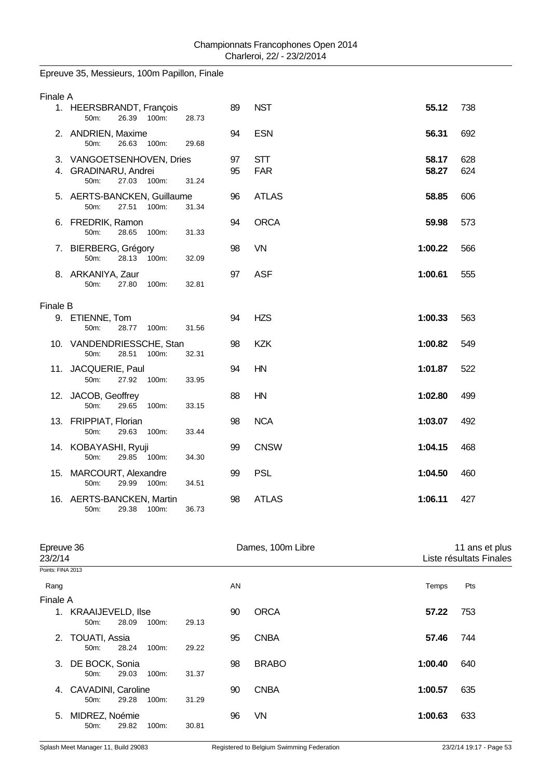# Epreuve 35, Messieurs, 100m Papillon, Finale

| 1. HEERSBRANDT, François         |                                                                                                                                                                                                                                                                                                    |                                                                                       |                          |                |            |
|----------------------------------|----------------------------------------------------------------------------------------------------------------------------------------------------------------------------------------------------------------------------------------------------------------------------------------------------|---------------------------------------------------------------------------------------|--------------------------|----------------|------------|
| 50m:<br>26.39<br>100m:           | 28.73                                                                                                                                                                                                                                                                                              | 89                                                                                    | <b>NST</b>               | 55.12          | 738        |
| 50m:<br>26.63<br>100m:           | 29.68                                                                                                                                                                                                                                                                                              | 94                                                                                    | <b>ESN</b>               | 56.31          | 692        |
| 27.03 100m:<br>50 <sub>m</sub> : | 31.24                                                                                                                                                                                                                                                                                              | 97<br>95                                                                              | <b>STT</b><br><b>FAR</b> | 58.17<br>58.27 | 628<br>624 |
| 27.51<br>50m:<br>100m:           | 31.34                                                                                                                                                                                                                                                                                              | 96                                                                                    | <b>ATLAS</b>             | 58.85          | 606        |
| 50m:<br>28.65<br>100m:           | 31.33                                                                                                                                                                                                                                                                                              | 94                                                                                    | <b>ORCA</b>              | 59.98          | 573        |
| 50m:<br>28.13 100m:              | 32.09                                                                                                                                                                                                                                                                                              | 98                                                                                    | VN                       | 1:00.22        | 566        |
| 27.80<br>100m:<br>50m:           | 32.81                                                                                                                                                                                                                                                                                              | 97                                                                                    | <b>ASF</b>               | 1:00.61        | 555        |
|                                  |                                                                                                                                                                                                                                                                                                    |                                                                                       |                          |                |            |
| 50m:<br>28.77<br>100m:           | 31.56                                                                                                                                                                                                                                                                                              | 94                                                                                    | <b>HZS</b>               | 1:00.33        | 563        |
| 28.51<br>50m:<br>100m:           | 32.31                                                                                                                                                                                                                                                                                              | 98                                                                                    | <b>KZK</b>               | 1:00.82        | 549        |
| 27.92<br>50m:<br>100m:           | 33.95                                                                                                                                                                                                                                                                                              | 94                                                                                    | HN                       | 1:01.87        | 522        |
| 50m:<br>29.65<br>100m:           | 33.15                                                                                                                                                                                                                                                                                              | 88                                                                                    | HN                       | 1:02.80        | 499        |
| 50m:<br>29.63<br>100m:           | 33.44                                                                                                                                                                                                                                                                                              | 98                                                                                    | <b>NCA</b>               | 1:03.07        | 492        |
| 50m:<br>29.85 100m:              | 34.30                                                                                                                                                                                                                                                                                              | 99                                                                                    | <b>CNSW</b>              | 1:04.15        | 468        |
| 50m:<br>29.99<br>100m:           | 34.51                                                                                                                                                                                                                                                                                              | 99                                                                                    | <b>PSL</b>               | 1:04.50        | 460        |
| 29.38<br>50m:<br>100m:           | 36.73                                                                                                                                                                                                                                                                                              | 98                                                                                    | <b>ATLAS</b>             | 1:06.11        | 427        |
|                                  | 2. ANDRIEN, Maxime<br>4. GRADINARU, Andrei<br>6. FREDRIK, Ramon<br>7. BIERBERG, Grégory<br>8. ARKANIYA, Zaur<br>Finale B<br>9. ETIENNE, Tom<br>11. JACQUERIE, Paul<br>12. JACOB, Geoffrey<br>13. FRIPPIAT, Florian<br>14. KOBAYASHI, Ryuji<br>15. MARCOURT, Alexandre<br>16. AERTS-BANCKEN, Martin | 3. VANGOETSENHOVEN, Dries<br>5. AERTS-BANCKEN, Guillaume<br>10. VANDENDRIESSCHE, Stan |                          |                |            |

| Epreuve 36<br>23/2/14 |                                      |       |       | Dames, 100m Libre |    |              |         | 11 ans et plus<br>Liste résultats Finales |  |
|-----------------------|--------------------------------------|-------|-------|-------------------|----|--------------|---------|-------------------------------------------|--|
| Points: FINA 2013     |                                      |       |       |                   |    |              |         |                                           |  |
| Rang                  |                                      |       |       |                   | AN |              | Temps   | Pts                                       |  |
| Finale A              |                                      |       |       |                   |    |              |         |                                           |  |
|                       | 1. KRAAIJEVELD, Ilse<br>$50m$ :      | 28.09 | 100m: | 29.13             | 90 | <b>ORCA</b>  | 57.22   | 753                                       |  |
|                       | 2. TOUATI, Assia<br>$50m$ :          | 28.24 | 100m: | 29.22             | 95 | <b>CNBA</b>  | 57.46   | 744                                       |  |
|                       | 3. DE BOCK, Sonia<br>$50m$ :         | 29.03 | 100m: | 31.37             | 98 | <b>BRABO</b> | 1:00.40 | 640                                       |  |
| 4.                    | <b>CAVADINI, Caroline</b><br>$50m$ : | 29.28 | 100m: | 31.29             | 90 | <b>CNBA</b>  | 1:00.57 | 635                                       |  |
| 5.                    | MIDREZ, Noémie<br>50 <sub>m</sub>    | 29.82 | 100m: | 30.81             | 96 | VN           | 1:00.63 | 633                                       |  |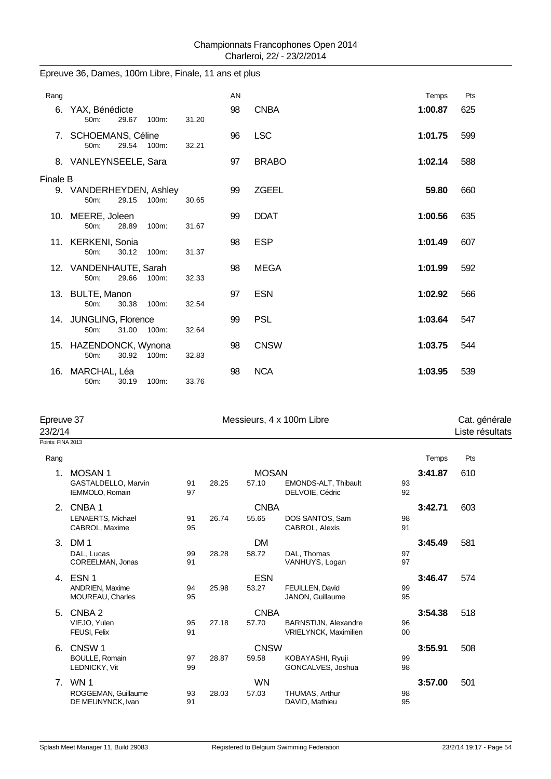| Rang     |                                                   |       | AN |              | Temps   | Pts |
|----------|---------------------------------------------------|-------|----|--------------|---------|-----|
| 6.       | YAX, Bénédicte<br>50m:<br>29.67<br>100m:          | 31.20 | 98 | <b>CNBA</b>  | 1:00.87 | 625 |
|          | 7. SCHOEMANS, Céline<br>29.54 100m:<br>50m:       | 32.21 | 96 | <b>LSC</b>   | 1:01.75 | 599 |
|          | 8. VANLEYNSEELE, Sara                             |       | 97 | <b>BRABO</b> | 1:02.14 | 588 |
| Finale B |                                                   |       |    |              |         |     |
|          | 9. VANDERHEYDEN, Ashley<br>100m:<br>29.15<br>50m: | 30.65 | 99 | <b>ZGEEL</b> | 59.80   | 660 |
|          | 10. MEERE, Joleen<br>50m:<br>28.89<br>100m:       | 31.67 | 99 | <b>DDAT</b>  | 1:00.56 | 635 |
|          | 11. KERKENI, Sonia<br>30.12<br>$50m$ :<br>100m:   | 31.37 | 98 | <b>ESP</b>   | 1:01.49 | 607 |
|          | 12. VANDENHAUTE, Sarah<br>29.66<br>50m:<br>100m:  | 32.33 | 98 | <b>MEGA</b>  | 1:01.99 | 592 |
|          | 13. BULTE, Manon<br>50m:<br>30.38<br>100m:        | 32.54 | 97 | <b>ESN</b>   | 1:02.92 | 566 |
|          | 14. JUNGLING, Florence<br>31.00 100m:<br>50m:     | 32.64 | 99 | <b>PSL</b>   | 1:03.64 | 547 |
|          | 15. HAZENDONCK, Wynona<br>30.92<br>100m:<br>50m:  | 32.83 | 98 | <b>CNSW</b>  | 1:03.75 | 544 |
| 16.      | MARCHAL, Léa<br>50m:<br>30.19<br>100m:            | 33.76 | 98 | <b>NCA</b>   | 1:03.95 | 539 |

# Epreuve 36, Dames, 100m Libre, Finale, 11 ans et plus

| Epreuve 37<br>23/2/14 |                                            |          |       |              | Messieurs, 4 x 100m Libre                            |          | Cat. générale<br>Liste résultats |     |
|-----------------------|--------------------------------------------|----------|-------|--------------|------------------------------------------------------|----------|----------------------------------|-----|
| Points: FINA 2013     |                                            |          |       |              |                                                      |          |                                  |     |
| Rang                  |                                            |          |       |              |                                                      |          | Temps                            | Pts |
| 1.                    | <b>MOSAN1</b>                              |          |       | <b>MOSAN</b> |                                                      |          | 3:41.87                          | 610 |
|                       | GASTALDELLO, Marvin<br>IEMMOLO, Romain     | 91<br>97 | 28.25 | 57.10        | EMONDS-ALT, Thibault<br>DELVOIE, Cédric              | 93<br>92 |                                  |     |
| 2.                    | CNBA <sub>1</sub>                          |          |       | <b>CNBA</b>  |                                                      |          | 3:42.71                          | 603 |
|                       | LENAERTS, Michael<br>CABROL, Maxime        | 91<br>95 | 26.74 | 55.65        | DOS SANTOS, Sam<br>CABROL, Alexis                    | 98<br>91 |                                  |     |
| 3.                    | DM <sub>1</sub>                            |          |       | DM           |                                                      |          | 3:45.49                          | 581 |
|                       | DAL, Lucas<br>COREELMAN, Jonas             | 99<br>91 | 28.28 | 58.72        | DAL. Thomas<br>VANHUYS, Logan                        | 97<br>97 |                                  |     |
| 4.                    | ESN <sub>1</sub>                           |          |       | <b>ESN</b>   |                                                      |          | 3:46.47                          | 574 |
|                       | ANDRIEN, Maxime<br><b>MOUREAU, Charles</b> | 94<br>95 | 25.98 | 53.27        | FEUILLEN, David<br>JANON, Guillaume                  | 99<br>95 |                                  |     |
| 5.                    | CNBA <sub>2</sub>                          |          |       | <b>CNBA</b>  |                                                      |          | 3:54.38                          | 518 |
|                       | VIEJO, Yulen<br><b>FEUSI, Felix</b>        | 95<br>91 | 27.18 | 57.70        | BARNSTIJN, Alexandre<br><b>VRIELYNCK, Maximilien</b> | 96<br>00 |                                  |     |
| 6.                    | CNSW <sub>1</sub>                          |          |       | <b>CNSW</b>  |                                                      |          | 3:55.91                          | 508 |
|                       | <b>BOULLE, Romain</b><br>LEDNICKY, Vit     | 97<br>99 | 28.87 | 59.58        | KOBAYASHI, Ryuji<br>GONCALVES, Joshua                | 99<br>98 |                                  |     |
| 7 <sub>1</sub>        | WN <sub>1</sub>                            |          |       | <b>WN</b>    |                                                      |          | 3:57.00                          | 501 |
|                       | ROGGEMAN, Guillaume<br>DE MEUNYNCK, Ivan   | 93<br>91 | 28.03 | 57.03        | THUMAS, Arthur<br>DAVID, Mathieu                     | 98<br>95 |                                  |     |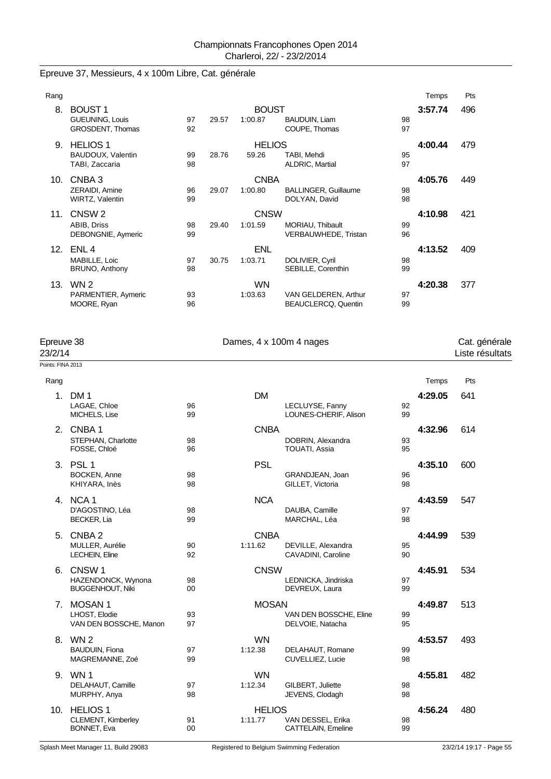# Epreuve 37, Messieurs, 4 x 100m Libre, Cat. générale

| Rang |                                                                    |          |       |                         |                                                    |          | Temps   | Pts |
|------|--------------------------------------------------------------------|----------|-------|-------------------------|----------------------------------------------------|----------|---------|-----|
| 8.   | <b>BOUST1</b><br><b>GUEUNING, Louis</b><br><b>GROSDENT, Thomas</b> | 97<br>92 | 29.57 | <b>BOUST</b><br>1:00.87 | BAUDUIN, Liam<br>COUPE, Thomas                     | 98<br>97 | 3:57.74 | 496 |
| 9.   | <b>HELIOS 1</b><br>BAUDOUX, Valentin<br>TABI, Zaccaria             | 99<br>98 | 28.76 | <b>HELIOS</b><br>59.26  | TABI, Mehdi<br>ALDRIC, Martial                     | 95<br>97 | 4:00.44 | 479 |
| 10.  | CNBA 3<br>ZERAIDI, Amine<br><b>WIRTZ, Valentin</b>                 | 96<br>99 | 29.07 | <b>CNBA</b><br>1:00.80  | <b>BALLINGER, Guillaume</b><br>DOLYAN, David       | 98<br>98 | 4:05.76 | 449 |
| 11.  | CNSW <sub>2</sub><br>ABIB, Driss<br>DEBONGNIE, Aymeric             | 98<br>99 | 29.40 | <b>CNSW</b><br>1:01.59  | MORIAU, Thibault<br>VERBAUWHEDE, Tristan           | 99<br>96 | 4:10.98 | 421 |
| 12.  | ENL 4<br>MABILLE, Loic<br>BRUNO, Anthony                           | 97<br>98 | 30.75 | <b>ENL</b><br>1:03.71   | DOLIVIER, Cyril<br>SEBILLE, Corenthin              | 98<br>99 | 4:13.52 | 409 |
| 13.  | WN 2<br>PARMENTIER, Aymeric<br>MOORE, Ryan                         | 93<br>96 |       | <b>WN</b><br>1:03.63    | VAN GELDEREN, Arthur<br><b>BEAUCLERCQ, Quentin</b> | 97<br>99 | 4:20.38 | 377 |

| Epreuve 38<br>23/2/14 |                                               | Dames, 4 x 100m 4 nages |               |                                          |          |         | Cat. générale<br>Liste résultats |  |
|-----------------------|-----------------------------------------------|-------------------------|---------------|------------------------------------------|----------|---------|----------------------------------|--|
| Points: FINA 2013     |                                               |                         |               |                                          |          |         |                                  |  |
| Rang                  |                                               |                         |               |                                          |          | Temps   | Pts                              |  |
|                       | 1. DM 1                                       |                         | <b>DM</b>     |                                          |          | 4:29.05 | 641                              |  |
|                       | LAGAE, Chloe<br>MICHELS, Lise                 | 96<br>99                |               | LECLUYSE, Fanny<br>LOUNES-CHERIF, Alison | 92<br>99 |         |                                  |  |
|                       | 2. CNBA1                                      |                         | <b>CNBA</b>   |                                          |          | 4:32.96 | 614                              |  |
|                       | STEPHAN, Charlotte<br>FOSSE, Chloé            | 98<br>96                |               | DOBRIN, Alexandra<br>TOUATI, Assia       | 93<br>95 |         |                                  |  |
|                       | 3. PSL 1                                      |                         | <b>PSL</b>    |                                          |          | 4:35.10 | 600                              |  |
|                       | <b>BOCKEN, Anne</b><br>KHIYARA, Inès          | 98<br>98                |               | GRANDJEAN, Joan<br>GILLET, Victoria      | 96<br>98 |         |                                  |  |
|                       | 4. NCA 1                                      |                         | <b>NCA</b>    |                                          |          | 4:43.59 | 547                              |  |
|                       | D'AGOSTINO, Léa<br>BECKER, Lia                | 98<br>99                |               | DAUBA, Camille<br>MARCHAL, Léa           | 97<br>98 |         |                                  |  |
| 5.                    | CNBA 2                                        |                         | <b>CNBA</b>   |                                          |          | 4:44.99 | 539                              |  |
|                       | MULLER, Aurélie<br><b>LECHEIN, Eline</b>      | 90<br>92                | 1:11.62       | DEVILLE, Alexandra<br>CAVADINI, Caroline | 95<br>90 |         |                                  |  |
|                       | 6. CNSW 1                                     |                         | <b>CNSW</b>   |                                          |          | 4:45.91 | 534                              |  |
|                       | HAZENDONCK, Wynona<br><b>BUGGENHOUT, Niki</b> | 98<br>00                |               | LEDNICKA, Jindriska<br>DEVREUX, Laura    | 97<br>99 |         |                                  |  |
|                       | 7. MOSAN 1                                    |                         | <b>MOSAN</b>  |                                          |          | 4:49.87 | 513                              |  |
|                       | LHOST, Elodie                                 | 93                      |               | VAN DEN BOSSCHE, Eline                   | 99       |         |                                  |  |
|                       | VAN DEN BOSSCHE, Manon                        | 97                      |               | DELVOIE, Natacha                         | 95       |         |                                  |  |
|                       | 8. WN 2                                       |                         | <b>WN</b>     |                                          |          | 4:53.57 | 493                              |  |
|                       | <b>BAUDUIN, Fiona</b><br>MAGREMANNE, Zoé      | 97<br>99                | 1:12.38       | DELAHAUT, Romane<br>CUVELLIEZ, Lucie     | 99<br>98 |         |                                  |  |
|                       | 9. WN 1                                       |                         | <b>WN</b>     |                                          |          | 4:55.81 | 482                              |  |
|                       | DELAHAUT, Camille                             | 97                      | 1:12.34       | GILBERT, Juliette                        | 98       |         |                                  |  |
|                       | MURPHY, Anya                                  | 98                      |               | JEVENS, Clodagh                          | 98       |         |                                  |  |
|                       | 10. HELIOS 1                                  |                         | <b>HELIOS</b> |                                          |          | 4:56.24 | 480                              |  |
|                       | CLEMENT, Kimberley<br>BONNET, Eva             | 91<br>00                | 1:11.77       | VAN DESSEL, Erika<br>CATTELAIN, Emeline  | 98<br>99 |         |                                  |  |